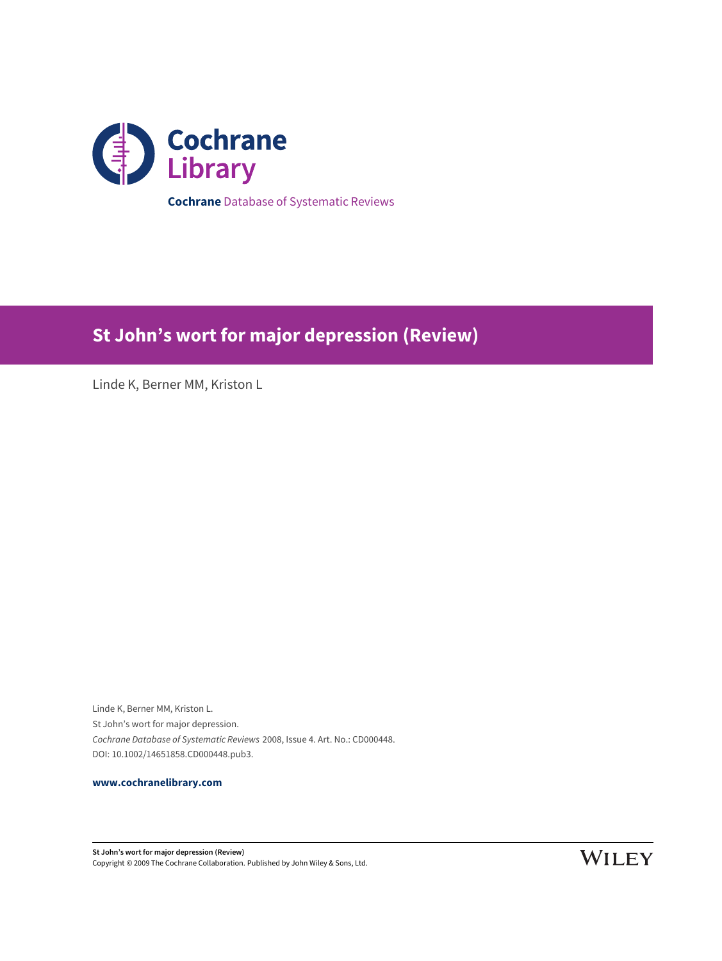

**Cochrane** Database of Systematic Reviews

# **St John's wort for major depression (Review)**

Linde K, Berner MM, Kriston L

Linde K, Berner MM, Kriston L. St John's wort for major depression. Cochrane Database of Systematic Reviews 2008, Issue 4. Art. No.: CD000448. DOI: 10.1002/14651858.CD000448.pub3.

**[www.cochranelibrary.com](http://www.cochranelibrary.com)**

**St John's wort for major depression (Review)** Copyright © 2009 The Cochrane Collaboration. Published by John Wiley & Sons, Ltd.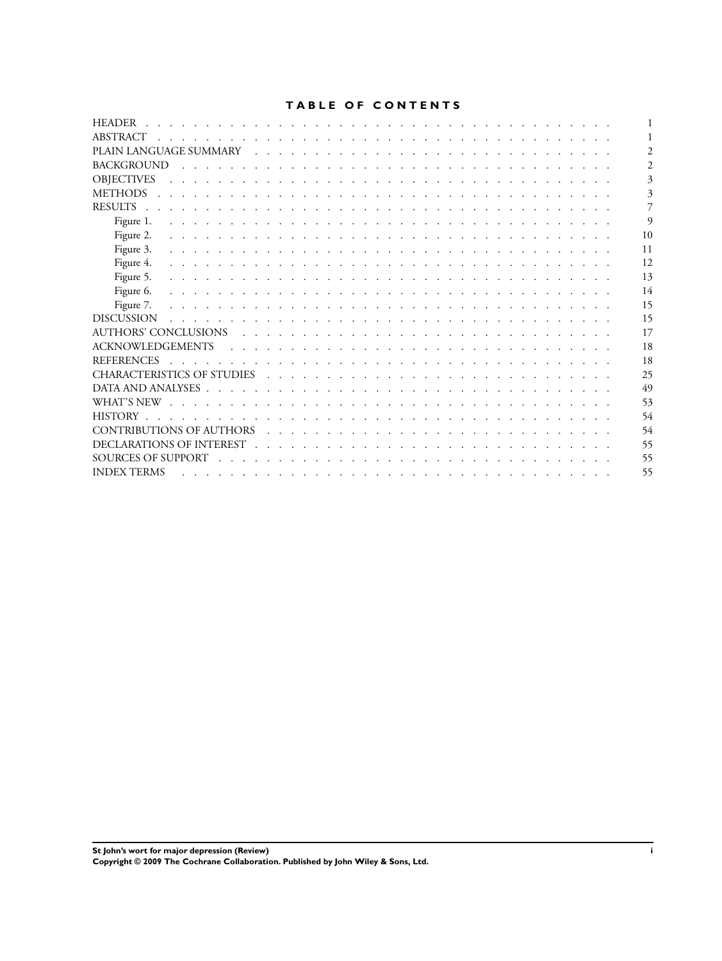## **TABLE OF CONTENTS**

| <b>HEADER</b>                                                                                                                                                                                                                                       |    |
|-----------------------------------------------------------------------------------------------------------------------------------------------------------------------------------------------------------------------------------------------------|----|
| ABSTRACT                                                                                                                                                                                                                                            |    |
|                                                                                                                                                                                                                                                     |    |
| <b>BACKGROUND</b>                                                                                                                                                                                                                                   |    |
| <b>OBIECTIVES</b>                                                                                                                                                                                                                                   |    |
| <b>METHODS</b>                                                                                                                                                                                                                                      |    |
| <b>RESULTS</b>                                                                                                                                                                                                                                      |    |
| Figure 1.<br><u>. In the second contract of the second contract of the second contract of the second contract of the second con</u>                                                                                                                 |    |
| Figure 2.<br><u>. In the second contract of the second contract of the second contract of the second contract of the second con</u>                                                                                                                 | 10 |
| Figure 3.                                                                                                                                                                                                                                           | 11 |
| Figure 4.                                                                                                                                                                                                                                           | 12 |
| Figure 5.                                                                                                                                                                                                                                           | 13 |
| Figure 6.                                                                                                                                                                                                                                           | 14 |
| Figure 7.                                                                                                                                                                                                                                           | 15 |
| <b>DISCUSSION</b>                                                                                                                                                                                                                                   | 15 |
| AUTHORS' CONCLUSIONS<br>the contract of the contract of the contract of the contract of the contract of the contract of the contract of                                                                                                             | 17 |
| <b>ACKNOWLEDGEMENTS</b><br><u>. In the second contract of the second contract of the second contract of the second</u>                                                                                                                              | 18 |
| <b>REFERENCES</b>                                                                                                                                                                                                                                   | 18 |
|                                                                                                                                                                                                                                                     | 25 |
|                                                                                                                                                                                                                                                     | 49 |
| WHAT'S NEW responsive to the contract of the contract of the contract of the contract of the contract of the contract of the contract of the contract of the contract of the contract of the contract of the contract of the c                      | 53 |
| HISTORY <b>A</b>                                                                                                                                                                                                                                    | 54 |
|                                                                                                                                                                                                                                                     | 54 |
|                                                                                                                                                                                                                                                     | 55 |
| SOURCES OF SUPPORT                                                                                                                                                                                                                                  | 55 |
| <b>INDEX TERMS</b><br>and a constitution of the constitution of the constitution of the constitution of the constitution of the constitution of the constitution of the constitution of the constitution of the constitution of the constitution of | 55 |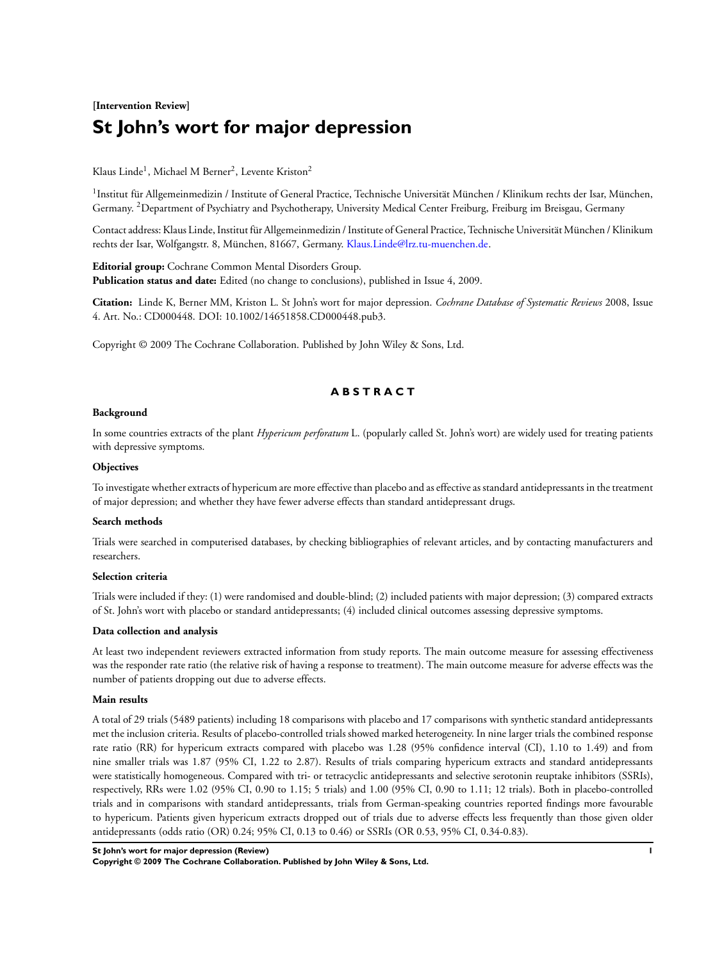# **[Intervention Review] St John's wort for major depression**

## Klaus Linde<sup>1</sup>, Michael M Berner<sup>2</sup>, Levente Kriston<sup>2</sup>

<sup>1</sup>Institut für Allgemeinmedizin / Institute of General Practice, Technische Universität München / Klinikum rechts der Isar, München, Germany. <sup>2</sup>Department of Psychiatry and Psychotherapy, University Medical Center Freiburg, Freiburg im Breisgau, Germany

Contact address: Klaus Linde, Institut für Allgemeinmedizin / Institute of General Practice, Technische Universität München / Klinikum rechts der Isar, Wolfgangstr. 8, München, 81667, Germany. [Klaus.Linde@lrz.tu-muenchen.de](mailto:Klaus.Linde@lrz.tu-muenchen.de).

**Editorial group:** Cochrane Common Mental Disorders Group. **Publication status and date:** Edited (no change to conclusions), published in Issue 4, 2009.

**Citation:** Linde K, Berner MM, Kriston L. St John's wort for major depression. *Cochrane Database of Systematic Reviews* 2008, Issue 4. Art. No.: CD000448. DOI: 10.1002/14651858.CD000448.pub3.

Copyright © 2009 The Cochrane Collaboration. Published by John Wiley & Sons, Ltd.

## **A B S T R A C T**

#### **Background**

In some countries extracts of the plant *Hypericum perforatum* L. (popularly called St. John's wort) are widely used for treating patients with depressive symptoms.

#### **Objectives**

To investigate whether extracts of hypericum are more effective than placebo and as effective as standard antidepressants in the treatment of major depression; and whether they have fewer adverse effects than standard antidepressant drugs.

#### **Search methods**

Trials were searched in computerised databases, by checking bibliographies of relevant articles, and by contacting manufacturers and researchers.

#### **Selection criteria**

Trials were included if they: (1) were randomised and double-blind; (2) included patients with major depression; (3) compared extracts of St. John's wort with placebo or standard antidepressants; (4) included clinical outcomes assessing depressive symptoms.

#### **Data collection and analysis**

At least two independent reviewers extracted information from study reports. The main outcome measure for assessing effectiveness was the responder rate ratio (the relative risk of having a response to treatment). The main outcome measure for adverse effects was the number of patients dropping out due to adverse effects.

## **Main results**

A total of 29 trials (5489 patients) including 18 comparisons with placebo and 17 comparisons with synthetic standard antidepressants met the inclusion criteria. Results of placebo-controlled trials showed marked heterogeneity. In nine larger trials the combined response rate ratio (RR) for hypericum extracts compared with placebo was 1.28 (95% confidence interval (CI), 1.10 to 1.49) and from nine smaller trials was 1.87 (95% CI, 1.22 to 2.87). Results of trials comparing hypericum extracts and standard antidepressants were statistically homogeneous. Compared with tri- or tetracyclic antidepressants and selective serotonin reuptake inhibitors (SSRIs), respectively, RRs were 1.02 (95% CI, 0.90 to 1.15; 5 trials) and 1.00 (95% CI, 0.90 to 1.11; 12 trials). Both in placebo-controlled trials and in comparisons with standard antidepressants, trials from German-speaking countries reported findings more favourable to hypericum. Patients given hypericum extracts dropped out of trials due to adverse effects less frequently than those given older antidepressants (odds ratio (OR) 0.24; 95% CI, 0.13 to 0.46) or SSRIs (OR 0.53, 95% CI, 0.34-0.83).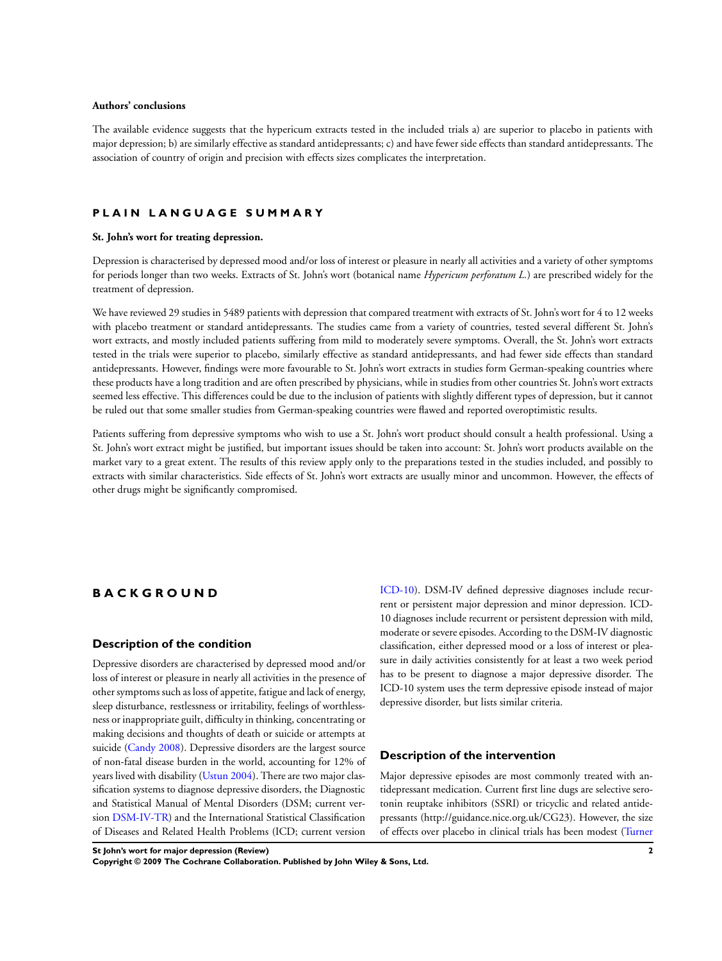### **Authors' conclusions**

The available evidence suggests that the hypericum extracts tested in the included trials a) are superior to placebo in patients with major depression; b) are similarly effective as standard antidepressants; c) and have fewer side effects than standard antidepressants. The association of country of origin and precision with effects sizes complicates the interpretation.

## **P L A I N L A N G U A G E S U M M A R Y**

### **St. John's wort for treating depression.**

Depression is characterised by depressed mood and/or loss of interest or pleasure in nearly all activities and a variety of other symptoms for periods longer than two weeks. Extracts of St. John's wort (botanical name *Hypericum perforatum L.*) are prescribed widely for the treatment of depression.

We have reviewed 29 studies in 5489 patients with depression that compared treatment with extracts of St. John's wort for 4 to 12 weeks with placebo treatment or standard antidepressants. The studies came from a variety of countries, tested several different St. John's wort extracts, and mostly included patients suffering from mild to moderately severe symptoms. Overall, the St. John's wort extracts tested in the trials were superior to placebo, similarly effective as standard antidepressants, and had fewer side effects than standard antidepressants. However, findings were more favourable to St. John's wort extracts in studies form German-speaking countries where these products have a long tradition and are often prescribed by physicians, while in studies from other countries St. John's wort extracts seemed less effective. This differences could be due to the inclusion of patients with slightly different types of depression, but it cannot be ruled out that some smaller studies from German-speaking countries were flawed and reported overoptimistic results.

Patients suffering from depressive symptoms who wish to use a St. John's wort product should consult a health professional. Using a St. John's wort extract might be justified, but important issues should be taken into account: St. John's wort products available on the market vary to a great extent. The results of this review apply only to the preparations tested in the studies included, and possibly to extracts with similar characteristics. Side effects of St. John's wort extracts are usually minor and uncommon. However, the effects of other drugs might be significantly compromised.

## **B A C K G R O U N D**

### **Description of the condition**

Depressive disorders are characterised by depressed mood and/or loss of interest or pleasure in nearly all activities in the presence of other symptoms such as loss of appetite, fatigue and lack of energy, sleep disturbance, restlessness or irritability, feelings of worthlessness or inappropriate guilt, difficulty in thinking, concentrating or making decisions and thoughts of death or suicide or attempts at suicide [\(Candy 2008\)](#page-19-0). Depressive disorders are the largest source of non-fatal disease burden in the world, accounting for 12% of years lived with disability ([Ustun 2004\)](#page-19-0). There are two major classification systems to diagnose depressive disorders, the Diagnostic and Statistical Manual of Mental Disorders (DSM; current version [DSM-IV-TR\)](#page-19-0) and the International Statistical Classification of Diseases and Related Health Problems (ICD; current version

[ICD-10](#page-19-0)). DSM-IV defined depressive diagnoses include recurrent or persistent major depression and minor depression. ICD-10 diagnoses include recurrent or persistent depression with mild, moderate or severe episodes. According to the DSM-IV diagnostic classification, either depressed mood or a loss of interest or pleasure in daily activities consistently for at least a two week period has to be present to diagnose a major depressive disorder. The ICD-10 system uses the term depressive episode instead of major depressive disorder, but lists similar criteria.

#### **Description of the intervention**

Major depressive episodes are most commonly treated with antidepressant medication. Current first line dugs are selective serotonin reuptake inhibitors (SSRI) or tricyclic and related antidepressants (http://guidance.nice.org.uk/CG23). However, the size of effects over placebo in clinical trials has been modest ([Turner](#page-19-0)

**St John's wort for major depression (Review) 2**

**Copyright © 2009 The Cochrane Collaboration. Published by John Wiley & Sons, Ltd.**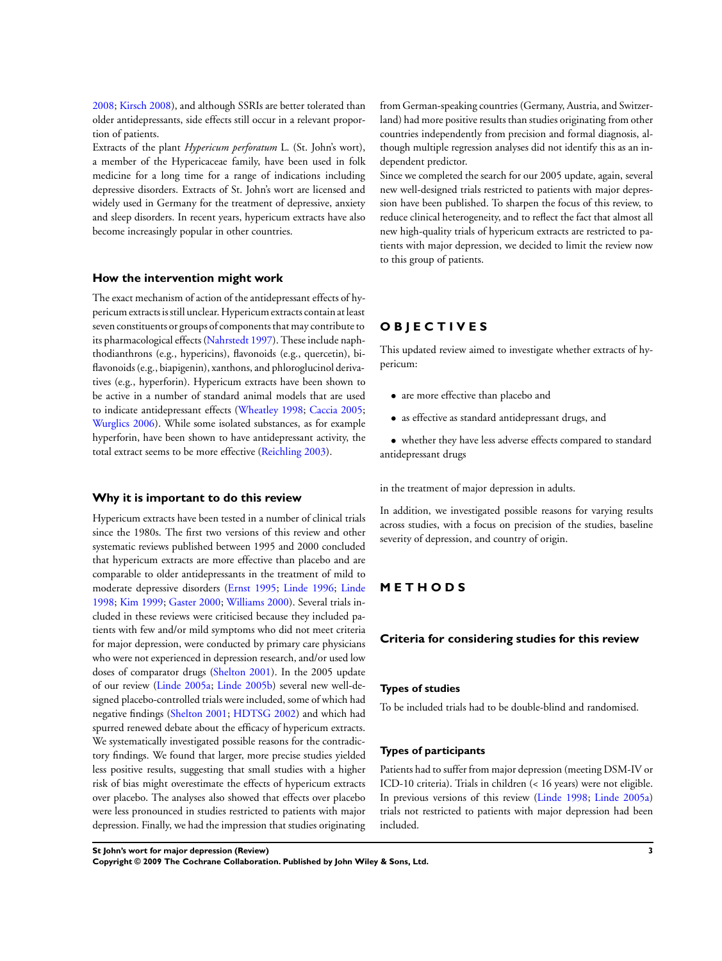[2008](#page-19-0); [Kirsch 2008](#page-19-0)), and although SSRIs are better tolerated than older antidepressants, side effects still occur in a relevant proportion of patients.

Extracts of the plant *Hypericum perforatum* L. (St. John's wort), a member of the Hypericaceae family, have been used in folk medicine for a long time for a range of indications including depressive disorders. Extracts of St. John's wort are licensed and widely used in Germany for the treatment of depressive, anxiety and sleep disorders. In recent years, hypericum extracts have also become increasingly popular in other countries.

### **How the intervention might work**

The exact mechanism of action of the antidepressant effects of hypericum extracts is still unclear. Hypericum extracts contain at least seven constituents or groups of components that may contribute to its pharmacological effects [\(Nahrstedt 1997\)](#page-19-0). These include naphthodianthrons (e.g., hypericins), flavonoids (e.g., quercetin), biflavonoids (e.g., biapigenin), xanthons, and phloroglucinol derivatives (e.g., hyperforin). Hypericum extracts have been shown to be active in a number of standard animal models that are used to indicate antidepressant effects [\(Wheatley 1998;](#page-19-0) [Caccia 2005;](#page-19-0) [Wurglics 2006\)](#page-19-0). While some isolated substances, as for example hyperforin, have been shown to have antidepressant activity, the total extract seems to be more effective [\(Reichling 2003\)](#page-19-0).

### **Why it is important to do this review**

Hypericum extracts have been tested in a number of clinical trials since the 1980s. The first two versions of this review and other systematic reviews published between 1995 and 2000 concluded that hypericum extracts are more effective than placebo and are comparable to older antidepressants in the treatment of mild to moderate depressive disorders ([Ernst 1995;](#page-19-0) [Linde 1996](#page-19-0); [Linde](#page-19-0) [1998](#page-19-0); [Kim 1999;](#page-19-0) [Gaster 2000](#page-19-0); [Williams 2000](#page-19-0)). Several trials included in these reviews were criticised because they included patients with few and/or mild symptoms who did not meet criteria for major depression, were conducted by primary care physicians who were not experienced in depression research, and/or used low doses of comparator drugs ([Shelton 2001](#page-19-0)). In the 2005 update of our review [\(Linde 2005a;](#page-19-0) [Linde 2005b\)](#page-19-0) several new well-designed placebo-controlled trials were included, some of which had negative findings [\(Shelton 2001](#page-19-0); [HDTSG 2002\)](#page-19-0) and which had spurred renewed debate about the efficacy of hypericum extracts. We systematically investigated possible reasons for the contradictory findings. We found that larger, more precise studies yielded less positive results, suggesting that small studies with a higher risk of bias might overestimate the effects of hypericum extracts over placebo. The analyses also showed that effects over placebo were less pronounced in studies restricted to patients with major depression. Finally, we had the impression that studies originating

from German-speaking countries (Germany, Austria, and Switzerland) had more positive results than studies originating from other countries independently from precision and formal diagnosis, although multiple regression analyses did not identify this as an independent predictor.

Since we completed the search for our 2005 update, again, several new well-designed trials restricted to patients with major depression have been published. To sharpen the focus of this review, to reduce clinical heterogeneity, and to reflect the fact that almost all new high-quality trials of hypericum extracts are restricted to patients with major depression, we decided to limit the review now to this group of patients.

## **O B J E C T I V E S**

This updated review aimed to investigate whether extracts of hypericum:

- are more effective than placebo and
- as effective as standard antidepressant drugs, and

• whether they have less adverse effects compared to standard antidepressant drugs

in the treatment of major depression in adults.

In addition, we investigated possible reasons for varying results across studies, with a focus on precision of the studies, baseline severity of depression, and country of origin.

## **M E T H O D S**

## **Criteria for considering studies for this review**

## **Types of studies**

To be included trials had to be double-blind and randomised.

### **Types of participants**

Patients had to suffer from major depression (meeting DSM-IV or ICD-10 criteria). Trials in children (< 16 years) were not eligible. In previous versions of this review ([Linde 1998](#page-19-0); [Linde 2005a](#page-19-0)) trials not restricted to patients with major depression had been included.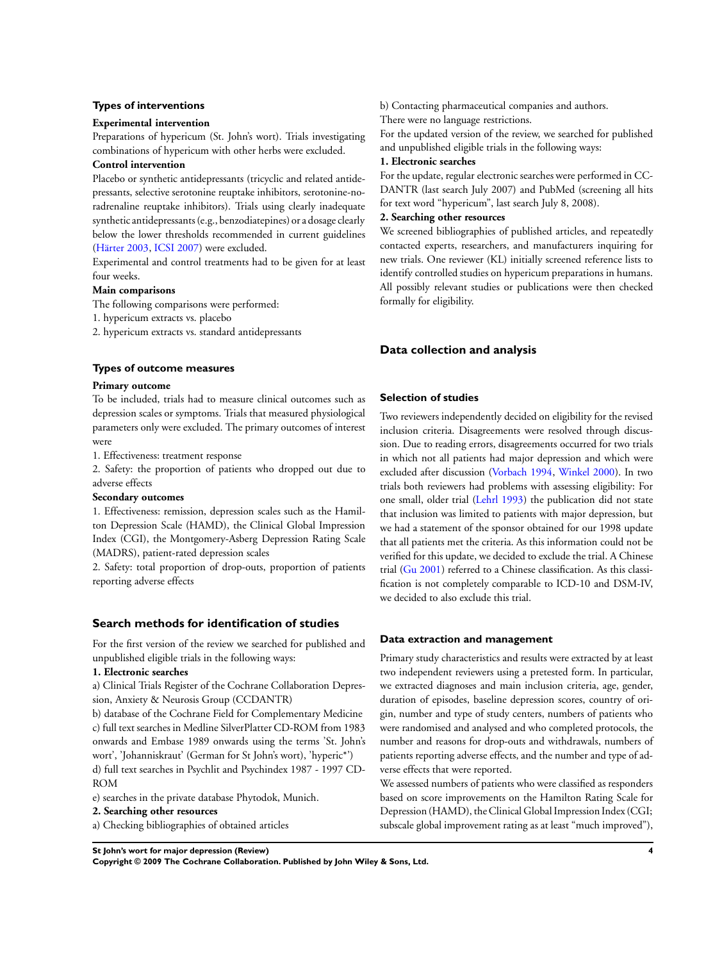### **Types of interventions**

#### **Experimental intervention**

Preparations of hypericum (St. John's wort). Trials investigating combinations of hypericum with other herbs were excluded.

### **Control intervention**

Placebo or synthetic antidepressants (tricyclic and related antidepressants, selective serotonine reuptake inhibitors, serotonine-noradrenaline reuptake inhibitors). Trials using clearly inadequate synthetic antidepressants (e.g., benzodiatepines) or a dosage clearly below the lower thresholds recommended in current guidelines [\(Härter 2003,](#page-19-0) [ICSI 2007](#page-19-0)) were excluded.

Experimental and control treatments had to be given for at least four weeks.

#### **Main comparisons**

The following comparisons were performed:

1. hypericum extracts vs. placebo

2. hypericum extracts vs. standard antidepressants

#### **Types of outcome measures**

#### **Primary outcome**

To be included, trials had to measure clinical outcomes such as depression scales or symptoms. Trials that measured physiological parameters only were excluded. The primary outcomes of interest were

1. Effectiveness: treatment response

2. Safety: the proportion of patients who dropped out due to adverse effects

### **Secondary outcomes**

1. Effectiveness: remission, depression scales such as the Hamilton Depression Scale (HAMD), the Clinical Global Impression Index (CGI), the Montgomery-Asberg Depression Rating Scale (MADRS), patient-rated depression scales

2. Safety: total proportion of drop-outs, proportion of patients reporting adverse effects

## **Search methods for identification of studies**

For the first version of the review we searched for published and unpublished eligible trials in the following ways:

#### **1. Electronic searches**

a) Clinical Trials Register of the Cochrane Collaboration Depression, Anxiety & Neurosis Group (CCDANTR)

b) database of the Cochrane Field for Complementary Medicine c) full text searches in Medline SilverPlatter CD-ROM from 1983 onwards and Embase 1989 onwards using the terms 'St. John's wort', 'Johanniskraut' (German for St John's wort), 'hyperic\*') d) full text searches in Psychlit and Psychindex 1987 - 1997 CD-ROM

e) searches in the private database Phytodok, Munich.

**2. Searching other resources**

a) Checking bibliographies of obtained articles

b) Contacting pharmaceutical companies and authors. There were no language restrictions.

For the updated version of the review, we searched for published and unpublished eligible trials in the following ways:

## **1. Electronic searches**

For the update, regular electronic searches were performed in CC-DANTR (last search July 2007) and PubMed (screening all hits for text word "hypericum", last search July 8, 2008).

### **2. Searching other resources**

We screened bibliographies of published articles, and repeatedly contacted experts, researchers, and manufacturers inquiring for new trials. One reviewer (KL) initially screened reference lists to identify controlled studies on hypericum preparations in humans. All possibly relevant studies or publications were then checked formally for eligibility.

## **Data collection and analysis**

### **Selection of studies**

Two reviewers independently decided on eligibility for the revised inclusion criteria. Disagreements were resolved through discussion. Due to reading errors, disagreements occurred for two trials in which not all patients had major depression and which were excluded after discussion ([Vorbach 1994](#page-19-0), [Winkel 2000\)](#page-19-0). In two trials both reviewers had problems with assessing eligibility: For one small, older trial [\(Lehrl 1993](#page-19-0)) the publication did not state that inclusion was limited to patients with major depression, but we had a statement of the sponsor obtained for our 1998 update that all patients met the criteria. As this information could not be verified for this update, we decided to exclude the trial. A Chinese trial [\(Gu 2001\)](#page-19-0) referred to a Chinese classification. As this classification is not completely comparable to ICD-10 and DSM-IV, we decided to also exclude this trial.

#### **Data extraction and management**

Primary study characteristics and results were extracted by at least two independent reviewers using a pretested form. In particular, we extracted diagnoses and main inclusion criteria, age, gender, duration of episodes, baseline depression scores, country of origin, number and type of study centers, numbers of patients who were randomised and analysed and who completed protocols, the number and reasons for drop-outs and withdrawals, numbers of patients reporting adverse effects, and the number and type of adverse effects that were reported.

We assessed numbers of patients who were classified as responders based on score improvements on the Hamilton Rating Scale for Depression (HAMD), the Clinical Global Impression Index (CGI; subscale global improvement rating as at least "much improved"),

**St John's wort for major depression (Review) 4**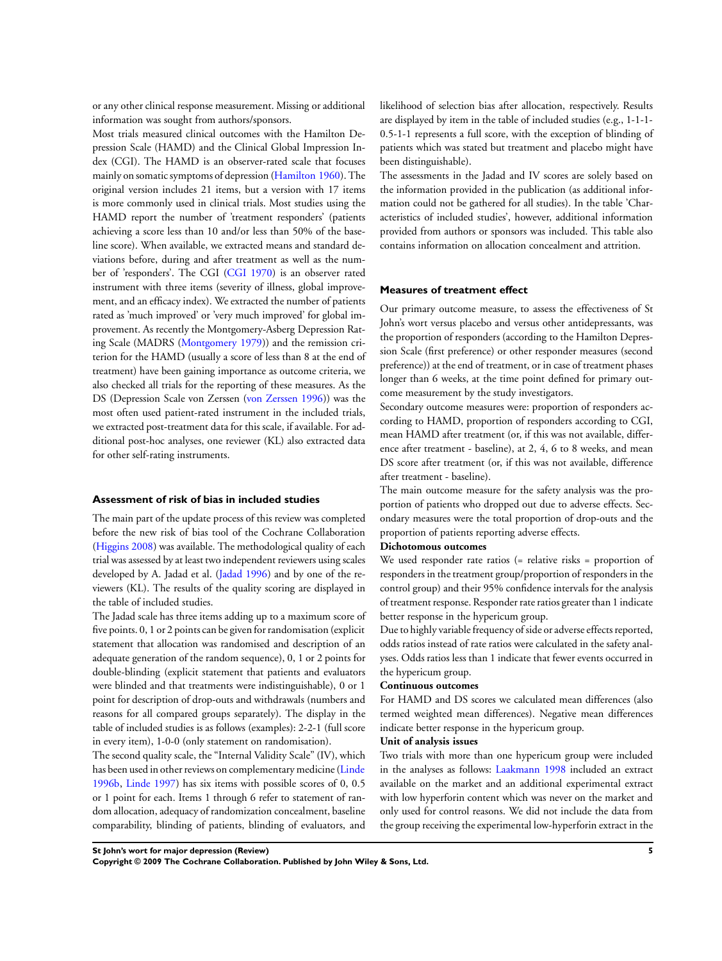or any other clinical response measurement. Missing or additional information was sought from authors/sponsors.

Most trials measured clinical outcomes with the Hamilton Depression Scale (HAMD) and the Clinical Global Impression Index (CGI). The HAMD is an observer-rated scale that focuses mainly on somatic symptoms of depression ([Hamilton 1960](#page-19-0)). The original version includes 21 items, but a version with 17 items is more commonly used in clinical trials. Most studies using the HAMD report the number of 'treatment responders' (patients achieving a score less than 10 and/or less than 50% of the baseline score). When available, we extracted means and standard deviations before, during and after treatment as well as the number of 'responders'. The CGI [\(CGI 1970\)](#page-19-0) is an observer rated instrument with three items (severity of illness, global improvement, and an efficacy index). We extracted the number of patients rated as 'much improved' or 'very much improved' for global improvement. As recently the Montgomery-Asberg Depression Rating Scale (MADRS [\(Montgomery 1979](#page-19-0))) and the remission criterion for the HAMD (usually a score of less than 8 at the end of treatment) have been gaining importance as outcome criteria, we also checked all trials for the reporting of these measures. As the DS (Depression Scale von Zerssen [\(von Zerssen 1996](#page-19-0))) was the most often used patient-rated instrument in the included trials, we extracted post-treatment data for this scale, if available. For additional post-hoc analyses, one reviewer (KL) also extracted data for other self-rating instruments.

### **Assessment of risk of bias in included studies**

The main part of the update process of this review was completed before the new risk of bias tool of the Cochrane Collaboration [\(Higgins 2008](#page-19-0)) was available. The methodological quality of each trial was assessed by at least two independent reviewers using scales developed by A. Jadad et al. [\(Jadad 1996](#page-19-0)) and by one of the reviewers (KL). The results of the quality scoring are displayed in the table of included studies.

The Jadad scale has three items adding up to a maximum score of five points. 0, 1 or 2 points can be given for randomisation (explicit statement that allocation was randomised and description of an adequate generation of the random sequence), 0, 1 or 2 points for double-blinding (explicit statement that patients and evaluators were blinded and that treatments were indistinguishable), 0 or 1 point for description of drop-outs and withdrawals (numbers and reasons for all compared groups separately). The display in the table of included studies is as follows (examples): 2-2-1 (full score in every item), 1-0-0 (only statement on randomisation).

The second quality scale, the "Internal Validity Scale" (IV), which has been used in other reviews on complementary medicine [\(Linde](#page-19-0) [1996b,](#page-19-0) [Linde 1997\)](#page-19-0) has six items with possible scores of 0, 0.5 or 1 point for each. Items 1 through 6 refer to statement of random allocation, adequacy of randomization concealment, baseline comparability, blinding of patients, blinding of evaluators, and likelihood of selection bias after allocation, respectively. Results are displayed by item in the table of included studies (e.g., 1-1-1- 0.5-1-1 represents a full score, with the exception of blinding of patients which was stated but treatment and placebo might have been distinguishable).

The assessments in the Jadad and IV scores are solely based on the information provided in the publication (as additional information could not be gathered for all studies). In the table 'Characteristics of included studies', however, additional information provided from authors or sponsors was included. This table also contains information on allocation concealment and attrition.

#### **Measures of treatment effect**

Our primary outcome measure, to assess the effectiveness of St John's wort versus placebo and versus other antidepressants, was the proportion of responders (according to the Hamilton Depression Scale (first preference) or other responder measures (second preference)) at the end of treatment, or in case of treatment phases longer than 6 weeks, at the time point defined for primary outcome measurement by the study investigators.

Secondary outcome measures were: proportion of responders according to HAMD, proportion of responders according to CGI, mean HAMD after treatment (or, if this was not available, difference after treatment - baseline), at 2, 4, 6 to 8 weeks, and mean DS score after treatment (or, if this was not available, difference after treatment - baseline).

The main outcome measure for the safety analysis was the proportion of patients who dropped out due to adverse effects. Secondary measures were the total proportion of drop-outs and the proportion of patients reporting adverse effects.

#### **Dichotomous outcomes**

We used responder rate ratios (= relative risks = proportion of responders in the treatment group/proportion of responders in the control group) and their 95% confidence intervals for the analysis of treatment response. Responder rate ratios greater than 1 indicate better response in the hypericum group.

Due to highly variable frequency of side or adverse effects reported, odds ratios instead of rate ratios were calculated in the safety analyses. Odds ratios less than 1 indicate that fewer events occurred in the hypericum group.

#### **Continuous outcomes**

For HAMD and DS scores we calculated mean differences (also termed weighted mean differences). Negative mean differences indicate better response in the hypericum group.

#### **Unit of analysis issues**

Two trials with more than one hypericum group were included in the analyses as follows: [Laakmann 1998](#page-19-0) included an extract available on the market and an additional experimental extract with low hyperforin content which was never on the market and only used for control reasons. We did not include the data from the group receiving the experimental low-hyperforin extract in the

**St John's wort for major depression (Review) 5**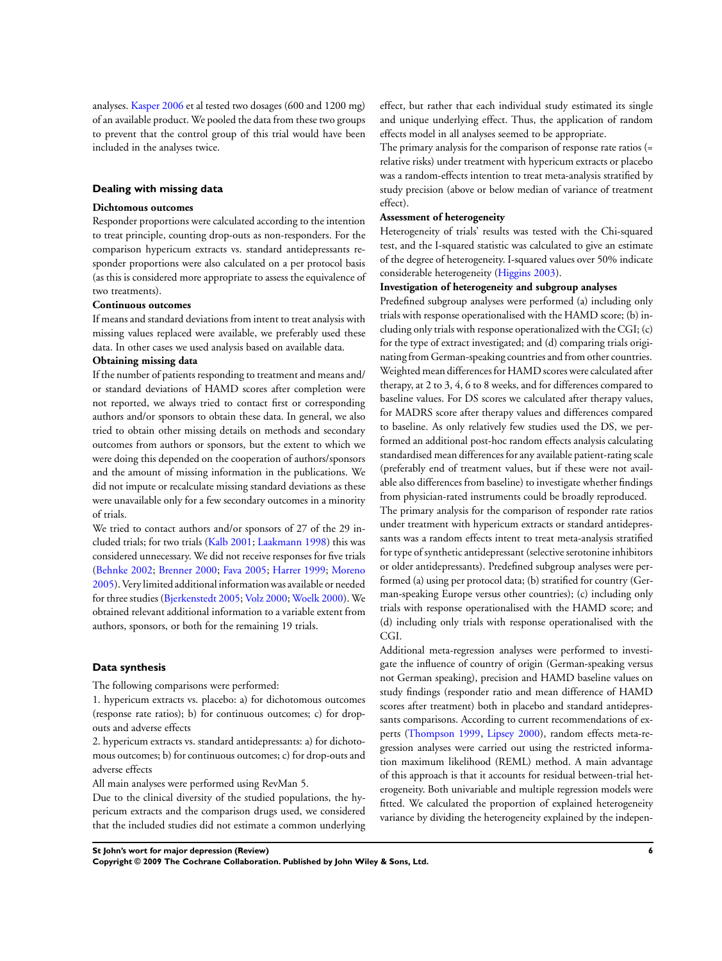analyses. [Kasper 2006](#page-19-0) et al tested two dosages (600 and 1200 mg) of an available product. We pooled the data from these two groups to prevent that the control group of this trial would have been included in the analyses twice.

#### **Dealing with missing data**

#### **Dichtomous outcomes**

Responder proportions were calculated according to the intention to treat principle, counting drop-outs as non-responders. For the comparison hypericum extracts vs. standard antidepressants responder proportions were also calculated on a per protocol basis (as this is considered more appropriate to assess the equivalence of two treatments).

#### **Continuous outcomes**

If means and standard deviations from intent to treat analysis with missing values replaced were available, we preferably used these data. In other cases we used analysis based on available data.

### **Obtaining missing data**

If the number of patients responding to treatment and means and/ or standard deviations of HAMD scores after completion were not reported, we always tried to contact first or corresponding authors and/or sponsors to obtain these data. In general, we also tried to obtain other missing details on methods and secondary outcomes from authors or sponsors, but the extent to which we were doing this depended on the cooperation of authors/sponsors and the amount of missing information in the publications. We did not impute or recalculate missing standard deviations as these were unavailable only for a few secondary outcomes in a minority of trials.

We tried to contact authors and/or sponsors of 27 of the 29 included trials; for two trials [\(Kalb 2001;](#page-19-0) [Laakmann 1998](#page-19-0)) this was considered unnecessary. We did not receive responses for five trials [\(Behnke 2002;](#page-19-0) [Brenner 2000](#page-19-0); [Fava 2005;](#page-19-0) [Harrer 1999](#page-19-0); [Moreno](#page-19-0) [2005](#page-19-0)). Very limited additional information was available or needed for three studies [\(Bjerkenstedt 2005](#page-19-0); [Volz 2000;](#page-19-0) [Woelk 2000\)](#page-19-0). We obtained relevant additional information to a variable extent from authors, sponsors, or both for the remaining 19 trials.

### **Data synthesis**

The following comparisons were performed:

1. hypericum extracts vs. placebo: a) for dichotomous outcomes (response rate ratios); b) for continuous outcomes; c) for dropouts and adverse effects

2. hypericum extracts vs. standard antidepressants: a) for dichotomous outcomes; b) for continuous outcomes; c) for drop-outs and adverse effects

All main analyses were performed using RevMan 5.

Due to the clinical diversity of the studied populations, the hypericum extracts and the comparison drugs used, we considered that the included studies did not estimate a common underlying effect, but rather that each individual study estimated its single and unique underlying effect. Thus, the application of random effects model in all analyses seemed to be appropriate.

The primary analysis for the comparison of response rate ratios (= relative risks) under treatment with hypericum extracts or placebo was a random-effects intention to treat meta-analysis stratified by study precision (above or below median of variance of treatment effect).

#### **Assessment of heterogeneity**

Heterogeneity of trials' results was tested with the Chi-squared test, and the I-squared statistic was calculated to give an estimate of the degree of heterogeneity. I-squared values over 50% indicate considerable heterogeneity [\(Higgins 2003\)](#page-19-0).

### **Investigation of heterogeneity and subgroup analyses**

Predefined subgroup analyses were performed (a) including only trials with response operationalised with the HAMD score; (b) including only trials with response operationalized with the CGI; (c) for the type of extract investigated; and (d) comparing trials originating from German-speaking countries and from other countries. Weighted mean differences for HAMD scores were calculated after therapy, at 2 to 3, 4, 6 to 8 weeks, and for differences compared to baseline values. For DS scores we calculated after therapy values, for MADRS score after therapy values and differences compared to baseline. As only relatively few studies used the DS, we performed an additional post-hoc random effects analysis calculating standardised mean differences for any available patient-rating scale (preferably end of treatment values, but if these were not available also differences from baseline) to investigate whether findings from physician-rated instruments could be broadly reproduced.

The primary analysis for the comparison of responder rate ratios under treatment with hypericum extracts or standard antidepressants was a random effects intent to treat meta-analysis stratified for type of synthetic antidepressant (selective serotonine inhibitors or older antidepressants). Predefined subgroup analyses were performed (a) using per protocol data; (b) stratified for country (German-speaking Europe versus other countries); (c) including only trials with response operationalised with the HAMD score; and (d) including only trials with response operationalised with the CGI.

Additional meta-regression analyses were performed to investigate the influence of country of origin (German-speaking versus not German speaking), precision and HAMD baseline values on study findings (responder ratio and mean difference of HAMD scores after treatment) both in placebo and standard antidepressants comparisons. According to current recommendations of experts [\(Thompson 1999](#page-19-0), [Lipsey 2000](#page-19-0)), random effects meta-regression analyses were carried out using the restricted information maximum likelihood (REML) method. A main advantage of this approach is that it accounts for residual between-trial heterogeneity. Both univariable and multiple regression models were fitted. We calculated the proportion of explained heterogeneity variance by dividing the heterogeneity explained by the indepen-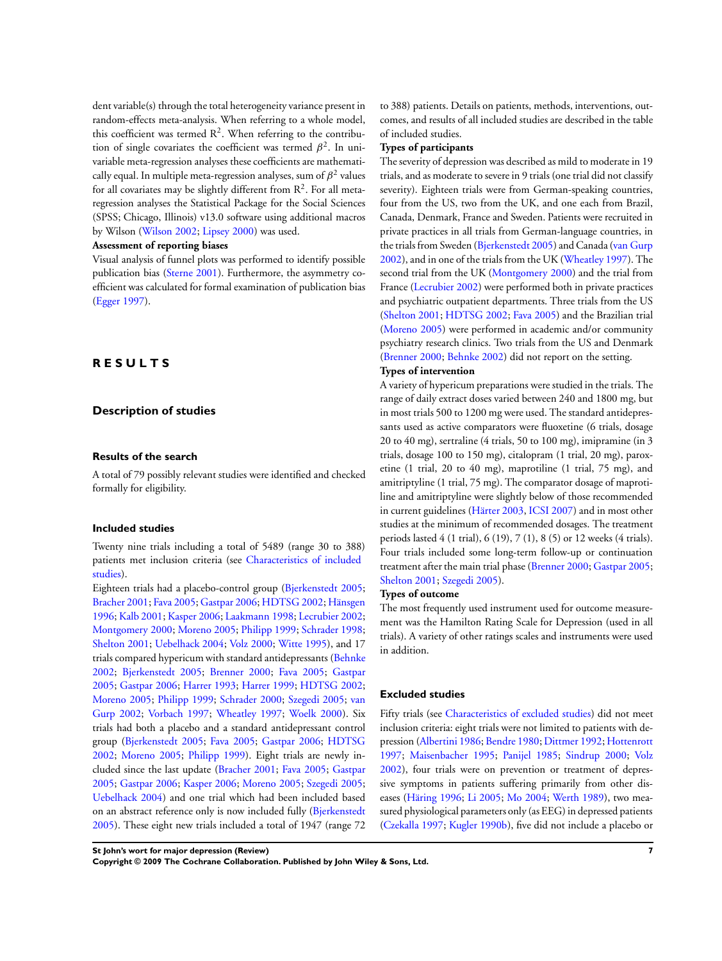dent variable(s) through the total heterogeneity variance present in random-effects meta-analysis. When referring to a whole model, this coefficient was termed  $R^2$ . When referring to the contribution of single covariates the coefficient was termed  $\beta^2$ . In univariable meta-regression analyses these coefficients are mathematically equal. In multiple meta-regression analyses, sum of  $\beta^2$  values for all covariates may be slightly different from  $\mathsf{R}^2.$  For all metaregression analyses the Statistical Package for the Social Sciences (SPSS; Chicago, Illinois) v13.0 software using additional macros by Wilson ([Wilson 2002](#page-19-0); [Lipsey 2000](#page-19-0)) was used.

#### **Assessment of reporting biases**

Visual analysis of funnel plots was performed to identify possible publication bias [\(Sterne 2001\)](#page-19-0). Furthermore, the asymmetry coefficient was calculated for formal examination of publication bias [\(Egger 1997](#page-19-0)).

## **R E S U L T S**

## **Description of studies**

#### **Results of the search**

A total of 79 possibly relevant studies were identified and checked formally for eligibility.

### **Included studies**

Twenty nine trials including a total of 5489 (range 30 to 388) patients met inclusion criteria (see [Characteristics of included](#page-27-0) [studies\)](#page-27-0).

Eighteen trials had a placebo-control group ([Bjerkenstedt 2005;](#page-19-0) [Bracher 2001;](#page-19-0) [Fava 2005](#page-19-0); [Gastpar 2006;](#page-19-0) [HDTSG 2002;](#page-19-0) [Hänsgen](#page-19-0) [1996](#page-19-0); [Kalb 2001](#page-19-0); [Kasper 2006;](#page-19-0) [Laakmann 1998](#page-19-0); [Lecrubier 2002;](#page-19-0) [Montgomery 2000](#page-19-0); [Moreno 2005](#page-19-0); [Philipp 1999](#page-19-0); [Schrader 1998;](#page-19-0) [Shelton 2001](#page-19-0); [Uebelhack 2004;](#page-19-0) [Volz 2000;](#page-19-0) [Witte 1995\)](#page-19-0), and 17 trials compared hypericum with standard antidepressants [\(Behnke](#page-19-0) [2002](#page-19-0); [Bjerkenstedt 2005](#page-19-0); [Brenner 2000](#page-19-0); [Fava 2005](#page-19-0); [Gastpar](#page-19-0) [2005](#page-19-0); [Gastpar 2006](#page-19-0); [Harrer 1993;](#page-19-0) [Harrer 1999;](#page-19-0) [HDTSG 2002;](#page-19-0) [Moreno 2005;](#page-19-0) [Philipp 1999](#page-19-0); [Schrader 2000](#page-19-0); [Szegedi 2005;](#page-19-0) [van](#page-19-0) [Gurp 2002](#page-19-0); [Vorbach 1997](#page-19-0); [Wheatley 1997;](#page-19-0) [Woelk 2000](#page-19-0)). Six trials had both a placebo and a standard antidepressant control group ([Bjerkenstedt 2005;](#page-19-0) [Fava 2005](#page-19-0); [Gastpar 2006](#page-19-0); [HDTSG](#page-19-0) [2002](#page-19-0); [Moreno 2005](#page-19-0); [Philipp 1999](#page-19-0)). Eight trials are newly included since the last update ([Bracher 2001](#page-19-0); [Fava 2005;](#page-19-0) [Gastpar](#page-19-0) [2005](#page-19-0); [Gastpar 2006](#page-19-0); [Kasper 2006](#page-19-0); [Moreno 2005](#page-19-0); [Szegedi 2005;](#page-19-0) [Uebelhack 2004](#page-19-0)) and one trial which had been included based on an abstract reference only is now included fully ([Bjerkenstedt](#page-19-0) [2005](#page-19-0)). These eight new trials included a total of 1947 (range 72 to 388) patients. Details on patients, methods, interventions, outcomes, and results of all included studies are described in the table of included studies.

## **Types of participants**

The severity of depression was described as mild to moderate in 19 trials, and as moderate to severe in 9 trials (one trial did not classify severity). Eighteen trials were from German-speaking countries, four from the US, two from the UK, and one each from Brazil, Canada, Denmark, France and Sweden. Patients were recruited in private practices in all trials from German-language countries, in the trials from Sweden [\(Bjerkenstedt 2005](#page-19-0)) and Canada [\(van Gurp](#page-19-0) [2002](#page-19-0)), and in one of the trials from the UK ([Wheatley 1997](#page-19-0)). The second trial from the UK [\(Montgomery 2000\)](#page-19-0) and the trial from France [\(Lecrubier 2002](#page-19-0)) were performed both in private practices and psychiatric outpatient departments. Three trials from the US [\(Shelton 2001;](#page-19-0) [HDTSG 2002](#page-19-0); [Fava 2005\)](#page-19-0) and the Brazilian trial [\(Moreno 2005\)](#page-19-0) were performed in academic and/or community psychiatry research clinics. Two trials from the US and Denmark [\(Brenner 2000](#page-19-0); [Behnke 2002](#page-19-0)) did not report on the setting.

#### **Types of intervention**

A variety of hypericum preparations were studied in the trials. The range of daily extract doses varied between 240 and 1800 mg, but in most trials 500 to 1200 mg were used. The standard antidepressants used as active comparators were fluoxetine (6 trials, dosage 20 to 40 mg), sertraline (4 trials, 50 to 100 mg), imipramine (in 3 trials, dosage 100 to 150 mg), citalopram (1 trial, 20 mg), paroxetine (1 trial, 20 to 40 mg), maprotiline (1 trial, 75 mg), and amitriptyline (1 trial, 75 mg). The comparator dosage of maprotiline and amitriptyline were slightly below of those recommended in current guidelines ([Härter 2003,](#page-19-0) [ICSI 2007](#page-19-0)) and in most other studies at the minimum of recommended dosages. The treatment periods lasted 4 (1 trial), 6 (19), 7 (1), 8 (5) or 12 weeks (4 trials). Four trials included some long-term follow-up or continuation treatment after the main trial phase ([Brenner 2000](#page-19-0); [Gastpar 2005;](#page-19-0) [Shelton 2001](#page-19-0); [Szegedi 2005\)](#page-19-0).

## **Types of outcome**

The most frequently used instrument used for outcome measurement was the Hamilton Rating Scale for Depression (used in all trials). A variety of other ratings scales and instruments were used in addition.

#### **Excluded studies**

Fifty trials (see [Characteristics of excluded studies](#page-46-0)) did not meet inclusion criteria: eight trials were not limited to patients with depression ([Albertini 1986](#page-19-0); [Bendre 1980;](#page-19-0) [Dittmer 1992](#page-19-0); [Hottenrott](#page-19-0) [1997](#page-19-0); [Maisenbacher 1995](#page-19-0); [Panijel 1985;](#page-19-0) [Sindrup 2000;](#page-19-0) [Volz](#page-19-0) [2002](#page-19-0)), four trials were on prevention or treatment of depressive symptoms in patients suffering primarily from other diseases [\(Häring 1996;](#page-19-0) [Li 2005](#page-19-0); [Mo 2004;](#page-19-0) [Werth 1989\)](#page-19-0), two measured physiological parameters only (as EEG) in depressed patients [\(Czekalla 1997;](#page-19-0) [Kugler 1990b](#page-19-0)), five did not include a placebo or

**St John's wort for major depression (Review) 7**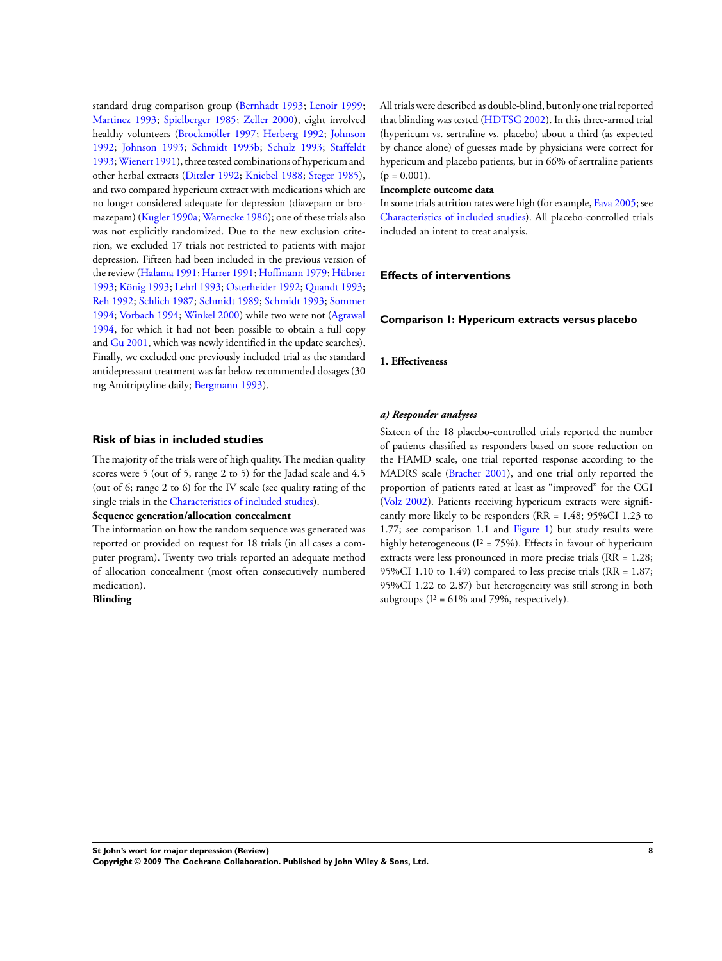standard drug comparison group [\(Bernhadt 1993](#page-19-0); [Lenoir 1999;](#page-19-0) [Martinez 1993](#page-19-0); [Spielberger 1985;](#page-19-0) [Zeller 2000](#page-19-0)), eight involved healthy volunteers ([Brockmöller 1997](#page-19-0); [Herberg 1992](#page-19-0); [Johnson](#page-19-0) [1992](#page-19-0); [Johnson 1993;](#page-19-0) [Schmidt 1993b](#page-19-0); [Schulz 1993;](#page-19-0) [Staffeldt](#page-19-0) [1993](#page-19-0);[Wienert 1991\)](#page-19-0), three tested combinations of hypericum and other herbal extracts ([Ditzler 1992](#page-19-0); [Kniebel 1988;](#page-19-0) [Steger 1985](#page-19-0)), and two compared hypericum extract with medications which are no longer considered adequate for depression (diazepam or bromazepam) ([Kugler 1990a](#page-19-0); [Warnecke 1986\)](#page-19-0); one of these trials also was not explicitly randomized. Due to the new exclusion criterion, we excluded 17 trials not restricted to patients with major depression. Fifteen had been included in the previous version of the review ([Halama 1991;](#page-19-0) [Harrer 1991](#page-19-0); [Hoffmann 1979;](#page-19-0) [Hübner](#page-19-0) [1993](#page-19-0); [König 1993;](#page-19-0) [Lehrl 1993](#page-19-0); [Osterheider 1992](#page-19-0); [Quandt 1993;](#page-19-0) [Reh 1992](#page-19-0); [Schlich 1987;](#page-19-0) [Schmidt 1989;](#page-19-0) [Schmidt 1993](#page-19-0); [Sommer](#page-19-0) [1994](#page-19-0); [Vorbach 1994](#page-19-0); [Winkel 2000\)](#page-19-0) while two were not [\(Agrawal](#page-19-0) [1994](#page-19-0), for which it had not been possible to obtain a full copy and [Gu 2001](#page-19-0), which was newly identified in the update searches). Finally, we excluded one previously included trial as the standard antidepressant treatment was far below recommended dosages (30 mg Amitriptyline daily; [Bergmann 1993](#page-19-0)).

## **Risk of bias in included studies**

The majority of the trials were of high quality. The median quality scores were 5 (out of 5, range 2 to 5) for the Jadad scale and 4.5 (out of 6; range 2 to 6) for the IV scale (see quality rating of the single trials in the [Characteristics of included studies](#page-27-0)).

## **Sequence generation/allocation concealment**

The information on how the random sequence was generated was reported or provided on request for 18 trials (in all cases a computer program). Twenty two trials reported an adequate method of allocation concealment (most often consecutively numbered medication).

## **Blinding**

All trials were described as double-blind, but only one trial reported that blinding was tested ([HDTSG 2002\)](#page-19-0). In this three-armed trial (hypericum vs. sertraline vs. placebo) about a third (as expected by chance alone) of guesses made by physicians were correct for hypericum and placebo patients, but in 66% of sertraline patients  $(p = 0.001)$ .

#### **Incomplete outcome data**

In some trials attrition rates were high (for example, [Fava 2005](#page-19-0); see [Characteristics of included studies](#page-27-0)). All placebo-controlled trials included an intent to treat analysis.

## **Effects of interventions**

### **Comparison 1: Hypericum extracts versus placebo**

### **1. Effectiveness**

## *a) Responder analyses*

Sixteen of the 18 placebo-controlled trials reported the number of patients classified as responders based on score reduction on the HAMD scale, one trial reported response according to the MADRS scale ([Bracher 2001\)](#page-19-0), and one trial only reported the proportion of patients rated at least as "improved" for the CGI [\(Volz 2002](#page-19-0)). Patients receiving hypericum extracts were significantly more likely to be responders (RR = 1.48; 95%CI 1.23 to 1.77; see comparison 1.1 and [Figure 1](#page-10-0)) but study results were highly heterogeneous ( $I^2 = 75\%$ ). Effects in favour of hypericum extracts were less pronounced in more precise trials (RR = 1.28; 95%CI 1.10 to 1.49) compared to less precise trials (RR = 1.87; 95%CI 1.22 to 2.87) but heterogeneity was still strong in both subgroups ( $I^2 = 61\%$  and 79%, respectively).

**St John's wort for major depression (Review) 8 Copyright © 2009 The Cochrane Collaboration. Published by John Wiley & Sons, Ltd.**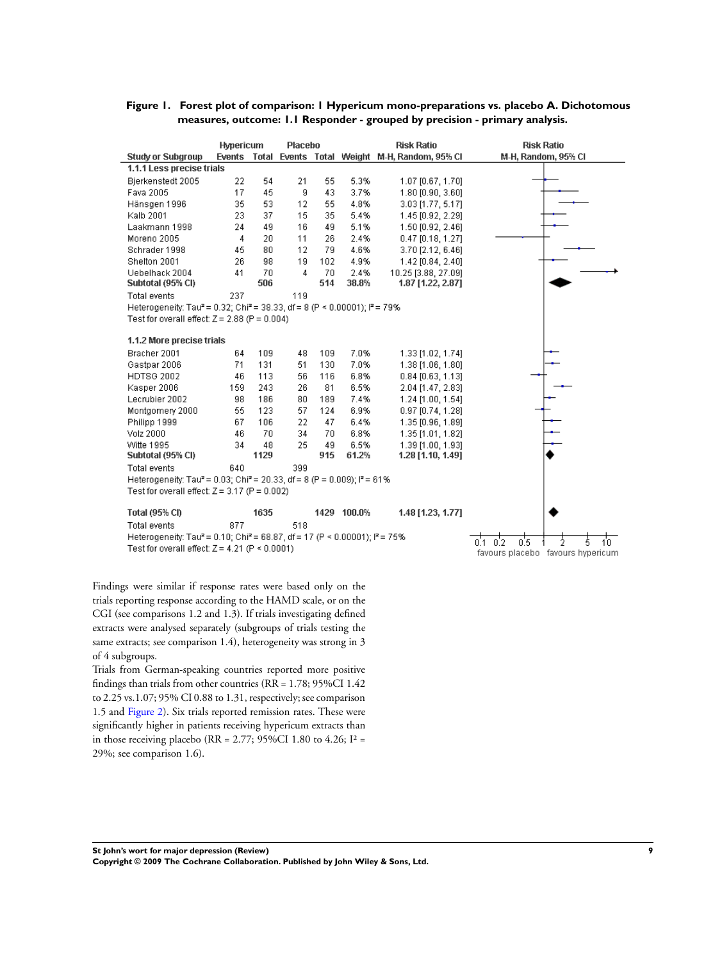## <span id="page-10-0"></span>**Figure 1. Forest plot of comparison: 1 Hypericum mono-preparations vs. placebo A. Dichotomous measures, outcome: 1.1 Responder - grouped by precision - primary analysis.**

|                                                                                                            | <b>Hypericum</b> |      | <b>Placebo</b> |     |             | <b>Risk Ratio</b>                                    | <b>Risk Ratio</b>                 |
|------------------------------------------------------------------------------------------------------------|------------------|------|----------------|-----|-------------|------------------------------------------------------|-----------------------------------|
| <b>Study or Subgroup</b>                                                                                   |                  |      |                |     |             | Events Total Events Total Weight M-H, Random, 95% CI | M-H, Random, 95% CI               |
| 1.1.1 Less precise trials                                                                                  |                  |      |                |     |             |                                                      |                                   |
| Bjerkenstedt 2005                                                                                          | 22               | 54   | 21             | 55  | 5.3%        | 1.07 [0.67, 1.70]                                    |                                   |
| Fava 2005                                                                                                  | 17               | 45   | 9              | 43  | 3.7%        | 1.80 [0.90, 3.60]                                    |                                   |
| Hänsgen 1996                                                                                               | 35               | 53   | 12             | 55  | 4.8%        | 3.03 [1.77, 5.17]                                    |                                   |
| Kalb 2001                                                                                                  | 23               | 37   | 15             | 35  | 5.4%        | 1.45 [0.92, 2.29]                                    |                                   |
| Laakmann 1998                                                                                              | 24               | 49   | 16             | 49  | 5.1%        | 1.50 [0.92, 2.46]                                    |                                   |
| Moreno 2005                                                                                                | 4                | 20   | 11             | 26  | 2.4%        | $0.47$ [0.18, 1.27]                                  |                                   |
| Schrader 1998                                                                                              | 45               | 80   | 12             | 79  | 4.6%        | 3.70 [2.12, 6.46]                                    |                                   |
| Shelton 2001                                                                                               | 26               | 98   | 19             | 102 | 4.9%        | 1.42 [0.84, 2.40]                                    |                                   |
| Uebelhack 2004                                                                                             | 41               | 70   | 4              | 70  | 2.4%        | 10.25 [3.88, 27.09]                                  |                                   |
| Subtotal (95% CI)                                                                                          |                  | 506  |                | 514 | 38.8%       | 1.87 [1.22, 2.87]                                    |                                   |
| Total events                                                                                               | 237              |      | 119            |     |             |                                                      |                                   |
| Heterogeneity: Tau <sup>2</sup> = 0.32; Chi <sup>2</sup> = 38.33, df = 8 (P < 0.00001); $P = 79\%$         |                  |      |                |     |             |                                                      |                                   |
| Test for overall effect: $Z = 2.88$ (P = 0.004)                                                            |                  |      |                |     |             |                                                      |                                   |
|                                                                                                            |                  |      |                |     |             |                                                      |                                   |
| 1.1.2 More precise trials                                                                                  |                  |      |                |     |             |                                                      |                                   |
| Bracher 2001                                                                                               | 64               | 109  | 48             | 109 | 7.0%        | 1.33 [1.02, 1.74]                                    |                                   |
| Gastpar 2006                                                                                               | 71               | 131  | 51             | 130 | 7.0%        | 1.38 [1.06, 1.80]                                    |                                   |
| <b>HDTSG 2002</b>                                                                                          | 46               | 113  | 56             | 116 | 6.8%        | $0.84$ [0.63, 1.13]                                  |                                   |
| Kasper 2006                                                                                                | 159              | 243  | 26             | 81  | 6.5%        | 2.04 [1.47, 2.83]                                    |                                   |
| Lecrubier 2002                                                                                             | 98               | 186  | 80             | 189 | 7.4%        | 1.24 [1.00, 1.54]                                    |                                   |
| Montgomery 2000                                                                                            | 55               | 123  | 57             | 124 | 6.9%        | $0.97$ [0.74, 1.28]                                  |                                   |
| Philipp 1999                                                                                               | 67               | 106  | 22             | 47  | 6.4%        | 1.35 [0.96, 1.89]                                    |                                   |
| Volz 2000                                                                                                  | 46               | 70   | 34             | 70  | 6.8%        | 1.35 [1.01, 1.82]                                    |                                   |
| Witte 1995                                                                                                 | 34               | 48   | 25             | 49  | 6.5%        | 1.39 [1.00, 1.93]                                    |                                   |
| Subtotal (95% CI)                                                                                          |                  | 1129 |                | 915 | 61.2%       | 1.28 [1.10, 1.49]                                    |                                   |
| <b>Total events</b>                                                                                        | 640              |      | 399            |     |             |                                                      |                                   |
| Heterogeneity: Tau <sup>2</sup> = 0.03; Chi <sup>2</sup> = 20.33, df = 8 (P = 0.009); i <sup>2</sup> = 61% |                  |      |                |     |             |                                                      |                                   |
| Test for overall effect: $Z = 3.17$ (P = 0.002)                                                            |                  |      |                |     |             |                                                      |                                   |
| <b>Total (95% CI)</b>                                                                                      |                  | 1635 |                |     | 1429 100.0% | 1.48 [1.23, 1.77]                                    |                                   |
| <b>Total events</b>                                                                                        | 877              |      | 518            |     |             |                                                      |                                   |
| Heterogeneity: Tau <sup>2</sup> = 0.10; Chi <sup>2</sup> = 68.87, df = 17 (P < 0.00001); $P = 75\%$        |                  |      |                |     |             |                                                      |                                   |
| Test for overall effect: $Z = 4.21$ (P < 0.0001)                                                           |                  |      |                |     |             |                                                      | 0.5<br>10<br>0.2<br>ż<br>6<br>0.1 |
|                                                                                                            |                  |      |                |     |             |                                                      | favours placebo favours hypericum |

Findings were similar if response rates were based only on the trials reporting response according to the HAMD scale, or on the CGI (see comparisons 1.2 and 1.3). If trials investigating defined extracts were analysed separately (subgroups of trials testing the same extracts; see comparison 1.4), heterogeneity was strong in 3 of 4 subgroups.

Trials from German-speaking countries reported more positive findings than trials from other countries (RR = 1.78; 95%CI 1.42 to 2.25 vs.1.07; 95% CI 0.88 to 1.31, respectively; see comparison 1.5 and [Figure 2](#page-11-0)). Six trials reported remission rates. These were significantly higher in patients receiving hypericum extracts than in those receiving placebo (RR = 2.77; 95%CI 1.80 to 4.26;  $I^2$  = 29%; see comparison 1.6).

**St John's wort for major depression (Review) 9**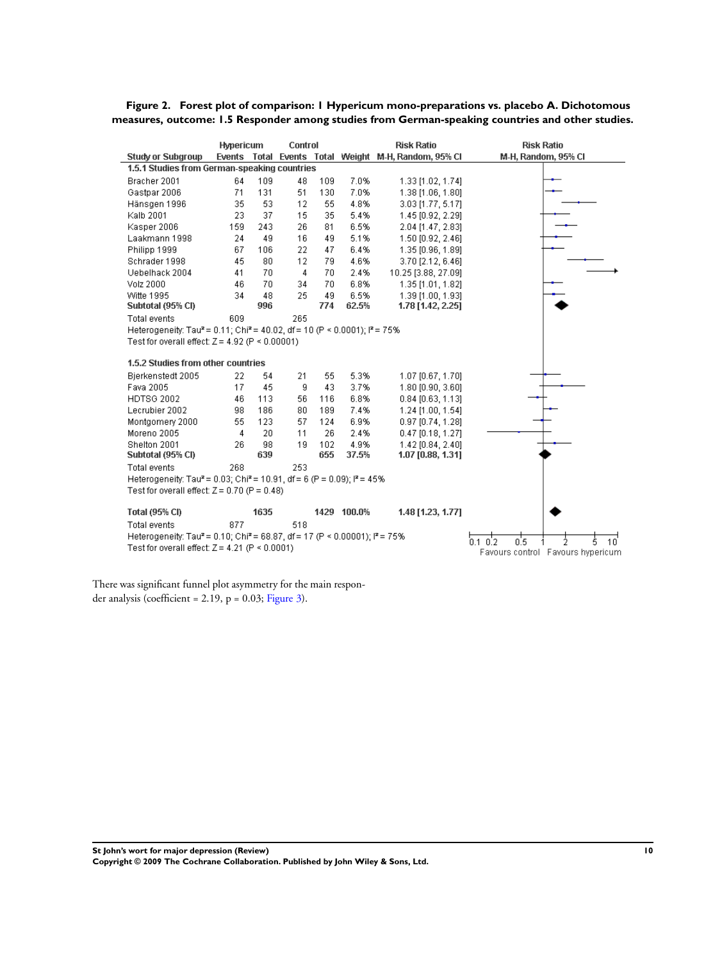## <span id="page-11-0"></span>**Figure 2. Forest plot of comparison: 1 Hypericum mono-preparations vs. placebo A. Dichotomous measures, outcome: 1.5 Responder among studies from German-speaking countries and other studies.**

|                                                                                                     | Hypericum |      | Control |     |             | <b>Risk Ratio</b>                                    | <b>Risk Ratio</b>                                                             |
|-----------------------------------------------------------------------------------------------------|-----------|------|---------|-----|-------------|------------------------------------------------------|-------------------------------------------------------------------------------|
| <b>Study or Subgroup</b>                                                                            |           |      |         |     |             | Events Total Events Total Weight M-H, Random, 95% CI | M-H, Random, 95% CI                                                           |
| 1.5.1 Studies from German-speaking countries                                                        |           |      |         |     |             |                                                      |                                                                               |
| Bracher 2001                                                                                        | 64        | 109  | 48      | 109 | 7.0%        | 1.33 [1.02, 1.74]                                    |                                                                               |
| Gastpar 2006                                                                                        | 71        | 131  | 51      | 130 | 7.0%        | 1.38 [1.06, 1.80]                                    |                                                                               |
| Hänsgen 1996                                                                                        | 35        | 53   | 12      | 55  | 4.8%        | 3.03 [1.77, 5.17]                                    |                                                                               |
| Kalb 2001                                                                                           | 23        | 37   | 15      | 35  | 5.4%        | 1.45 [0.92, 2.29]                                    |                                                                               |
| Kasper 2006                                                                                         | 159       | 243  | 26      | 81  | 6.5%        | 2.04 [1.47, 2.83]                                    |                                                                               |
| Laakmann 1998                                                                                       | 24        | 49   | 16      | 49  | 5.1%        | 1.50 [0.92, 2.46]                                    |                                                                               |
| Philipp 1999                                                                                        | 67        | 106  | 22      | 47  | 6.4%        | 1.35 [0.96, 1.89]                                    |                                                                               |
| Schrader 1998                                                                                       | 45        | 80   | 12      | 79  | 4.6%        | 3.70 [2.12, 6.46]                                    |                                                                               |
| Uebelhack 2004                                                                                      | 41        | 70   | 4       | 70  | 2.4%        | 10.25 [3.88, 27.09]                                  |                                                                               |
| Volz 2000                                                                                           | 46        | 70   | 34      | 70  | 6.8%        | 1.35 [1.01, 1.82]                                    |                                                                               |
| Witte 1995                                                                                          | 34        | 48   | 25      | 49  | 6.5%        | 1.39 [1.00, 1.93]                                    |                                                                               |
| Subtotal (95% CI)                                                                                   |           | 996  |         | 774 | 62.5%       | 1.78 [1.42, 2.25]                                    |                                                                               |
| Total events                                                                                        | 609       |      | 265     |     |             |                                                      |                                                                               |
| Heterogeneity: Tau <sup>2</sup> = 0.11; Chi <sup>2</sup> = 40.02, df = 10 (P < 0.0001); $P = 75\%$  |           |      |         |     |             |                                                      |                                                                               |
| Test for overall effect: $Z = 4.92$ (P < 0.00001)                                                   |           |      |         |     |             |                                                      |                                                                               |
| 1.5.2 Studies from other countries                                                                  |           |      |         |     |             |                                                      |                                                                               |
| Bierkenstedt 2005                                                                                   | 22        | 54   | 21      | 55  | 5.3%        | 1.07 [0.67, 1.70]                                    |                                                                               |
| Fava 2005                                                                                           | 17        | 45   | 9       | 43  | 3.7%        | 1.80 [0.90, 3.60]                                    |                                                                               |
| <b>HDTSG 2002</b>                                                                                   | 46        | 113  | 56      | 116 | 6.8%        | $0.84$ [0.63, 1.13]                                  |                                                                               |
| Lecrubier 2002                                                                                      | 98        | 186  | 80      | 189 | 7.4%        | 1.24 [1.00, 1.54]                                    |                                                                               |
| Montgomery 2000                                                                                     | 55        | 123  | 57      | 124 | 6.9%        | 0.97 [0.74, 1.28]                                    |                                                                               |
| Moreno 2005                                                                                         | 4         | 20   | 11      | 26  | 2.4%        | $0.47$ [0.18, 1.27]                                  |                                                                               |
| Shelton 2001                                                                                        | 26        | 98   | 19      | 102 | 4.9%        | 1.42 [0.84, 2.40]                                    |                                                                               |
| Subtotal (95% CI)                                                                                   |           | 639  |         | 655 | 37.5%       | 1.07 [0.88, 1.31]                                    |                                                                               |
| Total events                                                                                        | 268       |      | 253     |     |             |                                                      |                                                                               |
| Heterogeneity: Tau <sup>2</sup> = 0.03; Chi <sup>2</sup> = 10.91, df = 6 (P = 0.09); $P = 45\%$     |           |      |         |     |             |                                                      |                                                                               |
| Test for overall effect: $Z = 0.70$ (P = 0.48)                                                      |           |      |         |     |             |                                                      |                                                                               |
| <b>Total (95% CI)</b>                                                                               |           | 1635 |         |     | 1429 100.0% | 1.48 [1.23, 1.77]                                    |                                                                               |
| Total events                                                                                        | 877       |      | 518     |     |             |                                                      |                                                                               |
| Heterogeneity: Tau <sup>2</sup> = 0.10; Chi <sup>2</sup> = 68.87, df = 17 (P < 0.00001); $P = 75\%$ |           |      |         |     |             |                                                      |                                                                               |
| Test for overall effect: $Z = 4.21$ (P < 0.0001)                                                    |           |      |         |     |             |                                                      | 0.5<br>$0.1\,0.2$<br>ż<br>$10^{\degree}$<br>Favours control Favours hypericum |
|                                                                                                     |           |      |         |     |             |                                                      |                                                                               |

There was significant funnel plot asymmetry for the main responder analysis (coefficient =  $2.19$ , p =  $0.03$ ; [Figure 3\)](#page-12-0).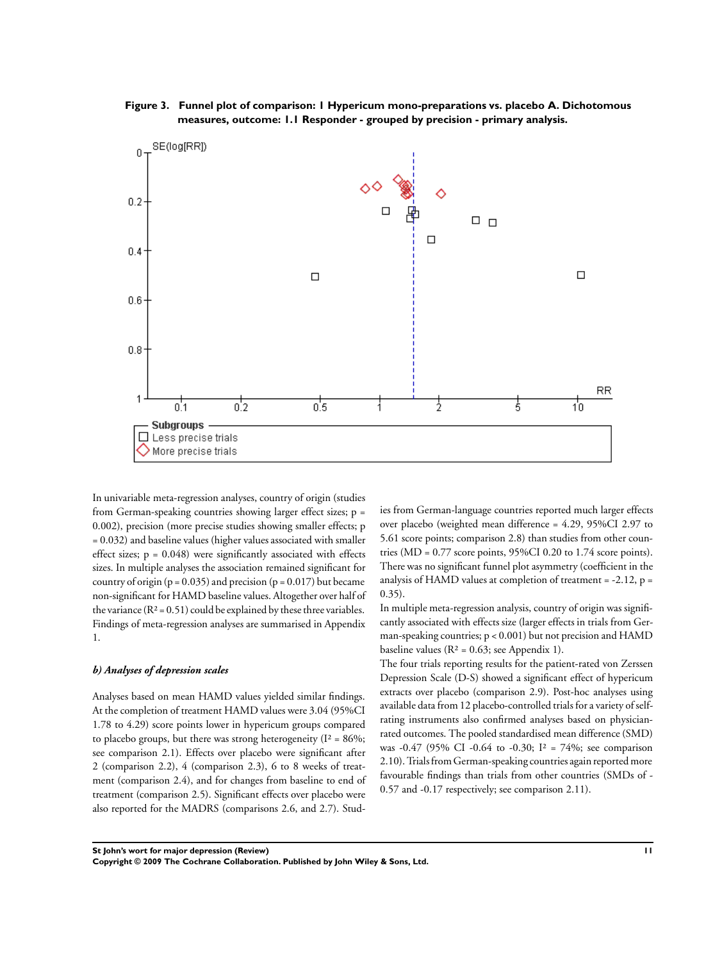<span id="page-12-0"></span>**Figure 3. Funnel plot of comparison: 1 Hypericum mono-preparations vs. placebo A. Dichotomous measures, outcome: 1.1 Responder - grouped by precision - primary analysis.**



In univariable meta-regression analyses, country of origin (studies from German-speaking countries showing larger effect sizes; p = 0.002), precision (more precise studies showing smaller effects; p = 0.032) and baseline values (higher values associated with smaller effect sizes;  $p = 0.048$ ) were significantly associated with effects sizes. In multiple analyses the association remained significant for country of origin ( $p = 0.035$ ) and precision ( $p = 0.017$ ) but became non-significant for HAMD baseline values. Altogether over half of the variance  $(R^2 = 0.51)$  could be explained by these three variables. Findings of meta-regression analyses are summarised in Appendix 1.

### *b) Analyses of depression scales*

Analyses based on mean HAMD values yielded similar findings. At the completion of treatment HAMD values were 3.04 (95%CI 1.78 to 4.29) score points lower in hypericum groups compared to placebo groups, but there was strong heterogeneity ( $I^2 = 86\%$ ; see comparison 2.1). Effects over placebo were significant after 2 (comparison 2.2), 4 (comparison 2.3), 6 to 8 weeks of treatment (comparison 2.4), and for changes from baseline to end of treatment (comparison 2.5). Significant effects over placebo were also reported for the MADRS (comparisons 2.6, and 2.7). Studies from German-language countries reported much larger effects over placebo (weighted mean difference = 4.29, 95%CI 2.97 to 5.61 score points; comparison 2.8) than studies from other countries (MD = 0.77 score points, 95%CI 0.20 to 1.74 score points). There was no significant funnel plot asymmetry (coefficient in the analysis of HAMD values at completion of treatment = -2.12, p = 0.35).

In multiple meta-regression analysis, country of origin was significantly associated with effects size (larger effects in trials from German-speaking countries;  $p < 0.001$ ) but not precision and HAMD baseline values ( $R^2 = 0.63$ ; see Appendix 1).

The four trials reporting results for the patient-rated von Zerssen Depression Scale (D-S) showed a significant effect of hypericum extracts over placebo (comparison 2.9). Post-hoc analyses using available data from 12 placebo-controlled trials for a variety of selfrating instruments also confirmed analyses based on physicianrated outcomes. The pooled standardised mean difference (SMD) was -0.47 (95% CI -0.64 to -0.30; I² = 74%; see comparison 2.10). Trials from German-speaking countries again reported more favourable findings than trials from other countries (SMDs of - 0.57 and -0.17 respectively; see comparison 2.11).

**St John's wort for major depression (Review) 11**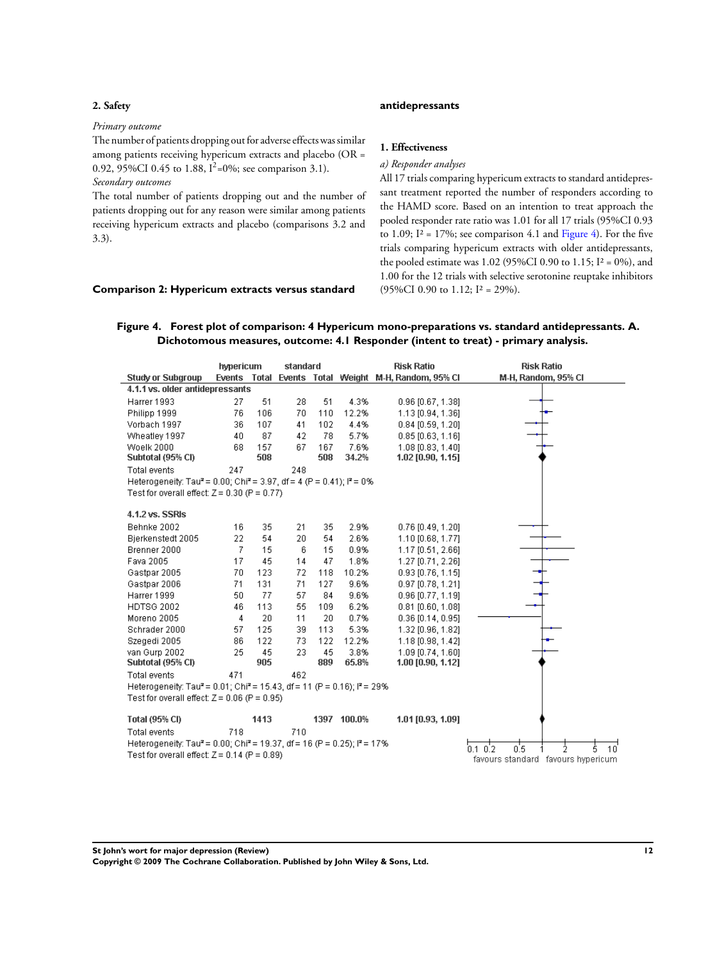### **2. Safety**

## *Primary outcome*

The number of patients dropping out for adverse effects was similar among patients receiving hypericum extracts and placebo (OR = 0.92, 95%CI 0.45 to 1.88,  $I^2$ =0%; see comparison 3.1).

*Secondary outcomes*

The total number of patients dropping out and the number of patients dropping out for any reason were similar among patients receiving hypericum extracts and placebo (comparisons 3.2 and 3.3).

### **Comparison 2: Hypericum extracts versus standard**

### **antidepressants**

## **1. Effectiveness**

## *a) Responder analyses*

All 17 trials comparing hypericum extracts to standard antidepressant treatment reported the number of responders according to the HAMD score. Based on an intention to treat approach the pooled responder rate ratio was 1.01 for all 17 trials (95%CI 0.93 to 1.09;  $I^2 = 17\%$ ; see comparison 4.1 and Figure 4). For the five trials comparing hypericum extracts with older antidepressants, the pooled estimate was 1.02 (95%CI 0.90 to 1.15;  $I^2 = 0\%$ ), and 1.00 for the 12 trials with selective serotonine reuptake inhibitors  $(95\%CI\ 0.90\ \text{to}\ 1.12; I^2 = 29\%).$ 

|                                 |           |     |          |     |             |                                                      | $\blacksquare$      |
|---------------------------------|-----------|-----|----------|-----|-------------|------------------------------------------------------|---------------------|
|                                 | hypericum |     | standard |     |             | <b>Risk Ratio</b>                                    | <b>Risk Ratio</b>   |
| <b>Study or Subgroup</b>        |           |     |          |     |             | Events Total Events Total Weight M-H, Random, 95% CI | M-H, Random, 95% CI |
| 4.1.1 vs. older antidepressants |           |     |          |     |             |                                                      |                     |
| Harrer 1993                     | 27        | 51  | 28       | -51 | 4.3%        | $0.96$ [0.67, 1.38]                                  |                     |
| Philipp 1999                    | 76        | 106 | 70       | 110 | 12.2%       | 1.13 [0.94, 1.36]                                    |                     |
| Vorbach 1997                    | 36        | 107 | 41       | 102 | 4.4%        | $0.84$ [0.59, 1.20]                                  |                     |
| Whootlov 1997                   | 40.       | .97 | 12       | 79. | <b>6.7%</b> | 0.95 10.62.1.161                                     |                     |

| Figure 4. Forest plot of comparison: 4 Hypericum mono-preparations vs. standard antidepressants. A. |
|-----------------------------------------------------------------------------------------------------|
| Dichotomous measures, outcome: 4.1 Responder (intent to treat) - primary analysis.                  |

|                                                                                                            | hypericum      |      | standard |     |             | <b>Risk Ratio</b>                                    | <b>Risk Ratio</b>                  |
|------------------------------------------------------------------------------------------------------------|----------------|------|----------|-----|-------------|------------------------------------------------------|------------------------------------|
| <b>Study or Subgroup</b>                                                                                   |                |      |          |     |             | Events Total Events Total Weight M-H, Random, 95% CI | M-H, Random, 95% CI                |
| 4.1.1 vs. older antidepressants                                                                            |                |      |          |     |             |                                                      |                                    |
| Harrer 1993                                                                                                | 27             | 51   | 28       | 51  | 4.3%        | $0.96$ [0.67, 1.38]                                  |                                    |
| Philipp 1999                                                                                               | 76             | 106  | 70       | 110 | 12.2%       | 1.13 [0.94, 1.36]                                    |                                    |
| Vorbach 1997                                                                                               | 36             | 107  | 41       | 102 | 4.4%        | 0.84 [0.59, 1.20]                                    |                                    |
| Wheatley 1997                                                                                              | 40             | 87   | 42       | 78  | 5.7%        | $0.85$ [0.63, 1.16]                                  |                                    |
| Woelk 2000                                                                                                 | 68             | 157  | 67       | 167 | 7.6%        | 1.08 [0.83, 1.40]                                    |                                    |
| Subtotal (95% CI)                                                                                          |                | 508  |          | 508 | 34.2%       | 1.02 [0.90, 1.15]                                    |                                    |
| Total events                                                                                               | 247            |      | 248      |     |             |                                                      |                                    |
| Heterogeneity: Tau <sup>2</sup> = 0.00; Chi <sup>2</sup> = 3.97, df = 4 (P = 0.41); $I^2$ = 0%             |                |      |          |     |             |                                                      |                                    |
| Test for overall effect: $Z = 0.30$ (P = 0.77)                                                             |                |      |          |     |             |                                                      |                                    |
|                                                                                                            |                |      |          |     |             |                                                      |                                    |
| 4.1.2 vs. SSRIs                                                                                            |                |      |          |     |             |                                                      |                                    |
| Behnke 2002                                                                                                | 16             | 35   | 21       | 35  | 2.9%        | 0.76 [0.49, 1.20]                                    |                                    |
| Bjerkenstedt 2005                                                                                          | 22             | 54   | 20       | 54  | 2.6%        | 1.10 [0.68, 1.77]                                    |                                    |
| Brenner 2000                                                                                               | $\overline{7}$ | 15   | 6        | 15  | 0.9%        | 1.17 [0.51, 2.66]                                    |                                    |
| Fava 2005                                                                                                  | 17             | 45   | 14       | 47  | 1.8%        | 1.27 [0.71, 2.26]                                    |                                    |
| Gastpar 2005                                                                                               | 70             | 123  | 72       | 118 | 10.2%       | $0.93$ [0.76, 1.15]                                  |                                    |
| Gastpar 2006                                                                                               | 71             | 131  | 71       | 127 | 9.6%        | 0.97 [0.78, 1.21]                                    |                                    |
| Harrer 1999                                                                                                | 50             | 77   | 57       | 84  | 9.6%        | 0.96 [0.77, 1.19]                                    |                                    |
| <b>HDTSG 2002</b>                                                                                          | 46             | 113  | 55       | 109 | 6.2%        | $0.81$ [0.60, 1.08]                                  |                                    |
| Moreno 2005                                                                                                | 4              | 20   | 11       | 20  | 0.7%        | $0.36$ [0.14, 0.95]                                  |                                    |
| Schrader 2000                                                                                              | 57             | 125  | 39       | 113 | 5.3%        | 1.32 [0.96, 1.82]                                    |                                    |
| Szegedi 2005                                                                                               | 86             | 122  | 73       | 122 | 12.2%       | 1.18 [0.98, 1.42]                                    |                                    |
| van Gurp 2002                                                                                              | 25             | 45   | 23       | 45  | 3.8%        | 1.09 [0.74, 1.60]                                    |                                    |
| Subtotal (95% CI)                                                                                          |                | 905  |          | 889 | 65.8%       | 1.00 [0.90, 1.12]                                    |                                    |
| Total events                                                                                               | 471            |      | 462      |     |             |                                                      |                                    |
| Heterogeneity: Tau <sup>2</sup> = 0.01; Chi <sup>2</sup> = 15.43, df = 11 (P = 0.16); l <sup>2</sup> = 29% |                |      |          |     |             |                                                      |                                    |
| Test for overall effect: $Z = 0.06$ (P = 0.95)                                                             |                |      |          |     |             |                                                      |                                    |
|                                                                                                            |                |      |          |     |             |                                                      |                                    |
| <b>Total (95% CI)</b>                                                                                      |                | 1413 |          |     | 1397 100.0% | 1.01 [0.93, 1.09]                                    |                                    |
| Total events                                                                                               | 718            |      | 710      |     |             |                                                      |                                    |
| Heterogeneity: Tau <sup>2</sup> = 0.00; Chi <sup>2</sup> = 19.37, df = 16 (P = 0.25); i <sup>2</sup> = 17% |                |      |          |     |             |                                                      | 0.5<br>ż.<br>ົດ 1 ຕິ 2<br>10       |
| Test for overall effect: $Z = 0.14$ (P = 0.89)                                                             |                |      |          |     |             |                                                      | favours standard favours hypericum |
|                                                                                                            |                |      |          |     |             |                                                      |                                    |

**St John's wort for major depression (Review) 12**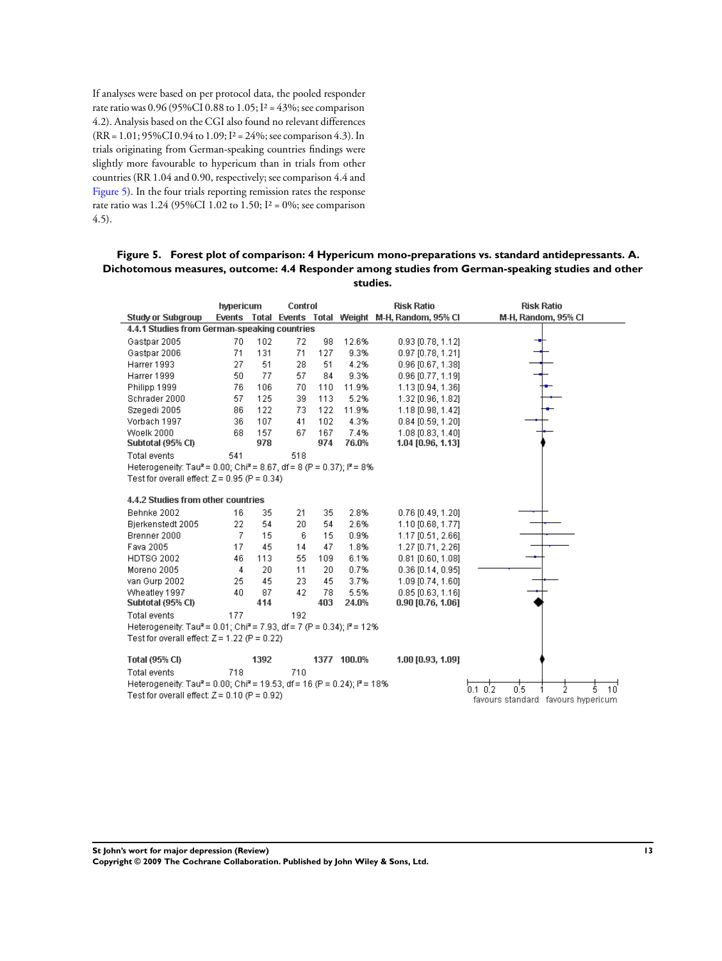If analyses were based on per protocol data, the pooled responder rate ratio was  $0.96 (95\% CI 0.88 \text{ to } 1.05; I^2 = 43\%$ ; see comparison 4.2). Analysis based on the CGI also found no relevant differences (RR = 1.01; 95%CI 0.94 to 1.09; I² = 24%; see comparison 4.3). In trials originating from German-speaking countries findings were slightly more favourable to hypericum than in trials from other countries (RR 1.04 and 0.90, respectively; see comparison 4.4 and Figure 5). In the four trials reporting remission rates the response rate ratio was 1.24 (95%CI 1.02 to 1.50;  $I^2 = 0\%$ ; see comparison 4.5).

## **Figure 5. Forest plot of comparison: 4 Hypericum mono-preparations vs. standard antidepressants. A. Dichotomous measures, outcome: 4.4 Responder among studies from German-speaking studies and other studies.**

|                                                                                                  | hypericum                                    |      | Control |     |             | <b>Risk Ratio</b>                                    | <b>Risk Ratio</b>                                  |  |
|--------------------------------------------------------------------------------------------------|----------------------------------------------|------|---------|-----|-------------|------------------------------------------------------|----------------------------------------------------|--|
| <b>Study or Subgroup</b>                                                                         |                                              |      |         |     |             | Events Total Events Total Weight M-H, Random, 95% CI | M-H, Random, 95% CI                                |  |
|                                                                                                  | 4.4.1 Studies from German-speaking countries |      |         |     |             |                                                      |                                                    |  |
| Gastpar 2005                                                                                     | 70                                           | 102  | 72      | 98  | 12.6%       | 0.93 [0.78, 1.12]                                    |                                                    |  |
| Gastpar 2006                                                                                     | 71                                           | 131  | 71      | 127 | 9.3%        | 0.97 [0.78, 1.21]                                    |                                                    |  |
| Harrer 1993                                                                                      | 27                                           | 51   | 28      | 51  | 4.2%        | $0.96$ [0.67, 1.38]                                  |                                                    |  |
| Harrer 1999                                                                                      | 50                                           | 77   | 57      | 84  | 9.3%        | 0.96 [0.77, 1.19]                                    |                                                    |  |
| Philipp 1999                                                                                     | 76                                           | 106  | 70      | 110 | 11.9%       | 1.13 [0.94, 1.36]                                    |                                                    |  |
| Schrader 2000                                                                                    | 57                                           | 125  | 39      | 113 | 5.2%        | 1.32 [0.96, 1.82]                                    |                                                    |  |
| Szegedi 2005                                                                                     | 86                                           | 122  | 73      | 122 | 11.9%       | 1.18 [0.98, 1.42]                                    |                                                    |  |
| Vorbach 1997                                                                                     | 36                                           | 107  | 41      | 102 | 4.3%        | 0.84 [0.59, 1.20]                                    |                                                    |  |
| Woelk 2000                                                                                       | 68                                           | 157  | 67      | 167 | 7.4%        | 1.08 [0.83, 1.40]                                    |                                                    |  |
| Subtotal (95% CI)                                                                                |                                              | 978  |         | 974 | 76.0%       | 1.04 [0.96, 1.13]                                    |                                                    |  |
| Total events                                                                                     | 541                                          |      | 518     |     |             |                                                      |                                                    |  |
| Heterogeneity: Tau <sup>2</sup> = 0.00; Chi <sup>2</sup> = 8.67, df = 8 (P = 0.37); $P = 8\%$    |                                              |      |         |     |             |                                                      |                                                    |  |
| Test for overall effect: $Z = 0.95$ (P = 0.34)                                                   |                                              |      |         |     |             |                                                      |                                                    |  |
|                                                                                                  |                                              |      |         |     |             |                                                      |                                                    |  |
| 4.4.2 Studies from other countries                                                               |                                              |      |         |     |             |                                                      |                                                    |  |
| Behnke 2002                                                                                      | 16                                           | 35   | 21      | 35  | 2.8%        | $0.76$ [0.49, 1.20]                                  |                                                    |  |
| Bjerkenstedt 2005                                                                                | 22                                           | 54   | 20      | 54  | 2.6%        | 1.10 [0.68, 1.77]                                    |                                                    |  |
| Brenner 2000                                                                                     | 7                                            | 15   | 6       | 15  | 0.9%        | 1.17 [0.51, 2.66]                                    |                                                    |  |
| Fava 2005                                                                                        | 17                                           | 45   | 14      | 47  | 1.8%        | 1.27 [0.71, 2.26]                                    |                                                    |  |
| <b>HDTSG 2002</b>                                                                                | 46                                           | 113  | 55      | 109 | 6.1%        | $0.81$ [0.60, 1.08]                                  |                                                    |  |
| Moreno 2005                                                                                      | 4                                            | 20   | 11      | 20  | 0.7%        | $0.36$ [0.14, 0.95]                                  |                                                    |  |
| van Gurp 2002                                                                                    | 25                                           | 45   | 23      | 45  | 3.7%        | 1.09 [0.74, 1.60]                                    |                                                    |  |
| Wheatley 1997                                                                                    | 40                                           | 87   | 42      | 78  | 5.5%        | $0.85$ [0.63, 1.16]                                  |                                                    |  |
| Subtotal (95% CI)                                                                                |                                              | 414  |         | 403 | 24.0%       | $0.90$ [0.76, 1.06]                                  |                                                    |  |
| <b>Total events</b>                                                                              | 177                                          |      | 192     |     |             |                                                      |                                                    |  |
| Heterogeneity: Tau <sup>2</sup> = 0.01; Chi <sup>2</sup> = 7.93, df = 7 (P = 0.34); $P = 12\%$   |                                              |      |         |     |             |                                                      |                                                    |  |
| Test for overall effect: $Z = 1.22$ (P = 0.22)                                                   |                                              |      |         |     |             |                                                      |                                                    |  |
| <b>Total (95% CI)</b>                                                                            |                                              | 1392 |         |     | 1377 100.0% | 1.00 [0.93, 1.09]                                    |                                                    |  |
| Total events                                                                                     | 718                                          |      | 710     |     |             |                                                      |                                                    |  |
| Heterogeneity: Tau <sup>2</sup> = 0.00; Chi <sup>2</sup> = 19.53, df = 16 (P = 0.24); $P = 18\%$ |                                              |      |         |     |             |                                                      |                                                    |  |
| Test for overall effect: $Z = 0.10$ (P = 0.92)                                                   |                                              |      |         |     |             |                                                      | 0.5<br>ż.<br>$0.1\,$ $0.2$<br>6.<br>$10^{\degree}$ |  |
|                                                                                                  |                                              |      |         |     |             |                                                      | favours standard favours hypericum                 |  |

**St John's wort for major depression (Review) 13**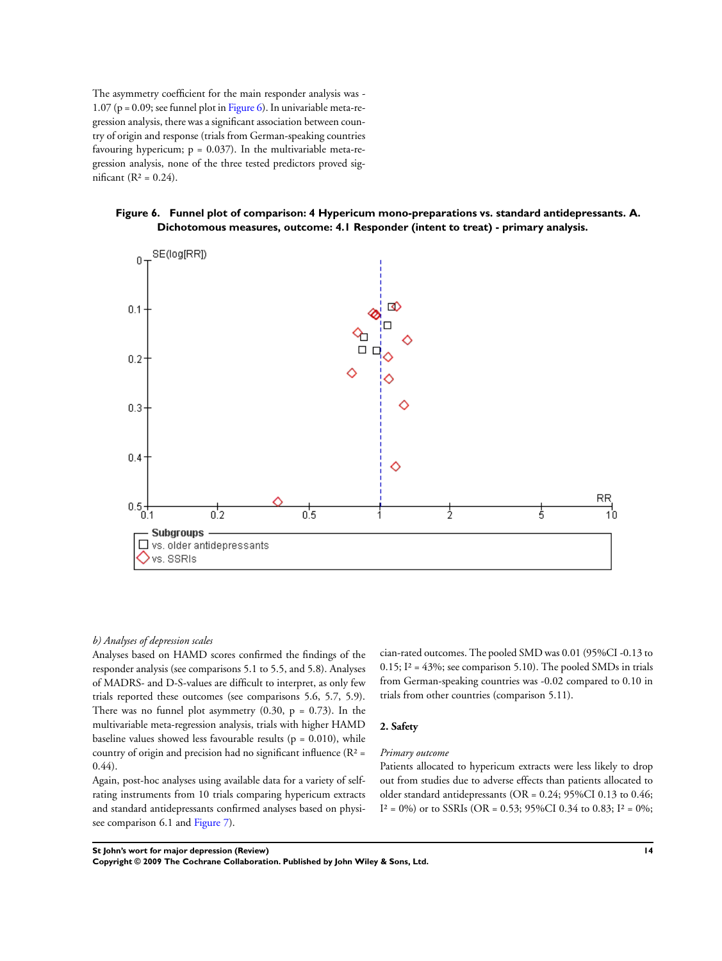The asymmetry coefficient for the main responder analysis was - 1.07 ( $p = 0.09$ ; see funnel plot in Figure 6). In univariable meta-regression analysis, there was a significant association between country of origin and response (trials from German-speaking countries favouring hypericum;  $p = 0.037$ ). In the multivariable meta-regression analysis, none of the three tested predictors proved significant ( $R^2 = 0.24$ ).





#### *b) Analyses of depression scales*

Analyses based on HAMD scores confirmed the findings of the responder analysis (see comparisons 5.1 to 5.5, and 5.8). Analyses of MADRS- and D-S-values are difficult to interpret, as only few trials reported these outcomes (see comparisons 5.6, 5.7, 5.9). There was no funnel plot asymmetry  $(0.30, p = 0.73)$ . In the multivariable meta-regression analysis, trials with higher HAMD baseline values showed less favourable results ( $p = 0.010$ ), while country of origin and precision had no significant influence ( $R^2$  = 0.44).

Again, post-hoc analyses using available data for a variety of selfrating instruments from 10 trials comparing hypericum extracts and standard antidepressants confirmed analyses based on physisee comparison 6.1 and [Figure 7\)](#page-16-0).

cian-rated outcomes. The pooled SMD was 0.01 (95%CI -0.13 to 0.15;  $I^2 = 43\%$ ; see comparison 5.10). The pooled SMDs in trials from German-speaking countries was -0.02 compared to 0.10 in trials from other countries (comparison 5.11).

#### **2. Safety**

#### *Primary outcome*

Patients allocated to hypericum extracts were less likely to drop out from studies due to adverse effects than patients allocated to older standard antidepressants (OR = 0.24; 95%CI 0.13 to 0.46;  $I^2 = 0\%$ ) or to SSRIs (OR = 0.53; 95%CI 0.34 to 0.83;  $I^2 = 0\%$ ;

**St John's wort for major depression (Review) 14**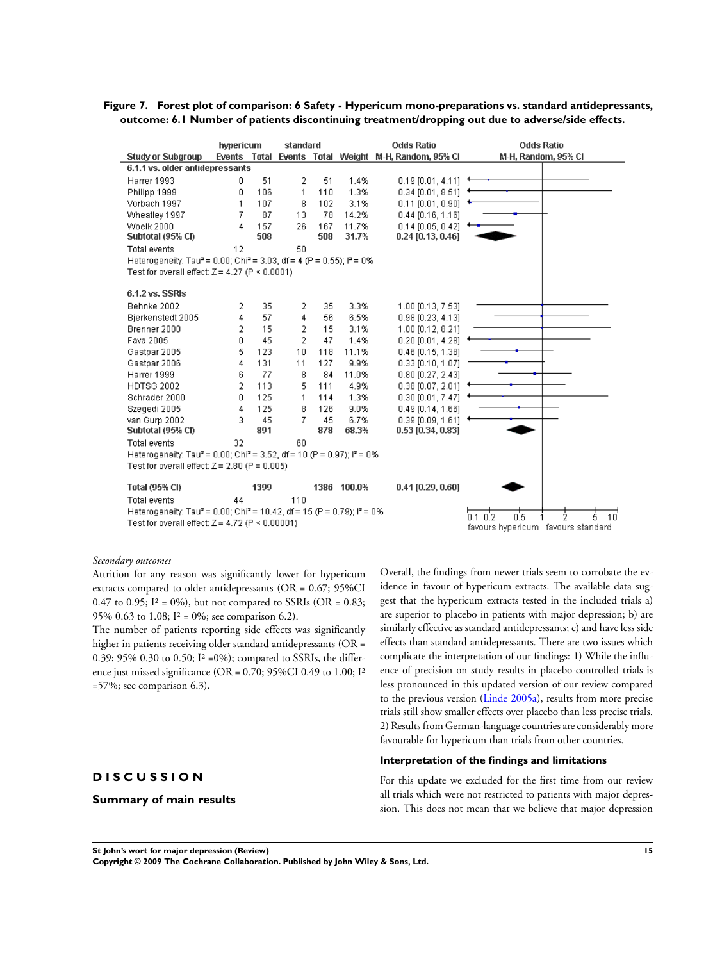## <span id="page-16-0"></span>**Figure 7. Forest plot of comparison: 6 Safety - Hypericum mono-preparations vs. standard antidepressants, outcome: 6.1 Number of patients discontinuing treatment/dropping out due to adverse/side effects.**

|                                                                                                         | hypericum |      | standard |     |             | <b>Odds Ratio</b>                                    | <b>Odds Ratio</b>                             |
|---------------------------------------------------------------------------------------------------------|-----------|------|----------|-----|-------------|------------------------------------------------------|-----------------------------------------------|
| <b>Study or Subgroup</b>                                                                                |           |      |          |     |             | Events Total Events Total Weight M-H, Random, 95% CI | M-H, Random, 95% CI                           |
| 6.1.1 vs. older antidepressants                                                                         |           |      |          |     |             |                                                      |                                               |
| Harrer 1993                                                                                             | 0         | 51   | 2        | 51  | 1.4%        | $0.19$ [0.01, 4.11]                                  |                                               |
| Philipp 1999                                                                                            | 0         | 106  | 1.       | 110 | 1.3%        | $0.34$ [0.01, 8.51]                                  |                                               |
| Vorbach 1997                                                                                            | 1         | 107  | 8        | 102 | 3.1%        | $0.11$ [0.01, 0.90]                                  |                                               |
| Wheatley 1997                                                                                           | 7         | 87   | 13       | 78  | 14.2%       | $0.44$ [0.16, 1.16]                                  |                                               |
| Woelk 2000                                                                                              | 4         | 157  | 26       | 167 | 11.7%       | 0.14 [0.05, 0.42]                                    |                                               |
| Subtotal (95% CI)                                                                                       |           | 508  |          | 508 | 31.7%       | $0.24$ [0.13, 0.46]                                  |                                               |
| <b>Total events</b>                                                                                     | 12        |      | 50       |     |             |                                                      |                                               |
| Heterogeneity: Tau <sup>2</sup> = 0.00; Chi <sup>2</sup> = 3.03, df = 4 (P = 0.55); l <sup>2</sup> = 0% |           |      |          |     |             |                                                      |                                               |
| Test for overall effect: $Z = 4.27$ (P < 0.0001)                                                        |           |      |          |     |             |                                                      |                                               |
|                                                                                                         |           |      |          |     |             |                                                      |                                               |
| 6.1.2 vs. SSRIs                                                                                         |           |      |          |     |             |                                                      |                                               |
| Behnke 2002                                                                                             | 2         | 35   | 2        | 35  | 3.3%        | 1.00 [0.13, 7.53]                                    |                                               |
| Bjerkenstedt 2005                                                                                       | 4         | 57   | 4        | 56  | 6.5%        | $0.98$ [0.23, 4.13]                                  |                                               |
| Brenner 2000                                                                                            | 2         | 15   | 2        | 15  | 3.1%        | 1.00 [0.12, 8.21]                                    |                                               |
| Fava 2005                                                                                               | 0         | 45   | 2        | 47  | 1.4%        | $0.20$ [0.01, 4.28]                                  |                                               |
| Gastpar 2005                                                                                            | 5         | 123  | 10       | 118 | 11.1%       | $0.46$ [0.15, 1.38]                                  |                                               |
| Gastpar 2006                                                                                            | 4         | 131  | 11       | 127 | 9.9%        | $0.33$ [0.10, 1.07]                                  |                                               |
| Harrer 1999                                                                                             | 6         | 77   | 8        | 84  | 11.0%       | $0.80$ [0.27, 2.43]                                  |                                               |
| <b>HDTSG 2002</b>                                                                                       | 2         | 113  | 5        | 111 | 4.9%        | $0.38$ [0.07, 2.01]                                  |                                               |
| Schrader 2000                                                                                           | 0         | 125  | 1        | 114 | 1.3%        | 0.30 [0.01, 7.47]                                    |                                               |
| Szegedi 2005                                                                                            | 4         | 125  | 8        | 126 | 9.0%        | $0.49$ [0.14, 1.66]                                  |                                               |
| van Gurp 2002                                                                                           | 3         | 45   | 7        | 45  | 6.7%        | $0.39$ [0.09, 1.61]                                  |                                               |
| Subtotal (95% CI)                                                                                       |           | 891  |          | 878 | 68.3%       | $0.53$ [0.34, 0.83]                                  |                                               |
| <b>Total events</b>                                                                                     | 32        |      | 60       |     |             |                                                      |                                               |
| Heterogeneity: Tau <sup>2</sup> = 0.00; Chi <sup>2</sup> = 3.52, df = 10 (P = 0.97); $P = 0\%$          |           |      |          |     |             |                                                      |                                               |
| Test for overall effect: $Z = 2.80$ (P = 0.005)                                                         |           |      |          |     |             |                                                      |                                               |
|                                                                                                         |           |      |          |     |             |                                                      |                                               |
| <b>Total (95% CI)</b>                                                                                   |           | 1399 |          |     | 1386 100.0% | $0.41$ [0.29, 0.60]                                  |                                               |
| <b>Total events</b>                                                                                     | 44        |      | 110      |     |             |                                                      |                                               |
| Heterogeneity: Tau <sup>2</sup> = 0.00; Chi <sup>2</sup> = 10.42, df = 15 (P = 0.79); $P = 0\%$         |           |      |          |     |             |                                                      | 0.5<br>ż.<br>$0.1\,0.2$<br>5.<br>$10^{\circ}$ |
| Test for overall effect: $Z = 4.72$ (P < 0.00001)                                                       |           |      |          |     |             |                                                      | favours hypericum favours standard            |

#### *Secondary outcomes*

Attrition for any reason was significantly lower for hypericum extracts compared to older antidepressants (OR = 0.67; 95%CI 0.47 to 0.95;  $I^2 = 0\%$ ), but not compared to SSRIs (OR = 0.83; 95% 0.63 to 1.08;  $I^2 = 0\%$ ; see comparison 6.2).

The number of patients reporting side effects was significantly higher in patients receiving older standard antidepressants (OR = 0.39; 95% 0.30 to 0.50; I² =0%); compared to SSRIs, the difference just missed significance (OR =  $0.70$ ;  $95\%$ CI 0.49 to 1.00; I<sup>2</sup> =57%; see comparison 6.3).

## **D I S C U S S I O N**

**Summary of main results**

Overall, the findings from newer trials seem to corrobate the evidence in favour of hypericum extracts. The available data suggest that the hypericum extracts tested in the included trials a) are superior to placebo in patients with major depression; b) are similarly effective as standard antidepressants; c) and have less side effects than standard antidepressants. There are two issues which complicate the interpretation of our findings: 1) While the influence of precision on study results in placebo-controlled trials is less pronounced in this updated version of our review compared to the previous version [\(Linde 2005a\)](#page-19-0), results from more precise trials still show smaller effects over placebo than less precise trials. 2) Results from German-language countries are considerably more favourable for hypericum than trials from other countries.

## **Interpretation of the findings and limitations**

For this update we excluded for the first time from our review all trials which were not restricted to patients with major depression. This does not mean that we believe that major depression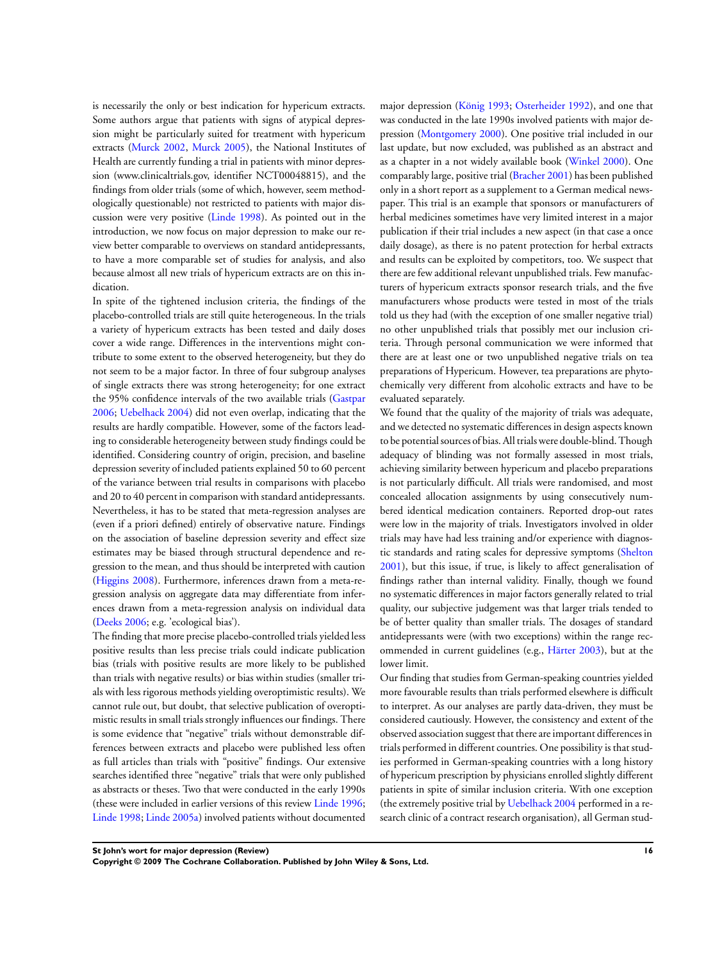is necessarily the only or best indication for hypericum extracts. Some authors argue that patients with signs of atypical depression might be particularly suited for treatment with hypericum extracts [\(Murck 2002,](#page-19-0) [Murck 2005\)](#page-19-0), the National Institutes of Health are currently funding a trial in patients with minor depression (www.clinicaltrials.gov, identifier NCT00048815), and the findings from older trials (some of which, however, seem methodologically questionable) not restricted to patients with major discussion were very positive [\(Linde 1998](#page-19-0)). As pointed out in the introduction, we now focus on major depression to make our review better comparable to overviews on standard antidepressants, to have a more comparable set of studies for analysis, and also because almost all new trials of hypericum extracts are on this indication.

In spite of the tightened inclusion criteria, the findings of the placebo-controlled trials are still quite heterogeneous. In the trials a variety of hypericum extracts has been tested and daily doses cover a wide range. Differences in the interventions might contribute to some extent to the observed heterogeneity, but they do not seem to be a major factor. In three of four subgroup analyses of single extracts there was strong heterogeneity; for one extract the 95% confidence intervals of the two available trials [\(Gastpar](#page-19-0) [2006](#page-19-0); [Uebelhack 2004\)](#page-19-0) did not even overlap, indicating that the results are hardly compatible. However, some of the factors leading to considerable heterogeneity between study findings could be identified. Considering country of origin, precision, and baseline depression severity of included patients explained 50 to 60 percent of the variance between trial results in comparisons with placebo and 20 to 40 percent in comparison with standard antidepressants. Nevertheless, it has to be stated that meta-regression analyses are (even if a priori defined) entirely of observative nature. Findings on the association of baseline depression severity and effect size estimates may be biased through structural dependence and regression to the mean, and thus should be interpreted with caution [\(Higgins 2008](#page-19-0)). Furthermore, inferences drawn from a meta-regression analysis on aggregate data may differentiate from inferences drawn from a meta-regression analysis on individual data [\(Deeks 2006;](#page-19-0) e.g. 'ecological bias').

The finding that more precise placebo-controlled trials yielded less positive results than less precise trials could indicate publication bias (trials with positive results are more likely to be published than trials with negative results) or bias within studies (smaller trials with less rigorous methods yielding overoptimistic results). We cannot rule out, but doubt, that selective publication of overoptimistic results in small trials strongly influences our findings. There is some evidence that "negative" trials without demonstrable differences between extracts and placebo were published less often as full articles than trials with "positive" findings. Our extensive searches identified three "negative" trials that were only published as abstracts or theses. Two that were conducted in the early 1990s (these were included in earlier versions of this review [Linde 1996;](#page-19-0) [Linde 1998](#page-19-0); [Linde 2005a\)](#page-19-0) involved patients without documented

major depression ([König 1993;](#page-19-0) [Osterheider 1992](#page-19-0)), and one that was conducted in the late 1990s involved patients with major depression ([Montgomery 2000](#page-19-0)). One positive trial included in our last update, but now excluded, was published as an abstract and as a chapter in a not widely available book ([Winkel 2000\)](#page-19-0). One comparably large, positive trial ([Bracher 2001\)](#page-19-0) has been published only in a short report as a supplement to a German medical newspaper. This trial is an example that sponsors or manufacturers of herbal medicines sometimes have very limited interest in a major publication if their trial includes a new aspect (in that case a once daily dosage), as there is no patent protection for herbal extracts and results can be exploited by competitors, too. We suspect that there are few additional relevant unpublished trials. Few manufacturers of hypericum extracts sponsor research trials, and the five manufacturers whose products were tested in most of the trials told us they had (with the exception of one smaller negative trial) no other unpublished trials that possibly met our inclusion criteria. Through personal communication we were informed that there are at least one or two unpublished negative trials on tea preparations of Hypericum. However, tea preparations are phytochemically very different from alcoholic extracts and have to be evaluated separately.

We found that the quality of the majority of trials was adequate, and we detected no systematic differences in design aspects known to be potential sources of bias. All trials were double-blind.Though adequacy of blinding was not formally assessed in most trials, achieving similarity between hypericum and placebo preparations is not particularly difficult. All trials were randomised, and most concealed allocation assignments by using consecutively numbered identical medication containers. Reported drop-out rates were low in the majority of trials. Investigators involved in older trials may have had less training and/or experience with diagnostic standards and rating scales for depressive symptoms ([Shelton](#page-19-0) [2001](#page-19-0)), but this issue, if true, is likely to affect generalisation of findings rather than internal validity. Finally, though we found no systematic differences in major factors generally related to trial quality, our subjective judgement was that larger trials tended to be of better quality than smaller trials. The dosages of standard antidepressants were (with two exceptions) within the range recommended in current guidelines (e.g., [Härter 2003](#page-19-0)), but at the lower limit.

Our finding that studies from German-speaking countries yielded more favourable results than trials performed elsewhere is difficult to interpret. As our analyses are partly data-driven, they must be considered cautiously. However, the consistency and extent of the observed association suggest that there are important differences in trials performed in different countries. One possibility is that studies performed in German-speaking countries with a long history of hypericum prescription by physicians enrolled slightly different patients in spite of similar inclusion criteria. With one exception (the extremely positive trial by [Uebelhack 2004](#page-19-0) performed in a research clinic of a contract research organisation), all German stud-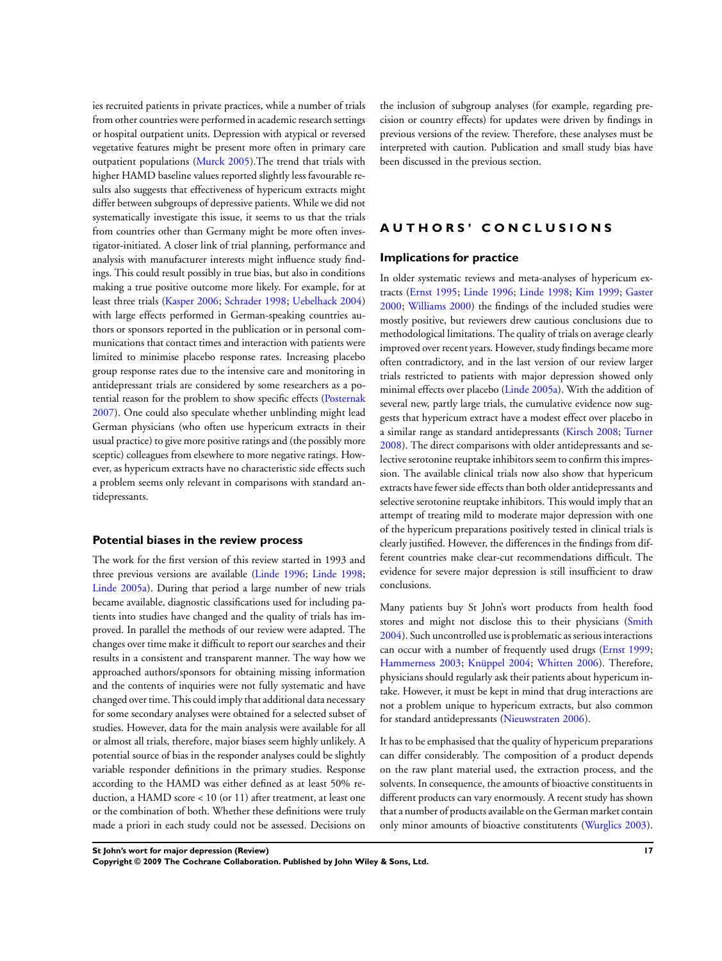ies recruited patients in private practices, while a number of trials from other countries were performed in academic research settings or hospital outpatient units. Depression with atypical or reversed vegetative features might be present more often in primary care outpatient populations ([Murck 2005\)](#page-19-0).The trend that trials with higher HAMD baseline values reported slightly less favourable results also suggests that effectiveness of hypericum extracts might differ between subgroups of depressive patients. While we did not systematically investigate this issue, it seems to us that the trials from countries other than Germany might be more often investigator-initiated. A closer link of trial planning, performance and analysis with manufacturer interests might influence study findings. This could result possibly in true bias, but also in conditions making a true positive outcome more likely. For example, for at least three trials [\(Kasper 2006](#page-19-0); [Schrader 1998](#page-19-0); [Uebelhack 2004](#page-19-0)) with large effects performed in German-speaking countries authors or sponsors reported in the publication or in personal communications that contact times and interaction with patients were limited to minimise placebo response rates. Increasing placebo group response rates due to the intensive care and monitoring in antidepressant trials are considered by some researchers as a potential reason for the problem to show specific effects [\(Posternak](#page-19-0) [2007](#page-19-0)). One could also speculate whether unblinding might lead German physicians (who often use hypericum extracts in their usual practice) to give more positive ratings and (the possibly more sceptic) colleagues from elsewhere to more negative ratings. However, as hypericum extracts have no characteristic side effects such a problem seems only relevant in comparisons with standard antidepressants.

### **Potential biases in the review process**

The work for the first version of this review started in 1993 and three previous versions are available [\(Linde 1996;](#page-19-0) [Linde 1998;](#page-19-0) [Linde 2005a](#page-19-0)). During that period a large number of new trials became available, diagnostic classifications used for including patients into studies have changed and the quality of trials has improved. In parallel the methods of our review were adapted. The changes over time make it difficult to report our searches and their results in a consistent and transparent manner. The way how we approached authors/sponsors for obtaining missing information and the contents of inquiries were not fully systematic and have changed over time. This could imply that additional data necessary for some secondary analyses were obtained for a selected subset of studies. However, data for the main analysis were available for all or almost all trials, therefore, major biases seem highly unlikely. A potential source of bias in the responder analyses could be slightly variable responder definitions in the primary studies. Response according to the HAMD was either defined as at least 50% reduction, a HAMD score < 10 (or 11) after treatment, at least one or the combination of both. Whether these definitions were truly made a priori in each study could not be assessed. Decisions on

the inclusion of subgroup analyses (for example, regarding precision or country effects) for updates were driven by findings in previous versions of the review. Therefore, these analyses must be interpreted with caution. Publication and small study bias have been discussed in the previous section.

## **A U T H O R S ' C O N C L U S I O N S**

## **Implications for practice**

In older systematic reviews and meta-analyses of hypericum extracts ([Ernst 1995](#page-19-0); [Linde 1996](#page-19-0); [Linde 1998](#page-19-0); [Kim 1999;](#page-19-0) [Gaster](#page-19-0) [2000](#page-19-0); [Williams 2000](#page-19-0)) the findings of the included studies were mostly positive, but reviewers drew cautious conclusions due to methodological limitations. The quality of trials on average clearly improved over recent years. However, study findings became more often contradictory, and in the last version of our review larger trials restricted to patients with major depression showed only minimal effects over placebo [\(Linde 2005a\)](#page-19-0). With the addition of several new, partly large trials, the cumulative evidence now suggests that hypericum extract have a modest effect over placebo in a similar range as standard antidepressants ([Kirsch 2008;](#page-19-0) [Turner](#page-19-0) [2008](#page-19-0)). The direct comparisons with older antidepressants and selective serotonine reuptake inhibitors seem to confirm this impression. The available clinical trials now also show that hypericum extracts have fewer side effects than both older antidepressants and selective serotonine reuptake inhibitors. This would imply that an attempt of treating mild to moderate major depression with one of the hypericum preparations positively tested in clinical trials is clearly justified. However, the differences in the findings from different countries make clear-cut recommendations difficult. The evidence for severe major depression is still insufficient to draw conclusions.

Many patients buy St John's wort products from health food stores and might not disclose this to their physicians [\(Smith](#page-19-0) [2004](#page-19-0)). Such uncontrolled use is problematic as serious interactions can occur with a number of frequently used drugs ([Ernst 1999;](#page-19-0) [Hammerness 2003](#page-19-0); [Knüppel 2004](#page-19-0); [Whitten 2006](#page-19-0)). Therefore, physicians should regularly ask their patients about hypericum intake. However, it must be kept in mind that drug interactions are not a problem unique to hypericum extracts, but also common for standard antidepressants ([Nieuwstraten 2006\)](#page-19-0).

It has to be emphasised that the quality of hypericum preparations can differ considerably. The composition of a product depends on the raw plant material used, the extraction process, and the solvents. In consequence, the amounts of bioactive constituents in different products can vary enormously. A recent study has shown that a number of products available on the German market contain only minor amounts of bioactive constitutents ([Wurglics 2003](#page-19-0)).

**St John's wort for major depression (Review) 17**

**Copyright © 2009 The Cochrane Collaboration. Published by John Wiley & Sons, Ltd.**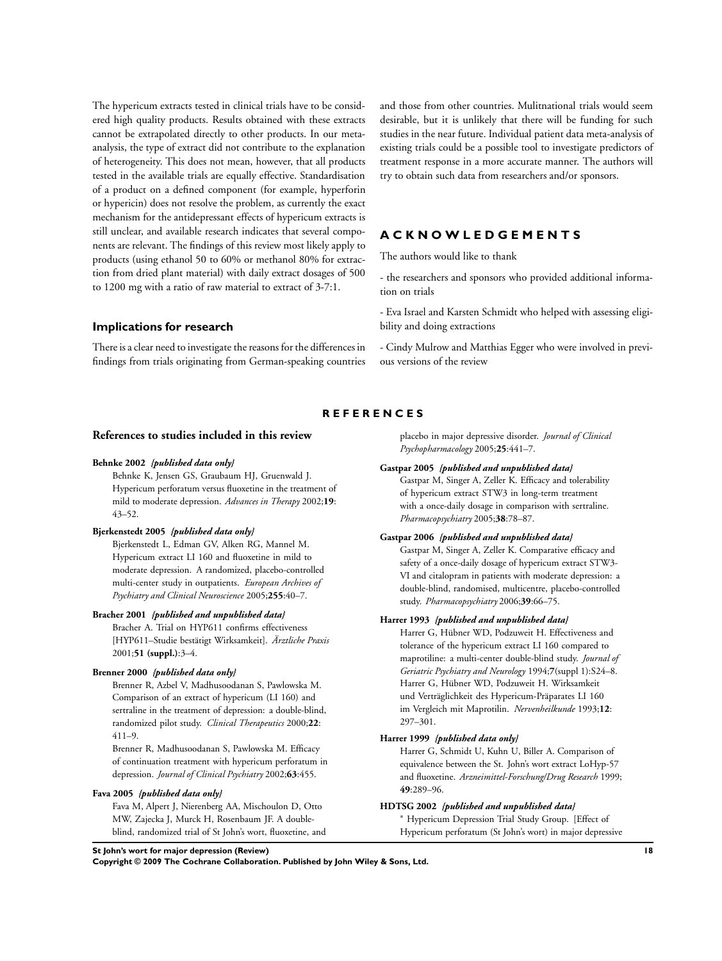<span id="page-19-0"></span>The hypericum extracts tested in clinical trials have to be considered high quality products. Results obtained with these extracts cannot be extrapolated directly to other products. In our metaanalysis, the type of extract did not contribute to the explanation of heterogeneity. This does not mean, however, that all products tested in the available trials are equally effective. Standardisation of a product on a defined component (for example, hyperforin or hypericin) does not resolve the problem, as currently the exact mechanism for the antidepressant effects of hypericum extracts is still unclear, and available research indicates that several components are relevant. The findings of this review most likely apply to products (using ethanol 50 to 60% or methanol 80% for extraction from dried plant material) with daily extract dosages of 500 to 1200 mg with a ratio of raw material to extract of 3-7:1.

### **Implications for research**

There is a clear need to investigate the reasons for the differences in findings from trials originating from German-speaking countries and those from other countries. Mulitnational trials would seem desirable, but it is unlikely that there will be funding for such studies in the near future. Individual patient data meta-analysis of existing trials could be a possible tool to investigate predictors of treatment response in a more accurate manner. The authors will try to obtain such data from researchers and/or sponsors.

## **A C K N O W L E D G E M E N T S**

The authors would like to thank

- the researchers and sponsors who provided additional information on trials
- Eva Israel and Karsten Schmidt who helped with assessing eligibility and doing extractions

- Cindy Mulrow and Matthias Egger who were involved in previous versions of the review

### **R E F E R E N C E S**

### **References to studies included in this review**

#### **Behnke 2002** *{published data only}*

Behnke K, Jensen GS, Graubaum HJ, Gruenwald J. Hypericum perforatum versus fluoxetine in the treatment of mild to moderate depression. *Advances in Therapy* 2002;**19**: 43–52.

#### **Bjerkenstedt 2005** *{published data only}*

Bjerkenstedt L, Edman GV, Alken RG, Mannel M. Hypericum extract LI 160 and fluoxetine in mild to moderate depression. A randomized, placebo-controlled multi-center study in outpatients. *European Archives of Psychiatry and Clinical Neuroscience* 2005;**255**:40–7.

### **Bracher 2001** *{published and unpublished data}*

Bracher A. Trial on HYP611 confirms effectiveness [HYP611–Studie bestätigt Wirksamkeit]. *Ärztliche Praxis* 2001;**51 (suppl.)**:3–4.

#### **Brenner 2000** *{published data only}*

Brenner R, Azbel V, Madhusoodanan S, Pawlowska M. Comparison of an extract of hypericum (LI 160) and sertraline in the treatment of depression: a double-blind, randomized pilot study. *Clinical Therapeutics* 2000;**22**: 411–9.

Brenner R, Madhusoodanan S, Pawlowska M. Efficacy of continuation treatment with hypericum perforatum in depression. *Journal of Clinical Psychiatry* 2002;**63**:455.

#### **Fava 2005** *{published data only}*

Fava M, Alpert J, Nierenberg AA, Mischoulon D, Otto MW, Zajecka J, Murck H, Rosenbaum JF. A doubleblind, randomized trial of St John's wort, fluoxetine, and placebo in major depressive disorder. *Journal of Clinical Psychopharmacology* 2005;**25**:441–7.

#### **Gastpar 2005** *{published and unpublished data}*

Gastpar M, Singer A, Zeller K. Efficacy and tolerability of hypericum extract STW3 in long-term treatment with a once-daily dosage in comparison with sertraline. *Pharmacopsychiatry* 2005;**38**:78–87.

#### **Gastpar 2006** *{published and unpublished data}*

Gastpar M, Singer A, Zeller K. Comparative efficacy and safety of a once-daily dosage of hypericum extract STW3- VI and citalopram in patients with moderate depression: a double-blind, randomised, multicentre, placebo-controlled study. *Pharmacopsychiatry* 2006;**39**:66–75.

#### **Harrer 1993** *{published and unpublished data}*

Harrer G, Hübner WD, Podzuweit H. Effectiveness and tolerance of the hypericum extract LI 160 compared to maprotiline: a multi-center double-blind study. *Journal of Geriatric Psychiatry and Neurology* 1994;**7**(suppl 1):S24–8. Harrer G, Hübner WD, Podzuweit H. Wirksamkeit und Verträglichkeit des Hypericum-Präparates LI 160 im Vergleich mit Maprotilin. *Nervenheilkunde* 1993;**12**: 297–301.

#### **Harrer 1999** *{published data only}*

Harrer G, Schmidt U, Kuhn U, Biller A. Comparison of equivalence between the St. John's wort extract LoHyp-57 and fluoxetine. *Arzneimittel-Forschung/Drug Research* 1999; **49**:289–96.

#### **HDTSG 2002** *{published and unpublished data}*

<sup>∗</sup> Hypericum Depression Trial Study Group. [Effect of Hypericum perforatum (St John's wort) in major depressive

#### **St John's wort for major depression (Review) 18**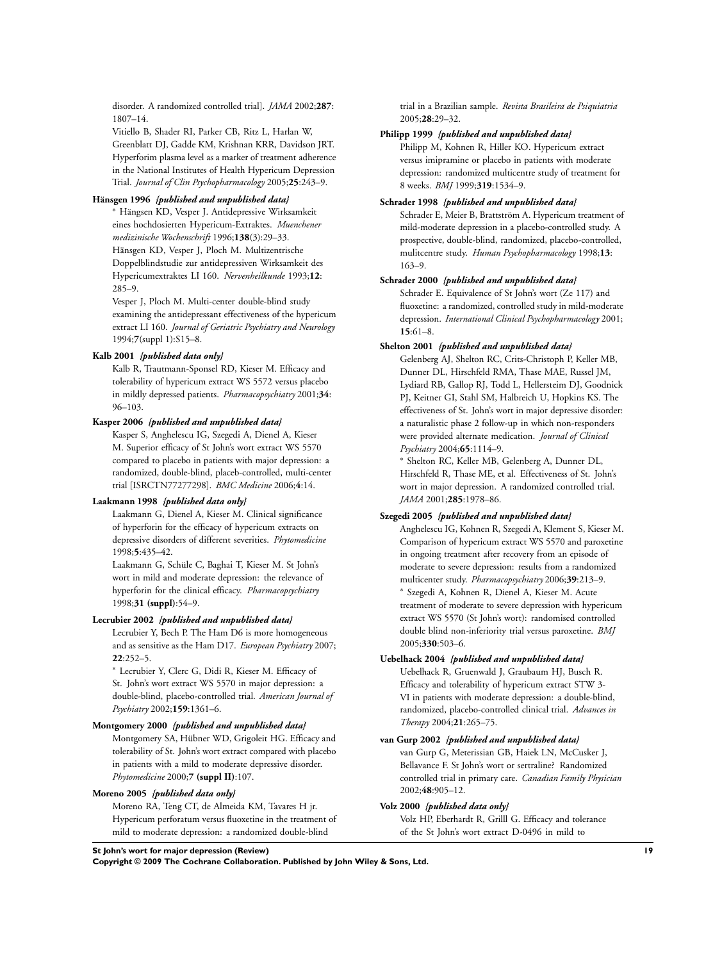disorder. A randomized controlled trial]. *JAMA* 2002;**287**: 1807–14.

Vitiello B, Shader RI, Parker CB, Ritz L, Harlan W, Greenblatt DJ, Gadde KM, Krishnan KRR, Davidson JRT. Hyperforim plasma level as a marker of treatment adherence in the National Institutes of Health Hypericum Depression Trial. *Journal of Clin Psychopharmacology* 2005;**25**:243–9.

### **Hänsgen 1996** *{published and unpublished data}*

<sup>∗</sup> Hängsen KD, Vesper J. Antidepressive Wirksamkeit eines hochdosierten Hypericum-Extraktes. *Muenchener medizinische Wochenschrift* 1996;**138**(3):29–33. Hänsgen KD, Vesper J, Ploch M. Multizentrische Doppelblindstudie zur antidepressiven Wirksamkeit des Hypericumextraktes LI 160. *Nervenheilkunde* 1993;**12**: 285–9.

Vesper J, Ploch M. Multi-center double-blind study examining the antidepressant effectiveness of the hypericum extract LI 160. *Journal of Geriatric Psychiatry and Neurology* 1994;**7**(suppl 1):S15–8.

### **Kalb 2001** *{published data only}*

Kalb R, Trautmann-Sponsel RD, Kieser M. Efficacy and tolerability of hypericum extract WS 5572 versus placebo in mildly depressed patients. *Pharmacopsychiatry* 2001;**34**: 96–103.

#### **Kasper 2006** *{published and unpublished data}*

Kasper S, Anghelescu IG, Szegedi A, Dienel A, Kieser M. Superior efficacy of St John's wort extract WS 5570 compared to placebo in patients with major depression: a randomized, double-blind, placeb-controlled, multi-center trial [ISRCTN77277298]. *BMC Medicine* 2006;**4**:14.

#### **Laakmann 1998** *{published data only}*

Laakmann G, Dienel A, Kieser M. Clinical significance of hyperforin for the efficacy of hypericum extracts on depressive disorders of different severities. *Phytomedicine* 1998;**5**:435–42.

Laakmann G, Schüle C, Baghai T, Kieser M. St John's wort in mild and moderate depression: the relevance of hyperforin for the clinical efficacy. *Pharmacopsychiatry* 1998;**31 (suppl)**:54–9.

#### **Lecrubier 2002** *{published and unpublished data}*

Lecrubier Y, Bech P. The Ham D6 is more homogeneous and as sensitive as the Ham D17. *European Psychiatry* 2007; **22**:252–5.

<sup>∗</sup> Lecrubier Y, Clerc G, Didi R, Kieser M. Efficacy of St. John's wort extract WS 5570 in major depression: a double-blind, placebo-controlled trial. *American Journal of Psychiatry* 2002;**159**:1361–6.

### **Montgomery 2000** *{published and unpublished data}*

Montgomery SA, Hübner WD, Grigoleit HG. Efficacy and tolerability of St. John's wort extract compared with placebo in patients with a mild to moderate depressive disorder. *Phytomedicine* 2000;**7 (suppl II)**:107.

#### **Moreno 2005** *{published data only}*

Moreno RA, Teng CT, de Almeida KM, Tavares H jr. Hypericum perforatum versus fluoxetine in the treatment of mild to moderate depression: a randomized double-blind

trial in a Brazilian sample. *Revista Brasileira de Psiquiatria* 2005;**28**:29–32.

#### **Philipp 1999** *{published and unpublished data}*

Philipp M, Kohnen R, Hiller KO. Hypericum extract versus imipramine or placebo in patients with moderate depression: randomized multicentre study of treatment for 8 weeks. *BMJ* 1999;**319**:1534–9.

#### **Schrader 1998** *{published and unpublished data}*

Schrader E, Meier B, Brattström A. Hypericum treatment of mild-moderate depression in a placebo-controlled study. A prospective, double-blind, randomized, placebo-controlled, mulitcentre study. *Human Psychopharmacology* 1998;**13**: 163–9.

#### **Schrader 2000** *{published and unpublished data}*

Schrader E. Equivalence of St John's wort (Ze 117) and fluoxetine: a randomized, controlled study in mild-moderate depression. *International Clinical Psychopharmacology* 2001; **15**:61–8.

#### **Shelton 2001** *{published and unpublished data}*

Gelenberg AJ, Shelton RC, Crits-Christoph P, Keller MB, Dunner DL, Hirschfeld RMA, Thase MAE, Russel JM, Lydiard RB, Gallop RJ, Todd L, Hellersteim DJ, Goodnick PJ, Keitner GI, Stahl SM, Halbreich U, Hopkins KS. The effectiveness of St. John's wort in major depressive disorder: a naturalistic phase 2 follow-up in which non-responders were provided alternate medication. *Journal of Clinical Psychiatry* 2004;**65**:1114–9.

<sup>∗</sup> Shelton RC, Keller MB, Gelenberg A, Dunner DL, Hirschfeld R, Thase ME, et al. Effectiveness of St. John's wort in major depression. A randomized controlled trial. *JAMA* 2001;**285**:1978–86.

#### **Szegedi 2005** *{published and unpublished data}*

Anghelescu IG, Kohnen R, Szegedi A, Klement S, Kieser M. Comparison of hypericum extract WS 5570 and paroxetine in ongoing treatment after recovery from an episode of moderate to severe depression: results from a randomized multicenter study. *Pharmacopsychiatry* 2006;**39**:213–9. ∗ Szegedi A, Kohnen R, Dienel A, Kieser M. Acute treatment of moderate to severe depression with hypericum extract WS 5570 (St John's wort): randomised controlled double blind non-inferiority trial versus paroxetine. *BMJ* 2005;**330**:503–6.

### **Uebelhack 2004** *{published and unpublished data}*

Uebelhack R, Gruenwald J, Graubaum HJ, Busch R. Efficacy and tolerability of hypericum extract STW 3- VI in patients with moderate depression: a double-blind, randomized, placebo-controlled clinical trial. *Advances in Therapy* 2004;**21**:265–75.

## **van Gurp 2002** *{published and unpublished data}*

van Gurp G, Meterissian GB, Haiek LN, McCusker J, Bellavance F. St John's wort or sertraline? Randomized controlled trial in primary care. *Canadian Family Physician* 2002;**48**:905–12.

### **Volz 2000** *{published data only}*

Volz HP, Eberhardt R, Grilll G. Efficacy and tolerance of the St John's wort extract D-0496 in mild to

#### **St John's wort for major depression (Review) 19**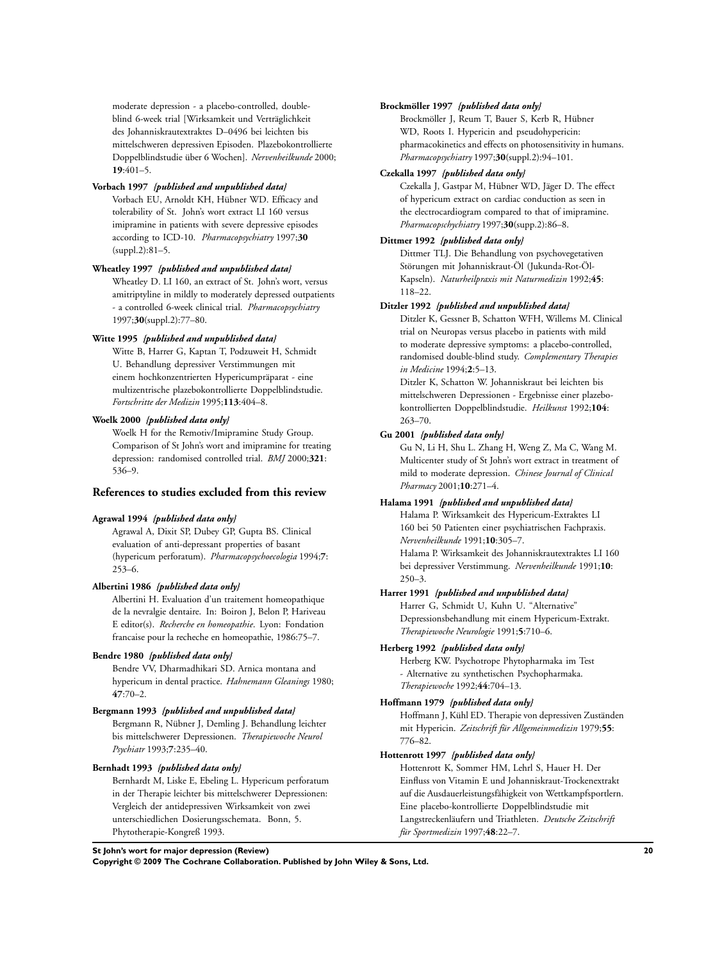moderate depression - a placebo-controlled, doubleblind 6-week trial [Wirksamkeit und Verträglichkeit des Johanniskrautextraktes D–0496 bei leichten bis mittelschweren depressiven Episoden. Plazebokontrollierte Doppelblindstudie über 6 Wochen]. *Nervenheilkunde* 2000; **19**:401–5.

### **Vorbach 1997** *{published and unpublished data}*

Vorbach EU, Arnoldt KH, Hübner WD. Efficacy and tolerability of St. John's wort extract LI 160 versus imipramine in patients with severe depressive episodes according to ICD-10. *Pharmacopsychiatry* 1997;**30** (suppl.2):81–5.

### **Wheatley 1997** *{published and unpublished data}*

Wheatley D. LI 160, an extract of St. John's wort, versus amitriptyline in mildly to moderately depressed outpatients - a controlled 6-week clinical trial. *Pharmacopsychiatry* 1997;**30**(suppl.2):77–80.

#### **Witte 1995** *{published and unpublished data}*

Witte B, Harrer G, Kaptan T, Podzuweit H, Schmidt U. Behandlung depressiver Verstimmungen mit einem hochkonzentrierten Hypericumpräparat - eine multizentrische plazebokontrollierte Doppelblindstudie. *Fortschritte der Medizin* 1995;**113**:404–8.

#### **Woelk 2000** *{published data only}*

Woelk H for the Remotiv/Imipramine Study Group. Comparison of St John's wort and imipramine for treating depression: randomised controlled trial. *BMJ* 2000;**321**: 536–9.

### **References to studies excluded from this review**

#### **Agrawal 1994** *{published data only}*

Agrawal A, Dixit SP, Dubey GP, Gupta BS. Clinical evaluation of anti-depressant properties of basant (hypericum perforatum). *Pharmacopsychoecologia* 1994;**7**: 253–6.

#### **Albertini 1986** *{published data only}*

Albertini H. Evaluation d'un traitement homeopathique de la nevralgie dentaire. In: Boiron J, Belon P, Hariveau E editor(s). *Recherche en homeopathie*. Lyon: Fondation francaise pour la recheche en homeopathie, 1986:75–7.

### **Bendre 1980** *{published data only}*

Bendre VV, Dharmadhikari SD. Arnica montana and hypericum in dental practice. *Hahnemann Gleanings* 1980; **47**:70–2.

### **Bergmann 1993** *{published and unpublished data}*

Bergmann R, Nübner J, Demling J. Behandlung leichter bis mittelschwerer Depressionen. *Therapiewoche Neurol Psychiatr* 1993;**7**:235–40.

#### **Bernhadt 1993** *{published data only}*

Bernhardt M, Liske E, Ebeling L. Hypericum perforatum in der Therapie leichter bis mittelschwerer Depressionen: Vergleich der antidepressiven Wirksamkeit von zwei unterschiedlichen Dosierungsschemata. Bonn, 5. Phytotherapie-Kongreß 1993.

#### **St John's wort for major depression (Review) 20**

**Copyright © 2009 The Cochrane Collaboration. Published by John Wiley & Sons, Ltd.**

#### **Brockmöller 1997** *{published data only}*

Brockmöller J, Reum T, Bauer S, Kerb R, Hübner WD, Roots I. Hypericin and pseudohypericin: pharmacokinetics and effects on photosensitivity in humans. *Pharmacopsychiatry* 1997;**30**(suppl.2):94–101.

### **Czekalla 1997** *{published data only}*

Czekalla J, Gastpar M, Hübner WD, Jäger D. The effect of hypericum extract on cardiac conduction as seen in the electrocardiogram compared to that of imipramine. *Pharmacopschychiatry* 1997;**30**(supp.2):86–8.

### **Dittmer 1992** *{published data only}*

Dittmer TLJ. Die Behandlung von psychovegetativen Störungen mit Johanniskraut-Öl (Jukunda-Rot-Öl-Kapseln). *Naturheilpraxis mit Naturmedizin* 1992;**45**: 118–22.

#### **Ditzler 1992** *{published and unpublished data}*

Ditzler K, Gessner B, Schatton WFH, Willems M. Clinical trial on Neuropas versus placebo in patients with mild to moderate depressive symptoms: a placebo-controlled, randomised double-blind study. *Complementary Therapies in Medicine* 1994;**2**:5–13.

Ditzler K, Schatton W. Johanniskraut bei leichten bis mittelschweren Depressionen - Ergebnisse einer plazebokontrollierten Doppelblindstudie. *Heilkunst* 1992;**104**: 263–70.

#### **Gu 2001** *{published data only}*

Gu N, Li H, Shu L. Zhang H, Weng Z, Ma C, Wang M. Multicenter study of St John's wort extract in treatment of mild to moderate depression. *Chinese Journal of Clinical Pharmacy* 2001;**10**:271–4.

#### **Halama 1991** *{published and unpublished data}*

Halama P. Wirksamkeit des Hypericum-Extraktes LI 160 bei 50 Patienten einer psychiatrischen Fachpraxis. *Nervenheilkunde* 1991;**10**:305–7.

Halama P. Wirksamkeit des Johanniskrautextraktes LI 160 bei depressiver Verstimmung. *Nervenheilkunde* 1991;**10**: 250–3.

#### **Harrer 1991** *{published and unpublished data}*

Harrer G, Schmidt U, Kuhn U. "Alternative" Depressionsbehandlung mit einem Hypericum-Extrakt. *Therapiewoche Neurologie* 1991;**5**:710–6.

### **Herberg 1992** *{published data only}*

Herberg KW. Psychotrope Phytopharmaka im Test - Alternative zu synthetischen Psychopharmaka.

*Therapiewoche* 1992;**44**:704–13.

#### **Hoffmann 1979** *{published data only}*

Hoffmann J, Kühl ED. Therapie von depressiven Zuständen mit Hypericin. *Zeitschrift für Allgemeinmedizin* 1979;**55**: 776–82.

#### **Hottenrott 1997** *{published data only}*

Hottenrott K, Sommer HM, Lehrl S, Hauer H. Der Einfluss von Vitamin E und Johanniskraut-Trockenextrakt auf die Ausdauerleistungsfähigkeit von Wettkampfsportlern. Eine placebo-kontrollierte Doppelblindstudie mit Langstreckenläufern und Triathleten. *Deutsche Zeitschrift für Sportmedizin* 1997;**48**:22–7.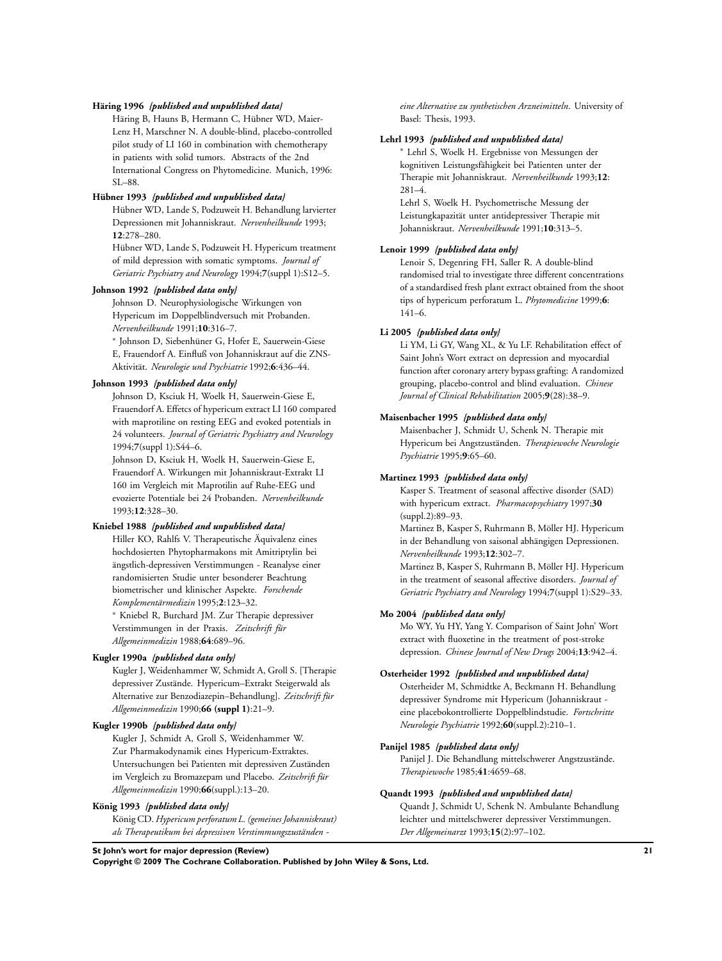#### **Häring 1996** *{published and unpublished data}*

Häring B, Hauns B, Hermann C, Hübner WD, Maier-Lenz H, Marschner N. A double-blind, placebo-controlled pilot study of LI 160 in combination with chemotherapy in patients with solid tumors. Abstracts of the 2nd International Congress on Phytomedicine. Munich, 1996: SL–88.

#### **Hübner 1993** *{published and unpublished data}*

Hübner WD, Lande S, Podzuweit H. Behandlung larvierter Depressionen mit Johanniskraut. *Nervenheilkunde* 1993; **12**:278–280.

Hübner WD, Lande S, Podzuweit H. Hypericum treatment of mild depression with somatic symptoms. *Journal of Geriatric Psychiatry and Neurology* 1994;**7**(suppl 1):S12–5.

#### **Johnson 1992** *{published data only}*

Johnson D. Neurophysiologische Wirkungen von Hypericum im Doppelblindversuch mit Probanden. *Nervenheilkunde* 1991;**10**:316–7.

∗ Johnson D, Siebenhüner G, Hofer E, Sauerwein-Giese E, Frauendorf A. Einfluß von Johanniskraut auf die ZNS-Aktivität. *Neurologie und Psychiatrie* 1992;**6**:436–44.

#### **Johnson 1993** *{published data only}*

Johnson D, Ksciuk H, Woelk H, Sauerwein-Giese E, Frauendorf A. Effetcs of hypericum extract LI 160 compared with maprotiline on resting EEG and evoked potentials in 24 volunteers. *Journal of Geriatric Psychiatry and Neurology* 1994;**7**(suppl 1):S44–6.

Johnson D, Ksciuk H, Woelk H, Sauerwein-Giese E, Frauendorf A. Wirkungen mit Johanniskraut-Extrakt LI 160 im Vergleich mit Maprotilin auf Ruhe-EEG und evozierte Potentiale bei 24 Probanden. *Nervenheilkunde* 1993;**12**:328–30.

## **Kniebel 1988** *{published and unpublished data}*

Hiller KO, Rahlfs V. Therapeutische Äquivalenz eines hochdosierten Phytopharmakons mit Amitriptylin bei ängstlich-depressiven Verstimmungen - Reanalyse einer randomisierten Studie unter besonderer Beachtung biometrischer und klinischer Aspekte. *Forschende Komplementärmedizin* 1995;**2**:123–32.

Kniebel R, Burchard JM. Zur Therapie depressiver Verstimmungen in der Praxis. *Zeitschrift für Allgemeinmedizin* 1988;**64**:689–96.

## **Kugler 1990a** *{published data only}*

Kugler J, Weidenhammer W, Schmidt A, Groll S. [Therapie depressiver Zustände. Hypericum–Extrakt Steigerwald als Alternative zur Benzodiazepin–Behandlung]. *Zeitschrift für Allgemeinmedizin* 1990;**66 (suppl 1)**:21–9.

#### **Kugler 1990b** *{published data only}*

Kugler J, Schmidt A, Groll S, Weidenhammer W. Zur Pharmakodynamik eines Hypericum-Extraktes. Untersuchungen bei Patienten mit depressiven Zuständen im Vergleich zu Bromazepam und Placebo. *Zeitschrift für Allgemeinmedizin* 1990;**66**(suppl.):13–20.

#### **König 1993** *{published data only}*

König CD. *Hypericum perforatum L. (gemeines Johanniskraut) als Therapeutikum bei depressiven Verstimmungszuständen -*

*eine Alternative zu synthetischen Arzneimitteln*. University of Basel: Thesis, 1993.

#### **Lehrl 1993** *{published and unpublished data}*

<sup>∗</sup> Lehrl S, Woelk H. Ergebnisse von Messungen der kognitiven Leistungsfähigkeit bei Patienten unter der Therapie mit Johanniskraut. *Nervenheilkunde* 1993;**12**: 281–4.

Lehrl S, Woelk H. Psychometrische Messung der Leistungkapazität unter antidepressiver Therapie mit Johanniskraut. *Nervenheilkunde* 1991;**10**:313–5.

#### **Lenoir 1999** *{published data only}*

Lenoir S, Degenring FH, Saller R. A double-blind randomised trial to investigate three different concentrations of a standardised fresh plant extract obtained from the shoot tips of hypericum perforatum L. *Phytomedicine* 1999;**6**: 141–6.

#### **Li 2005** *{published data only}*

Li YM, Li GY, Wang XL, & Yu LF. Rehabilitation effect of Saint John's Wort extract on depression and myocardial function after coronary artery bypass grafting: A randomized grouping, placebo-control and blind evaluation. *Chinese Journal of Clinical Rehabilitation* 2005;**9**(28):38–9.

## **Maisenbacher 1995** *{published data only}*

Maisenbacher J, Schmidt U, Schenk N. Therapie mit Hypericum bei Angstzuständen. *Therapiewoche Neurologie Psychiatrie* 1995;**9**:65–60.

#### **Martinez 1993** *{published data only}*

Kasper S. Treatment of seasonal affective disorder (SAD) with hypericum extract. *Pharmacopsychiatry* 1997;**30** (suppl.2):89–93.

Martinez B, Kasper S, Ruhrmann B, Möller HJ. Hypericum in der Behandlung von saisonal abhängigen Depressionen. *Nervenheilkunde* 1993;**12**:302–7.

Martinez B, Kasper S, Ruhrmann B, Möller HJ. Hypericum in the treatment of seasonal affective disorders. *Journal of Geriatric Psychiatry and Neurology* 1994;**7**(suppl 1):S29–33.

#### **Mo 2004** *{published data only}*

Mo WY, Yu HY, Yang Y. Comparison of Saint John' Wort extract with fluoxetine in the treatment of post-stroke depression. *Chinese Journal of New Drugs* 2004;**13**:942–4.

#### **Osterheider 1992** *{published and unpublished data}*

Osterheider M, Schmidtke A, Beckmann H. Behandlung depressiver Syndrome mit Hypericum (Johanniskraut eine placebokontrollierte Doppelblindstudie. *Fortschritte Neurologie Psychiatrie* 1992;**60**(suppl.2):210–1.

#### **Panijel 1985** *{published data only}*

Panijel J. Die Behandlung mittelschwerer Angstzustände. *Therapiewoche* 1985;**41**:4659–68.

#### **Quandt 1993** *{published and unpublished data}*

Quandt J, Schmidt U, Schenk N. Ambulante Behandlung leichter und mittelschwerer depressiver Verstimmungen. *Der Allgemeinarzt* 1993;**15**(2):97–102.

#### **St John's wort for major depression (Review) 21**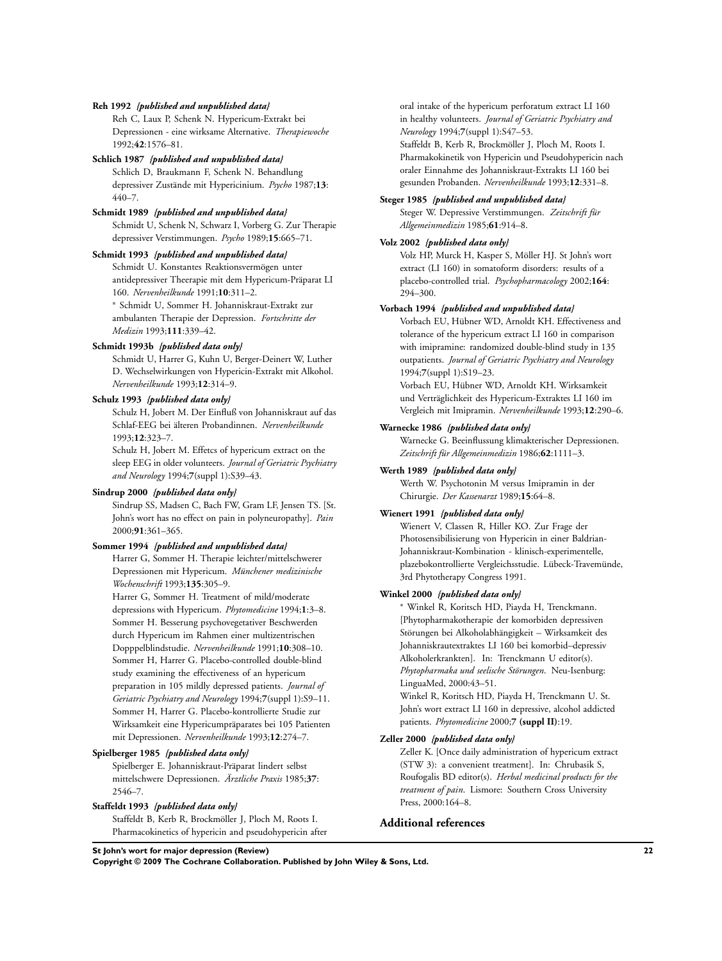#### **Reh 1992** *{published and unpublished data}*

Reh C, Laux P, Schenk N. Hypericum-Extrakt bei Depressionen - eine wirksame Alternative. *Therapiewoche* 1992;**42**:1576–81.

#### **Schlich 1987** *{published and unpublished data}*

Schlich D, Braukmann F, Schenk N. Behandlung depressiver Zustände mit Hypericinium. *Psycho* 1987;**13**: 440–7.

### **Schmidt 1989** *{published and unpublished data}*

Schmidt U, Schenk N, Schwarz I, Vorberg G. Zur Therapie depressiver Verstimmungen. *Psycho* 1989;**15**:665–71.

### **Schmidt 1993** *{published and unpublished data}*

Schmidt U. Konstantes Reaktionsvermögen unter antidepressiver Theerapie mit dem Hypericum-Präparat LI 160. *Nervenheilkunde* 1991;**10**:311–2.

<sup>∗</sup> Schmidt U, Sommer H. Johanniskraut-Extrakt zur ambulanten Therapie der Depression. *Fortschritte der Medizin* 1993;**111**:339–42.

## **Schmidt 1993b** *{published data only}*

Schmidt U, Harrer G, Kuhn U, Berger-Deinert W, Luther D. Wechselwirkungen von Hypericin-Extrakt mit Alkohol. *Nervenheilkunde* 1993;**12**:314–9.

#### **Schulz 1993** *{published data only}*

Schulz H, Jobert M. Der Einfluß von Johanniskraut auf das Schlaf-EEG bei älteren Probandinnen. *Nervenheilkunde* 1993;**12**:323–7.

Schulz H, Jobert M. Effetcs of hypericum extract on the sleep EEG in older volunteers. *Journal of Geriatric Psychiatry and Neurology* 1994;**7**(suppl 1):S39–43.

#### **Sindrup 2000** *{published data only}*

Sindrup SS, Madsen C, Bach FW, Gram LF, Jensen TS. [St. John's wort has no effect on pain in polyneuropathy]. *Pain* 2000;**91**:361–365.

### **Sommer 1994** *{published and unpublished data}*

Harrer G, Sommer H. Therapie leichter/mittelschwerer Depressionen mit Hypericum. *Münchener medizinische Wochenschrift* 1993;**135**:305–9.

Harrer G, Sommer H. Treatment of mild/moderate depressions with Hypericum. *Phytomedicine* 1994;**1**:3–8. Sommer H. Besserung psychovegetativer Beschwerden durch Hypericum im Rahmen einer multizentrischen Dopppelblindstudie. *Nervenheilkunde* 1991;**10**:308–10. Sommer H, Harrer G. Placebo-controlled double-blind study examining the effectiveness of an hypericum preparation in 105 mildly depressed patients. *Journal of Geriatric Psychiatry and Neurology* 1994;**7**(suppl 1):S9–11. Sommer H, Harrer G. Placebo-kontrollierte Studie zur Wirksamkeit eine Hypericumpräparates bei 105 Patienten mit Depressionen. *Nervenheilkunde* 1993;**12**:274–7.

#### **Spielberger 1985** *{published data only}*

Spielberger E. Johanniskraut-Präparat lindert selbst mittelschwere Depressionen. *Ärztliche Praxis* 1985;**37**: 2546–7.

#### **Staffeldt 1993** *{published data only}*

Staffeldt B, Kerb R, Brockmöller J, Ploch M, Roots I. Pharmacokinetics of hypericin and pseudohypericin after oral intake of the hypericum perforatum extract LI 160 in healthy volunteers. *Journal of Geriatric Psychiatry and Neurology* 1994;**7**(suppl 1):S47–53.

Staffeldt B, Kerb R, Brockmöller J, Ploch M, Roots I. Pharmakokinetik von Hypericin und Pseudohypericin nach oraler Einnahme des Johanniskraut-Extrakts LI 160 bei gesunden Probanden. *Nervenheilkunde* 1993;**12**:331–8.

#### **Steger 1985** *{published and unpublished data}*

Steger W. Depressive Verstimmungen. *Zeitschrift für Allgemeinmedizin* 1985;**61**:914–8.

### **Volz 2002** *{published data only}*

Volz HP, Murck H, Kasper S, Möller HJ. St John's wort extract (LI 160) in somatoform disorders: results of a placebo-controlled trial. *Psychopharmacology* 2002;**164**: 294–300.

#### **Vorbach 1994** *{published and unpublished data}*

Vorbach EU, Hübner WD, Arnoldt KH. Effectiveness and tolerance of the hypericum extract LI 160 in comparison with imipramine: randomized double-blind study in 135 outpatients. *Journal of Geriatric Psychiatry and Neurology* 1994;**7**(suppl 1):S19–23.

Vorbach EU, Hübner WD, Arnoldt KH. Wirksamkeit und Verträglichkeit des Hypericum-Extraktes LI 160 im Vergleich mit Imipramin. *Nervenheilkunde* 1993;**12**:290–6.

### **Warnecke 1986** *{published data only}*

Warnecke G. Beeinflussung klimakterischer Depressionen. *Zeitschrift für Allgemeinmedizin* 1986;**62**:1111–3.

#### **Werth 1989** *{published data only}*

Werth W. Psychotonin M versus Imipramin in der Chirurgie. *Der Kassenarzt* 1989;**15**:64–8.

#### **Wienert 1991** *{published data only}*

Wienert V, Classen R, Hiller KO. Zur Frage der Photosensibilisierung von Hypericin in einer Baldrian-Johanniskraut-Kombination - klinisch-experimentelle, plazebokontrollierte Vergleichsstudie. Lübeck-Travemünde, 3rd Phytotherapy Congress 1991.

#### **Winkel 2000** *{published data only}*

<sup>∗</sup> Winkel R, Koritsch HD, Piayda H, Trenckmann. [Phytopharmakotherapie der komorbiden depressiven Störungen bei Alkoholabhängigkeit – Wirksamkeit des Johanniskrautextraktes LI 160 bei komorbid–depressiv Alkoholerkrankten]. In: Trenckmann U editor(s). *Phytopharmaka und seelische Störungen*. Neu-Isenburg: LinguaMed, 2000:43–51.

Winkel R, Koritsch HD, Piayda H, Trenckmann U. St. John's wort extract LI 160 in depressive, alcohol addicted patients. *Phytomedicine* 2000;**7 (suppl II)**:19.

#### **Zeller 2000** *{published data only}*

Zeller K. [Once daily administration of hypericum extract (STW 3): a convenient treatment]. In: Chrubasik S, Roufogalis BD editor(s). *Herbal medicinal products for the treatment of pain*. Lismore: Southern Cross University Press, 2000:164–8.

## **Additional references**

### **St John's wort for major depression (Review) 22**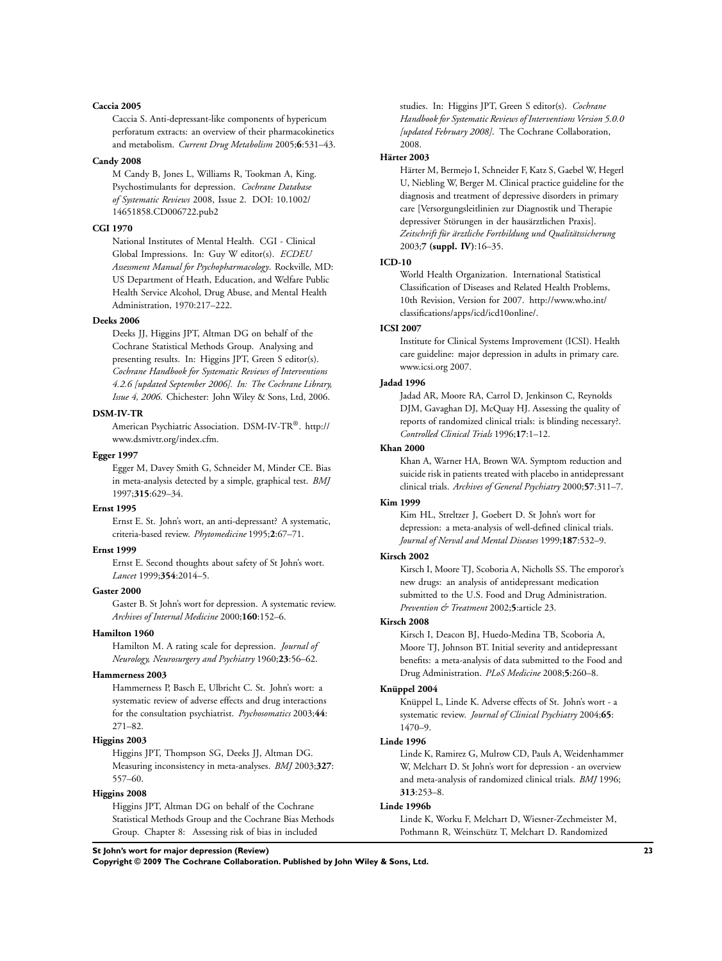#### **Caccia 2005**

Caccia S. Anti-depressant-like components of hypericum perforatum extracts: an overview of their pharmacokinetics and metabolism. *Current Drug Metabolism* 2005;**6**:531–43.

#### **Candy 2008**

M Candy B, Jones L, Williams R, Tookman A, King. Psychostimulants for depression. *Cochrane Database of Systematic Reviews* 2008, Issue 2. DOI: 10.1002/ 14651858.CD006722.pub2

### **CGI 1970**

National Institutes of Mental Health. CGI - Clinical Global Impressions. In: Guy W editor(s). *ECDEU Assessment Manual for Psychopharmacology*. Rockville, MD: US Department of Heath, Education, and Welfare Public Health Service Alcohol, Drug Abuse, and Mental Health Administration, 1970:217–222.

#### **Deeks 2006**

Deeks JJ, Higgins JPT, Altman DG on behalf of the Cochrane Statistical Methods Group. Analysing and presenting results. In: Higgins JPT, Green S editor(s). *Cochrane Handbook for Systematic Reviews of Interventions 4.2.6 [updated September 2006]. In: The Cochrane Library, Issue 4, 2006*. Chichester: John Wiley & Sons, Ltd, 2006.

#### **DSM-IV-TR**

American Psychiatric Association. DSM-IV-TR®. http:// www.dsmivtr.org/index.cfm.

## **Egger 1997**

Egger M, Davey Smith G, Schneider M, Minder CE. Bias in meta-analysis detected by a simple, graphical test. *BMJ* 1997;**315**:629–34.

#### **Ernst 1995**

Ernst E. St. John's wort, an anti-depressant? A systematic, criteria-based review. *Phytomedicine* 1995;**2**:67–71.

#### **Ernst 1999**

Ernst E. Second thoughts about safety of St John's wort. *Lancet* 1999;**354**:2014–5.

#### **Gaster 2000**

Gaster B. St John's wort for depression. A systematic review. *Archives of Internal Medicine* 2000;**160**:152–6.

#### **Hamilton 1960**

Hamilton M. A rating scale for depression. *Journal of Neurology, Neurosurgery and Psychiatry* 1960;**23**:56–62.

## **Hammerness 2003**

Hammerness P, Basch E, Ulbricht C. St. John's wort: a systematic review of adverse effects and drug interactions for the consultation psychiatrist. *Psychosomatics* 2003;**44**: 271–82.

### **Higgins 2003**

Higgins JPT, Thompson SG, Deeks JJ, Altman DG. Measuring inconsistency in meta-analyses. *BMJ* 2003;**327**: 557–60.

#### **Higgins 2008**

Higgins JPT, Altman DG on behalf of the Cochrane Statistical Methods Group and the Cochrane Bias Methods Group. Chapter 8: Assessing risk of bias in included

studies. In: Higgins JPT, Green S editor(s). *Cochrane Handbook for Systematic Reviews of Interventions Version 5.0.0 [updated February 2008]*. The Cochrane Collaboration, 2008.

#### **Härter 2003**

Härter M, Bermejo I, Schneider F, Katz S, Gaebel W, Hegerl U, Niebling W, Berger M. Clinical practice guideline for the diagnosis and treatment of depressive disorders in primary care [Versorgungsleitlinien zur Diagnostik und Therapie depressiver Störungen in der hausärztlichen Praxis]. *Zeitschrift für ärztliche Fortbildung und Qualitätssicherung* 2003;**7 (suppl. IV)**:16–35.

#### **ICD-10**

World Health Organization. International Statistical Classification of Diseases and Related Health Problems, 10th Revision, Version for 2007. http://www.who.int/ classifications/apps/icd/icd10online/.

#### **ICSI 2007**

Institute for Clinical Systems Improvement (ICSI). Health care guideline: major depression in adults in primary care. www.icsi.org 2007.

## **Jadad 1996**

Jadad AR, Moore RA, Carrol D, Jenkinson C, Reynolds DJM, Gavaghan DJ, McQuay HJ. Assessing the quality of reports of randomized clinical trials: is blinding necessary?. *Controlled Clinical Trials* 1996;**17**:1–12.

#### **Khan 2000**

Khan A, Warner HA, Brown WA. Symptom reduction and suicide risk in patients treated with placebo in antidepressant clinical trials. *Archives of General Psychiatry* 2000;**57**:311–7.

#### **Kim 1999**

Kim HL, Streltzer J, Goebert D. St John's wort for depression: a meta-analysis of well-defined clinical trials. *Journal of Nerval and Mental Diseases* 1999;**187**:532–9.

#### **Kirsch 2002**

Kirsch I, Moore TJ, Scoboria A, Nicholls SS. The emporor's new drugs: an analysis of antidepressant medication submitted to the U.S. Food and Drug Administration. *Prevention & Treatment* 2002;**5**:article 23.

#### **Kirsch 2008**

Kirsch I, Deacon BJ, Huedo-Medina TB, Scoboria A, Moore TJ, Johnson BT. Initial severity and antidepressant benefits: a meta-analysis of data submitted to the Food and Drug Administration. *PLoS Medicine* 2008;**5**:260–8.

### **Knüppel 2004**

Knüppel L, Linde K. Adverse effects of St. John's wort - a systematic review. *Journal of Clinical Psychiatry* 2004;**65**: 1470–9.

## **Linde 1996**

Linde K, Ramirez G, Mulrow CD, Pauls A, Weidenhammer W, Melchart D. St John's wort for depression - an overview and meta-analysis of randomized clinical trials. *BMJ* 1996; **313**:253–8.

## **Linde 1996b**

Linde K, Worku F, Melchart D, Wiesner-Zechmeister M, Pothmann R, Weinschütz T, Melchart D. Randomized

**St John's wort for major depression (Review) 23**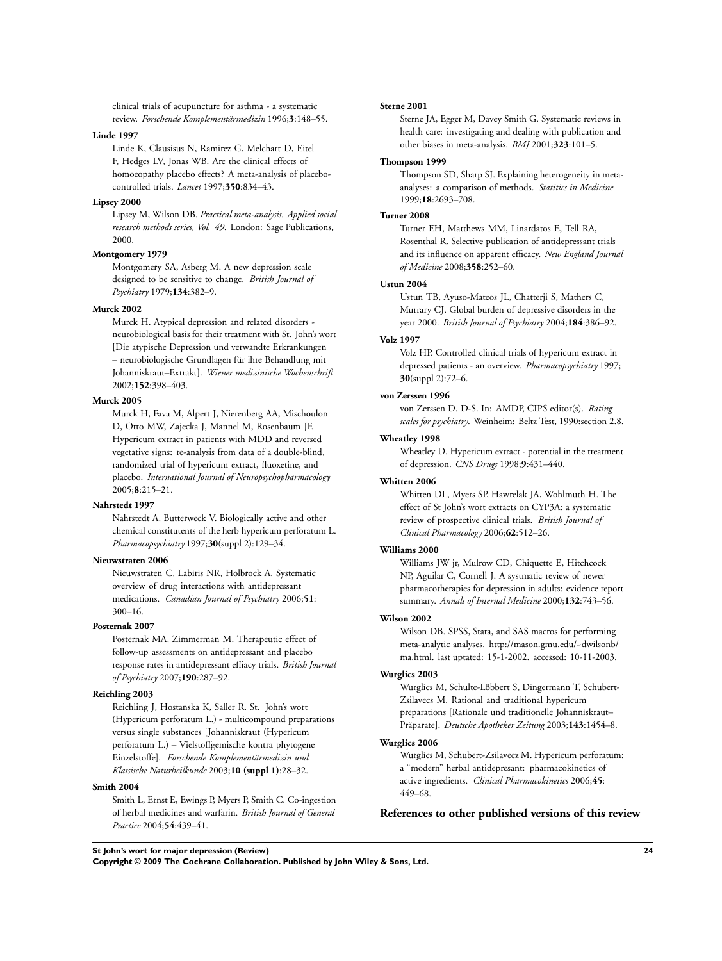clinical trials of acupuncture for asthma - a systematic review. *Forschende Komplementärmedizin* 1996;**3**:148–55.

#### **Linde 1997**

Linde K, Clausisus N, Ramirez G, Melchart D, Eitel F, Hedges LV, Jonas WB. Are the clinical effects of homoeopathy placebo effects? A meta-analysis of placebocontrolled trials. *Lancet* 1997;**350**:834–43.

#### **Lipsey 2000**

Lipsey M, Wilson DB. *Practical meta-analysis. Applied social research methods series, Vol. 49*. London: Sage Publications, 2000.

## **Montgomery 1979**

Montgomery SA, Asberg M. A new depression scale designed to be sensitive to change. *British Journal of Psychiatry* 1979;**134**:382–9.

#### **Murck 2002**

Murck H. Atypical depression and related disorders neurobiological basis for their treatment with St. John's wort [Die atypische Depression und verwandte Erkrankungen – neurobiologische Grundlagen für ihre Behandlung mit Johanniskraut–Extrakt]. *Wiener medizinische Wochenschrift* 2002;**152**:398–403.

#### **Murck 2005**

Murck H, Fava M, Alpert J, Nierenberg AA, Mischoulon D, Otto MW, Zajecka J, Mannel M, Rosenbaum JF. Hypericum extract in patients with MDD and reversed vegetative signs: re-analysis from data of a double-blind, randomized trial of hypericum extract, fluoxetine, and placebo. *International Journal of Neuropsychopharmacology* 2005;**8**:215–21.

#### **Nahrstedt 1997**

Nahrstedt A, Butterweck V. Biologically active and other chemical constitutents of the herb hypericum perforatum L. *Pharmacopsychiatry* 1997;**30**(suppl 2):129–34.

#### **Nieuwstraten 2006**

Nieuwstraten C, Labiris NR, Holbrock A. Systematic overview of drug interactions with antidepressant medications. *Canadian Journal of Psychiatry* 2006;**51**: 300–16.

#### **Posternak 2007**

Posternak MA, Zimmerman M. Therapeutic effect of follow-up assessments on antidepressant and placebo response rates in antidepressant effiacy trials. *British Journal of Psychiatry* 2007;**190**:287–92.

#### **Reichling 2003**

Reichling J, Hostanska K, Saller R. St. John's wort (Hypericum perforatum L.) - multicompound preparations versus single substances [Johanniskraut (Hypericum perforatum L.) – Vielstoffgemische kontra phytogene Einzelstoffe]. *Forschende Komplementärmedizin und Klassische Naturheilkunde* 2003;**10 (suppl 1)**:28–32.

#### **Smith 2004**

Smith L, Ernst E, Ewings P, Myers P, Smith C. Co-ingestion of herbal medicines and warfarin. *British Journal of General Practice* 2004;**54**:439–41.

#### **Sterne 2001**

Sterne JA, Egger M, Davey Smith G. Systematic reviews in health care: investigating and dealing with publication and other biases in meta-analysis. *BMJ* 2001;**323**:101–5.

#### **Thompson 1999**

Thompson SD, Sharp SJ. Explaining heterogeneity in metaanalyses: a comparison of methods. *Statitics in Medicine* 1999;**18**:2693–708.

#### **Turner 2008**

Turner EH, Matthews MM, Linardatos E, Tell RA, Rosenthal R. Selective publication of antidepressant trials and its influence on apparent efficacy. *New England Journal of Medicine* 2008;**358**:252–60.

## **Ustun 2004**

Ustun TB, Ayuso-Mateos JL, Chatterji S, Mathers C, Murrary CJ. Global burden of depressive disorders in the year 2000. *British Journal of Psychiatry* 2004;**184**:386–92.

#### **Volz 1997**

Volz HP. Controlled clinical trials of hypericum extract in depressed patients - an overview. *Pharmacopsychiatry* 1997; **30**(suppl 2):72–6.

## **von Zerssen 1996**

von Zerssen D. D-S. In: AMDP, CIPS editor(s). *Rating scales for psychiatry*. Weinheim: Beltz Test, 1990:section 2.8.

### **Wheatley 1998**

Wheatley D. Hypericum extract - potential in the treatment of depression. *CNS Drugs* 1998;**9**:431–440.

#### **Whitten 2006**

Whitten DL, Myers SP, Hawrelak JA, Wohlmuth H. The effect of St John's wort extracts on CYP3A: a systematic review of prospective clinical trials. *British Journal of Clinical Pharmacology* 2006;**62**:512–26.

#### **Williams 2000**

Williams JW jr, Mulrow CD, Chiquette E, Hitchcock NP, Aguilar C, Cornell J. A systmatic review of newer pharmacotherapies for depression in adults: evidence report summary. *Annals of Internal Medicine* 2000;**132**:743–56.

#### **Wilson 2002**

Wilson DB. SPSS, Stata, and SAS macros for performing meta-analytic analyses. http://mason.gmu.edu/~dwilsonb/ ma.html. last uptated: 15-1-2002. accessed: 10-11-2003.

#### **Wurglics 2003**

Wurglics M, Schulte-Löbbert S, Dingermann T, Schubert-Zsilavecs M. Rational and traditional hypericum preparations [Rationale und traditionelle Johanniskraut– Präparate]. *Deutsche Apotheker Zeitung* 2003;**143**:1454–8.

#### **Wurglics 2006**

Wurglics M, Schubert-Zsilavecz M. Hypericum perforatum: a "modern" herbal antidepresant: pharmacokinetics of active ingredients. *Clinical Pharmacokinetics* 2006;**45**: 449–68.

### **References to other published versions of this review**

#### **St John's wort for major depression (Review) 24**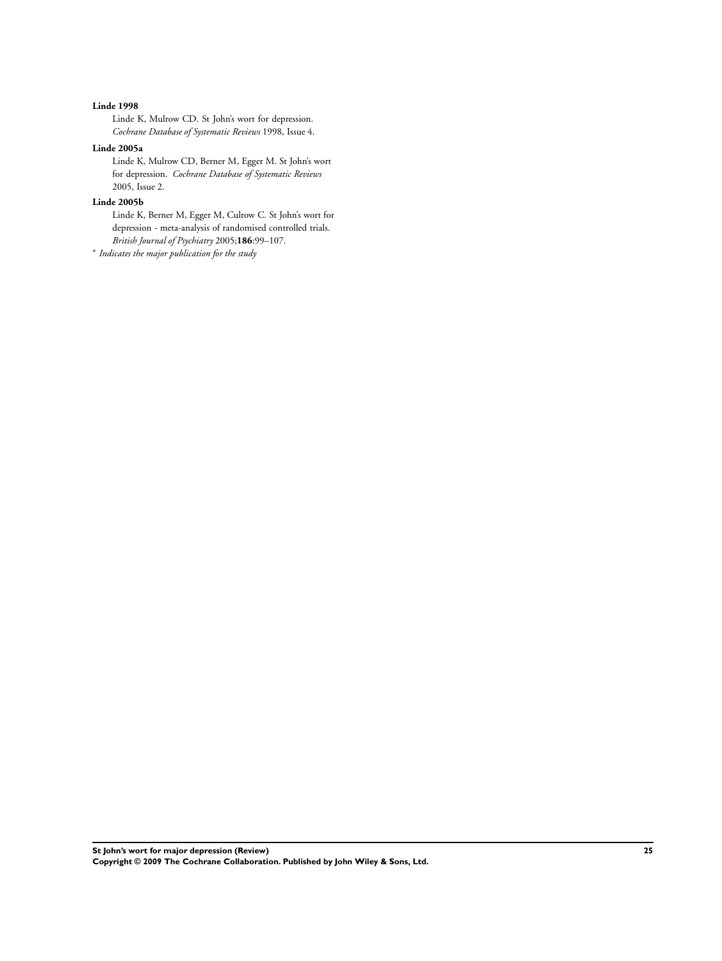#### **Linde 1998**

Linde K, Mulrow CD. St John's wort for depression. *Cochrane Database of Systematic Reviews* 1998, Issue 4.

### **Linde 2005a**

Linde K, Mulrow CD, Berner M, Egger M. St John's wort for depression. *Cochrane Database of Systematic Reviews* 2005, Issue 2.

### **Linde 2005b**

Linde K, Berner M, Egger M, Culrow C. St John's wort for depression - meta-analysis of randomised controlled trials. *British Journal of Psychiatry* 2005;**186**:99–107.

∗ *Indicates the major publication for the study*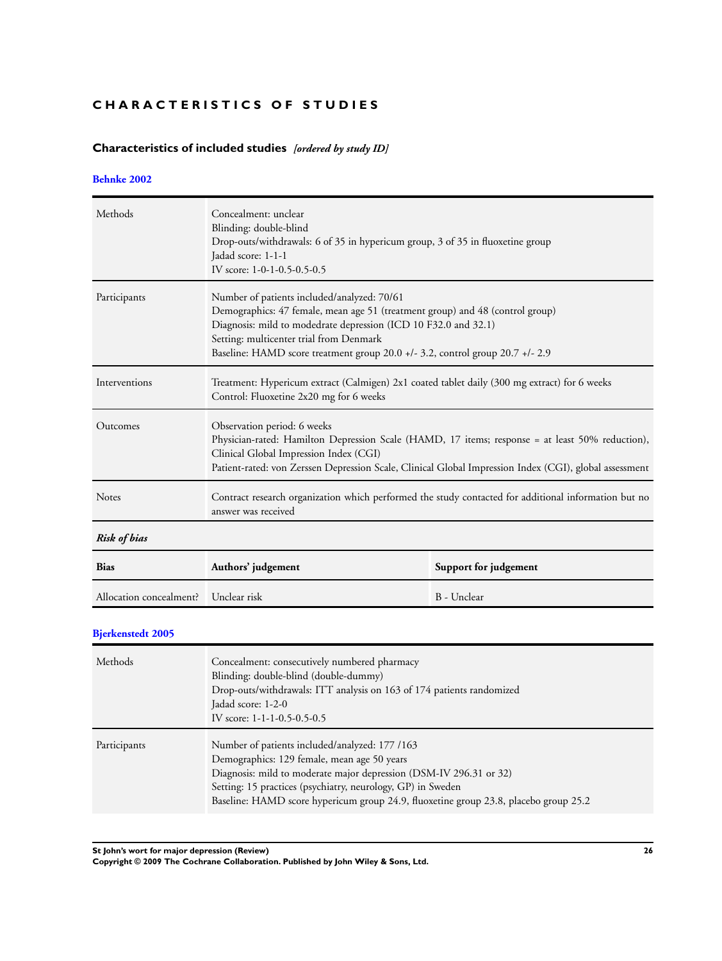## <span id="page-27-0"></span>**CHARACTERISTICS OF STUDIES**

## **Characteristics of included studies** *[ordered by study ID]*

## **[Behnke 2002](#page-19-0)**

| Methods                              | Concealment: unclear<br>Blinding: double-blind<br>Drop-outs/withdrawals: 6 of 35 in hypericum group, 3 of 35 in fluoxetine group<br>Jadad score: 1-1-1<br>IV score: 1-0-1-0.5-0.5-0.5                                                                                                                                       |                       |  |  |  |  |  |  |
|--------------------------------------|-----------------------------------------------------------------------------------------------------------------------------------------------------------------------------------------------------------------------------------------------------------------------------------------------------------------------------|-----------------------|--|--|--|--|--|--|
| Participants                         | Number of patients included/analyzed: 70/61<br>Demographics: 47 female, mean age 51 (treatment group) and 48 (control group)<br>Diagnosis: mild to modedrate depression (ICD 10 F32.0 and 32.1)<br>Setting: multicenter trial from Denmark<br>Baseline: HAMD score treatment group 20.0 +/- 3.2, control group 20.7 +/- 2.9 |                       |  |  |  |  |  |  |
| Interventions                        | Treatment: Hypericum extract (Calmigen) 2x1 coated tablet daily (300 mg extract) for 6 weeks<br>Control: Fluoxetine 2x20 mg for 6 weeks                                                                                                                                                                                     |                       |  |  |  |  |  |  |
| Outcomes                             | Observation period: 6 weeks<br>Physician-rated: Hamilton Depression Scale (HAMD, 17 items; response = at least 50% reduction),<br>Clinical Global Impression Index (CGI)<br>Patient-rated: von Zerssen Depression Scale, Clinical Global Impression Index (CGI), global assessment                                          |                       |  |  |  |  |  |  |
| <b>Notes</b>                         | Contract research organization which performed the study contacted for additional information but no<br>answer was received                                                                                                                                                                                                 |                       |  |  |  |  |  |  |
| <b>Risk of bias</b>                  |                                                                                                                                                                                                                                                                                                                             |                       |  |  |  |  |  |  |
| <b>Bias</b>                          | Authors' judgement                                                                                                                                                                                                                                                                                                          | Support for judgement |  |  |  |  |  |  |
| Allocation concealment? Unclear risk |                                                                                                                                                                                                                                                                                                                             | B - Unclear           |  |  |  |  |  |  |

## **[Bjerkenstedt 2005](#page-19-0)**

| Methods      | Concealment: consecutively numbered pharmacy<br>Blinding: double-blind (double-dummy)<br>Drop-outs/withdrawals: ITT analysis on 163 of 174 patients randomized<br>Jadad score: 1-2-0<br>IV score: 1-1-1-0.5-0.5-0.5                                                                                                       |
|--------------|---------------------------------------------------------------------------------------------------------------------------------------------------------------------------------------------------------------------------------------------------------------------------------------------------------------------------|
| Participants | Number of patients included/analyzed: 177/163<br>Demographics: 129 female, mean age 50 years<br>Diagnosis: mild to moderate major depression (DSM-IV 296.31 or 32)<br>Setting: 15 practices (psychiatry, neurology, GP) in Sweden<br>Baseline: HAMD score hypericum group 24.9, fluoxetine group 23.8, placebo group 25.2 |

**St John's wort for major depression (Review) 26**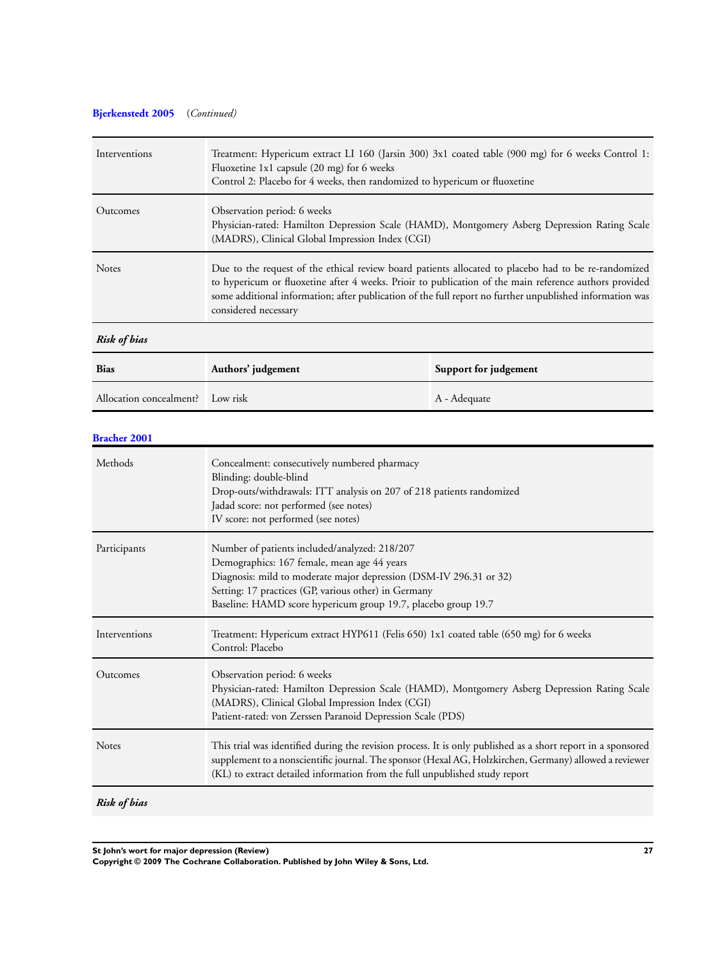## **[Bjerkenstedt 2005](#page-19-0)** (*Continued)*

| Interventions           | Treatment: Hypericum extract LI 160 (Jarsin 300) 3x1 coated table (900 mg) for 6 weeks Control 1:<br>Fluoxetine 1x1 capsule (20 mg) for 6 weeks<br>Control 2: Placebo for 4 weeks, then randomized to hypericum or fluoxetine                                                                                                                      |                                                                                                                                                 |  |  |  |  |  |
|-------------------------|----------------------------------------------------------------------------------------------------------------------------------------------------------------------------------------------------------------------------------------------------------------------------------------------------------------------------------------------------|-------------------------------------------------------------------------------------------------------------------------------------------------|--|--|--|--|--|
| Outcomes                | Observation period: 6 weeks                                                                                                                                                                                                                                                                                                                        | Physician-rated: Hamilton Depression Scale (HAMD), Montgomery Asberg Depression Rating Scale<br>(MADRS), Clinical Global Impression Index (CGI) |  |  |  |  |  |
| <b>Notes</b>            | Due to the request of the ethical review board patients allocated to placebo had to be re-randomized<br>to hypericum or fluoxetine after 4 weeks. Prioir to publication of the main reference authors provided<br>some additional information; after publication of the full report no further unpublished information was<br>considered necessary |                                                                                                                                                 |  |  |  |  |  |
| <b>Risk of bias</b>     |                                                                                                                                                                                                                                                                                                                                                    |                                                                                                                                                 |  |  |  |  |  |
| <b>Bias</b>             | Authors' judgement                                                                                                                                                                                                                                                                                                                                 | Support for judgement                                                                                                                           |  |  |  |  |  |
| Allocation concealment? | Low risk                                                                                                                                                                                                                                                                                                                                           | A - Adequate                                                                                                                                    |  |  |  |  |  |
| <b>Bracher 2001</b>     |                                                                                                                                                                                                                                                                                                                                                    |                                                                                                                                                 |  |  |  |  |  |
| Methods                 | Concealment: consecutively numbered pharmacy<br>Blinding: double-blind<br>Drop-outs/withdrawals: ITT analysis on 207 of 218 patients randomized<br>Jadad score: not performed (see notes)<br>IV score: not performed (see notes)                                                                                                                   |                                                                                                                                                 |  |  |  |  |  |
| Participants            | Number of patients included/analyzed: 218/207<br>Demographics: 167 female, mean age 44 years<br>Diagnosis: mild to moderate major depression (DSM-IV 296.31 or 32)<br>Setting: 17 practices (GP, various other) in Germany<br>Baseline: HAMD score hypericum group 19.7, placebo group 19.7                                                        |                                                                                                                                                 |  |  |  |  |  |
| Interventions           | Treatment: Hypericum extract HYP611 (Felis 650) 1x1 coated table (650 mg) for 6 weeks<br>Control: Placebo                                                                                                                                                                                                                                          |                                                                                                                                                 |  |  |  |  |  |
| Outcomes                | Observation period: 6 weeks<br>Physician-rated: Hamilton Depression Scale (HAMD), Montgomery Asberg Depression Rating Scale<br>(MADRS), Clinical Global Impression Index (CGI)<br>Patient-rated: von Zerssen Paranoid Depression Scale (PDS)                                                                                                       |                                                                                                                                                 |  |  |  |  |  |
| Notes                   | This trial was identified during the revision process. It is only published as a short report in a sponsored<br>supplement to a nonscientific journal. The sponsor (Hexal AG, Holzkirchen, Germany) allowed a reviewer<br>(KL) to extract detailed information from the full unpublished study report                                              |                                                                                                                                                 |  |  |  |  |  |

*Risk of bias*

**St John's wort for major depression (Review) 27**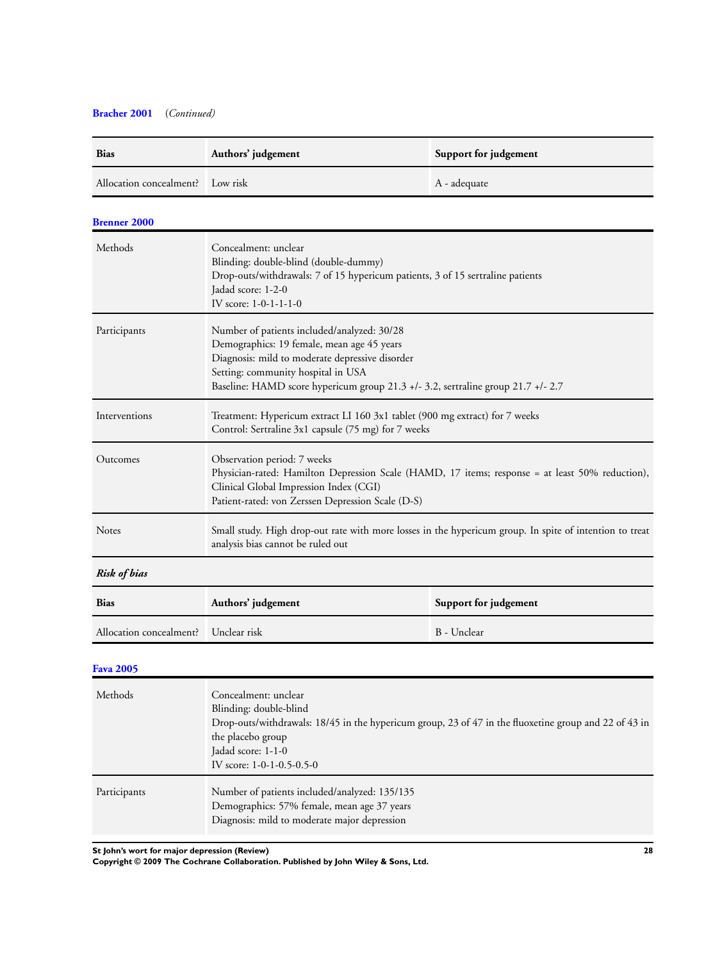## **[Bracher 2001](#page-19-0)** (*Continued)*

| <b>Bias</b>             | Authors' judgement                                                                                                                                                                                                                                                     | Support for judgement                                                                                 |  |  |  |  |  |  |
|-------------------------|------------------------------------------------------------------------------------------------------------------------------------------------------------------------------------------------------------------------------------------------------------------------|-------------------------------------------------------------------------------------------------------|--|--|--|--|--|--|
| Allocation concealment? | Low risk                                                                                                                                                                                                                                                               | A - adequate                                                                                          |  |  |  |  |  |  |
| <b>Brenner 2000</b>     |                                                                                                                                                                                                                                                                        |                                                                                                       |  |  |  |  |  |  |
| Methods                 | Concealment: unclear<br>Blinding: double-blind (double-dummy)<br>Drop-outs/withdrawals: 7 of 15 hypericum patients, 3 of 15 sertraline patients<br>Jadad score: 1-2-0<br>IV score: 1-0-1-1-1-0                                                                         |                                                                                                       |  |  |  |  |  |  |
| Participants            | Number of patients included/analyzed: 30/28<br>Demographics: 19 female, mean age 45 years<br>Diagnosis: mild to moderate depressive disorder<br>Setting: community hospital in USA<br>Baseline: HAMD score hypericum group 21.3 +/- 3.2, sertraline group 21.7 +/- 2.7 |                                                                                                       |  |  |  |  |  |  |
| Interventions           | Treatment: Hypericum extract LI 160 3x1 tablet (900 mg extract) for 7 weeks<br>Control: Sertraline 3x1 capsule (75 mg) for 7 weeks                                                                                                                                     |                                                                                                       |  |  |  |  |  |  |
| Outcomes                | Observation period: 7 weeks<br>Physician-rated: Hamilton Depression Scale (HAMD, 17 items; response = at least 50% reduction),<br>Clinical Global Impression Index (CGI)<br>Patient-rated: von Zerssen Depression Scale (D-S)                                          |                                                                                                       |  |  |  |  |  |  |
| Notes                   | Small study. High drop-out rate with more losses in the hypericum group. In spite of intention to treat<br>analysis bias cannot be ruled out                                                                                                                           |                                                                                                       |  |  |  |  |  |  |
| <b>Risk of bias</b>     |                                                                                                                                                                                                                                                                        |                                                                                                       |  |  |  |  |  |  |
| <b>Bias</b>             | Authors' judgement                                                                                                                                                                                                                                                     | Support for judgement                                                                                 |  |  |  |  |  |  |
| Allocation concealment? | Unclear risk                                                                                                                                                                                                                                                           | B - Unclear                                                                                           |  |  |  |  |  |  |
| <b>Fava 2005</b>        |                                                                                                                                                                                                                                                                        |                                                                                                       |  |  |  |  |  |  |
| Methods                 | Concealment: unclear<br>Blinding: double-blind<br>the placebo group                                                                                                                                                                                                    | Drop-outs/withdrawals: 18/45 in the hypericum group, 23 of 47 in the fluoxetine group and 22 of 43 in |  |  |  |  |  |  |

| Participants | Number of patients included/analyzed: 135/135 |
|--------------|-----------------------------------------------|
|              | Demographics: 57% female, mean age 37 years   |
|              | Diagnosis: mild to moderate major depression  |

**St John's wort for major depression (Review) 28**

**Copyright © 2009 The Cochrane Collaboration. Published by John Wiley & Sons, Ltd.**

Jadad score: 1-1-0 IV score: 1-0-1-0.5-0.5-0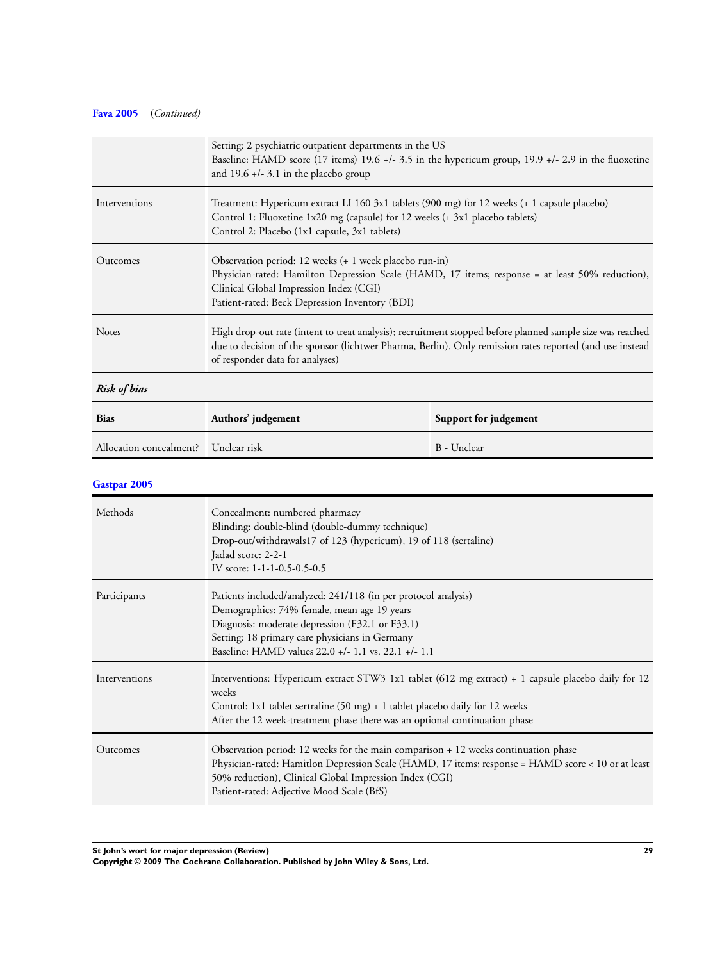## **[Fava 2005](#page-19-0)** (*Continued)*

|                         | Setting: 2 psychiatric outpatient departments in the US<br>Baseline: HAMD score (17 items) 19.6 +/- 3.5 in the hypericum group, $19.9$ +/- 2.9 in the fluoxetine<br>and $19.6$ +/- 3.1 in the placebo group                                              |                       |
|-------------------------|----------------------------------------------------------------------------------------------------------------------------------------------------------------------------------------------------------------------------------------------------------|-----------------------|
| Interventions           | Treatment: Hypericum extract LI 160 3x1 tablets (900 mg) for 12 weeks (+ 1 capsule placebo)<br>Control 1: Fluoxetine 1x20 mg (capsule) for 12 weeks (+ 3x1 placebo tablets)<br>Control 2: Placebo (1x1 capsule, 3x1 tablets)                             |                       |
| Outcomes                | Observation period: 12 weeks (+ 1 week placebo run-in)<br>Physician-rated: Hamilton Depression Scale (HAMD, 17 items; response = at least 50% reduction),<br>Clinical Global Impression Index (CGI)<br>Patient-rated: Beck Depression Inventory (BDI)    |                       |
| <b>Notes</b>            | High drop-out rate (intent to treat analysis); recruitment stopped before planned sample size was reached<br>due to decision of the sponsor (lichtwer Pharma, Berlin). Only remission rates reported (and use instead<br>of responder data for analyses) |                       |
| <b>Risk of bias</b>     |                                                                                                                                                                                                                                                          |                       |
| <b>Bias</b>             | Authors' judgement                                                                                                                                                                                                                                       | Support for judgement |
| Allocation concealment? | Unclear risk                                                                                                                                                                                                                                             | B - Unclear           |

## **[Gastpar 2005](#page-19-0)**

| Methods       | Concealment: numbered pharmacy<br>Blinding: double-blind (double-dummy technique)<br>Drop-out/withdrawals17 of 123 (hypericum), 19 of 118 (sertaline)<br>Jadad score: 2-2-1<br>IV score: 1-1-1-0.5-0.5-0.5                                                                                      |
|---------------|-------------------------------------------------------------------------------------------------------------------------------------------------------------------------------------------------------------------------------------------------------------------------------------------------|
| Participants  | Patients included/analyzed: 241/118 (in per protocol analysis)<br>Demographics: 74% female, mean age 19 years<br>Diagnosis: moderate depression (F32.1 or F33.1)<br>Setting: 18 primary care physicians in Germany<br>Baseline: HAMD values 22.0 +/- 1.1 vs. 22.1 +/- 1.1                       |
| Interventions | Interventions: Hypericum extract STW3 1x1 tablet (612 mg extract) + 1 capsule placebo daily for 12<br>weeks<br>Control: 1x1 tablet sertraline $(50 \text{ mg}) + 1$ tablet placebo daily for 12 weeks<br>After the 12 week-treatment phase there was an optional continuation phase             |
| Outcomes      | Observation period: 12 weeks for the main comparison + 12 weeks continuation phase<br>Physician-rated: Hamitlon Depression Scale (HAMD, 17 items; response = HAMD score < 10 or at least<br>50% reduction), Clinical Global Impression Index (CGI)<br>Patient-rated: Adjective Mood Scale (BfS) |

**St John's wort for major depression (Review) 29**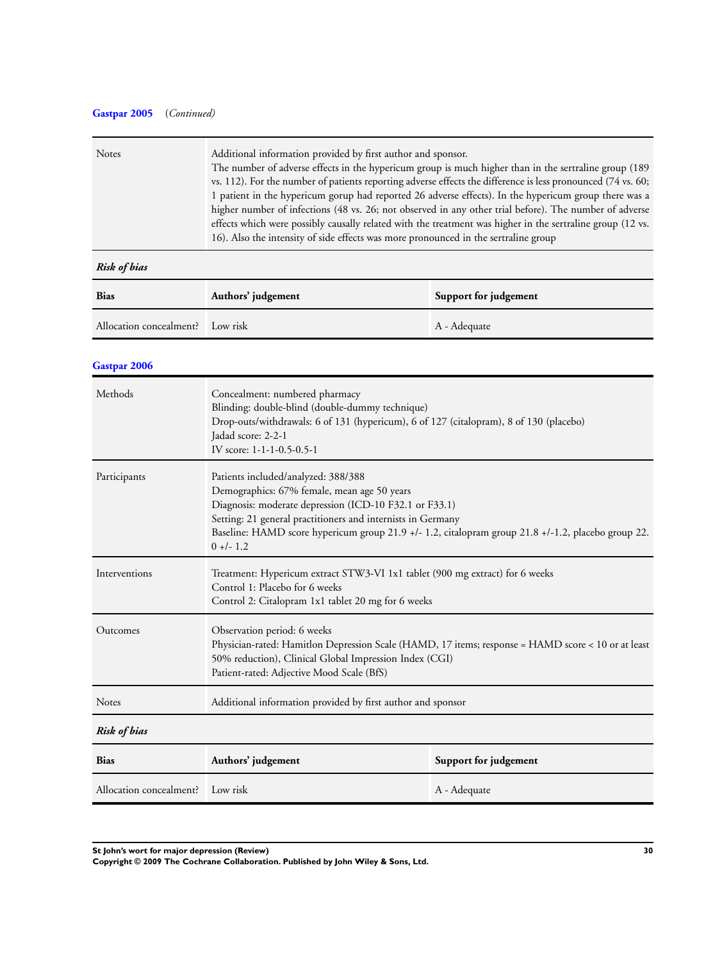## **[Gastpar 2005](#page-19-0)** (*Continued)*

| <b>Notes</b> | Additional information provided by first author and sponsor.<br>The number of adverse effects in the hypericum group is much higher than in the sertraline group (189)<br>vs. 112). For the number of patients reporting adverse effects the difference is less pronounced (74 vs. 60;<br>1 patient in the hypericum gorup had reported 26 adverse effects). In the hypericum group there was a<br>higher number of infections (48 vs. 26; not observed in any other trial before). The number of adverse<br>effects which were possibly causally related with the treatment was higher in the sertraline group (12 vs. |
|--------------|-------------------------------------------------------------------------------------------------------------------------------------------------------------------------------------------------------------------------------------------------------------------------------------------------------------------------------------------------------------------------------------------------------------------------------------------------------------------------------------------------------------------------------------------------------------------------------------------------------------------------|
|              | 16). Also the intensity of side effects was more pronounced in the sertraline group                                                                                                                                                                                                                                                                                                                                                                                                                                                                                                                                     |

## *Risk of bias*

| <b>Bias</b>                      | Authors' judgement | Support for judgement |
|----------------------------------|--------------------|-----------------------|
| Allocation concealment? Low risk |                    | A - Adequate          |

## **[Gastpar 2006](#page-19-0)**

| Methods                 | Concealment: numbered pharmacy<br>Blinding: double-blind (double-dummy technique)<br>Drop-outs/withdrawals: 6 of 131 (hypericum), 6 of 127 (citalopram), 8 of 130 (placebo)<br>Jadad score: 2-2-1<br>IV score: 1-1-1-0.5-0.5-1                                                                                                   |                       |
|-------------------------|----------------------------------------------------------------------------------------------------------------------------------------------------------------------------------------------------------------------------------------------------------------------------------------------------------------------------------|-----------------------|
| Participants            | Patients included/analyzed: 388/388<br>Demographics: 67% female, mean age 50 years<br>Diagnosis: moderate depression (ICD-10 F32.1 or F33.1)<br>Setting: 21 general practitioners and internists in Germany<br>Baseline: HAMD score hypericum group 21.9 +/- 1.2, citalopram group 21.8 +/-1.2, placebo group 22.<br>$0 +/- 1.2$ |                       |
| Interventions           | Treatment: Hypericum extract STW3-VI 1x1 tablet (900 mg extract) for 6 weeks<br>Control 1: Placebo for 6 weeks<br>Control 2: Citalopram 1x1 tablet 20 mg for 6 weeks                                                                                                                                                             |                       |
| Outcomes                | Observation period: 6 weeks<br>Physician-rated: Hamitlon Depression Scale (HAMD, 17 items; response = HAMD score < 10 or at least<br>50% reduction), Clinical Global Impression Index (CGI)<br>Patient-rated: Adjective Mood Scale (BfS)                                                                                         |                       |
| <b>Notes</b>            | Additional information provided by first author and sponsor                                                                                                                                                                                                                                                                      |                       |
| <b>Risk of bias</b>     |                                                                                                                                                                                                                                                                                                                                  |                       |
| <b>Bias</b>             | Authors' judgement                                                                                                                                                                                                                                                                                                               | Support for judgement |
| Allocation concealment? | Low risk                                                                                                                                                                                                                                                                                                                         | A - Adequate          |

**St John's wort for major depression (Review) 30**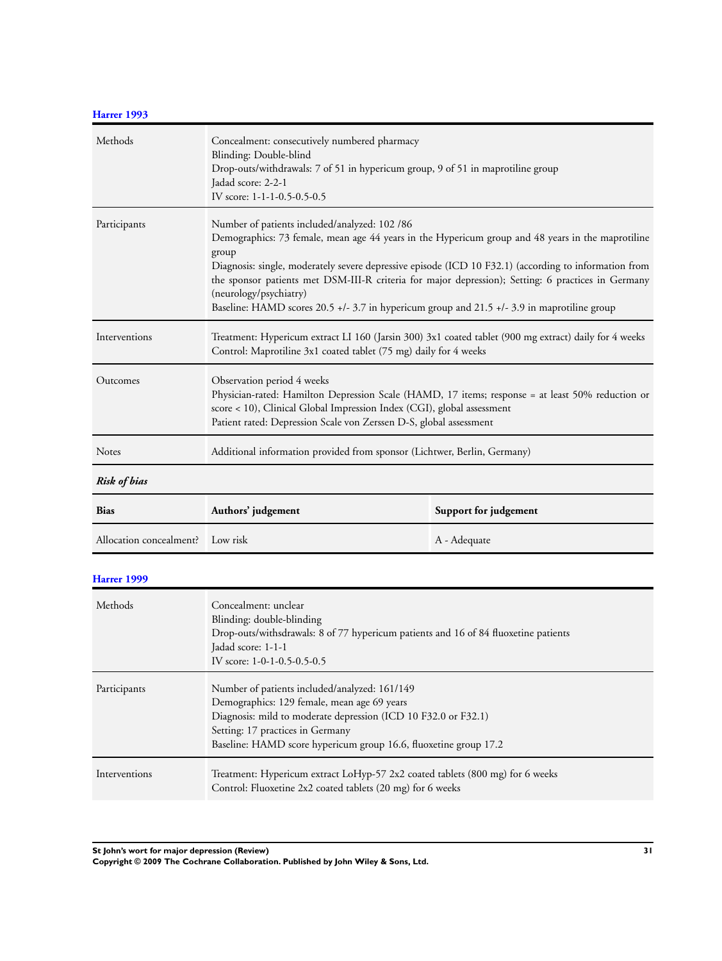| Harrer 1993         |                                                                             |                                                                                                                                                                                                                                                                                                                                                                                                                                                                  |  |
|---------------------|-----------------------------------------------------------------------------|------------------------------------------------------------------------------------------------------------------------------------------------------------------------------------------------------------------------------------------------------------------------------------------------------------------------------------------------------------------------------------------------------------------------------------------------------------------|--|
| Methods             | Blinding: Double-blind<br>Jadad score: 2-2-1<br>IV score: 1-1-1-0.5-0.5-0.5 | Concealment: consecutively numbered pharmacy<br>Drop-outs/withdrawals: 7 of 51 in hypericum group, 9 of 51 in maprotiline group                                                                                                                                                                                                                                                                                                                                  |  |
| Participants        | group<br>(neurology/psychiatry)                                             | Number of patients included/analyzed: 102 /86<br>Demographics: 73 female, mean age 44 years in the Hypericum group and 48 years in the maprotiline<br>Diagnosis: single, moderately severe depressive episode (ICD 10 F32.1) (according to information from<br>the sponsor patients met DSM-III-R criteria for major depression); Setting: 6 practices in Germany<br>Baseline: HAMD scores 20.5 +/- 3.7 in hypericum group and 21.5 +/- 3.9 in maprotiline group |  |
| Interventions       |                                                                             | Treatment: Hypericum extract LI 160 (Jarsin 300) 3x1 coated tablet (900 mg extract) daily for 4 weeks<br>Control: Maprotiline 3x1 coated tablet (75 mg) daily for 4 weeks                                                                                                                                                                                                                                                                                        |  |
| Outcomes            | Observation period 4 weeks                                                  | Physician-rated: Hamilton Depression Scale (HAMD, 17 items; response = at least 50% reduction or<br>score < 10), Clinical Global Impression Index (CGI), global assessment<br>Patient rated: Depression Scale von Zerssen D-S, global assessment                                                                                                                                                                                                                 |  |
| <b>Notes</b>        |                                                                             | Additional information provided from sponsor (Lichtwer, Berlin, Germany)                                                                                                                                                                                                                                                                                                                                                                                         |  |
| <b>Risk of bias</b> |                                                                             |                                                                                                                                                                                                                                                                                                                                                                                                                                                                  |  |
| <b>Bias</b>         | Authors' judgement                                                          | Support for judgement                                                                                                                                                                                                                                                                                                                                                                                                                                            |  |

| <b>Bias</b>                      | Authors' judgement | Support for judgement |
|----------------------------------|--------------------|-----------------------|
| Allocation concealment? Low risk |                    | A - Adequate          |

## **[Harrer 1999](#page-19-0)**

| Methods       | Concealment: unclear<br>Blinding: double-blinding<br>Drop-outs/withsdrawals: 8 of 77 hypericum patients and 16 of 84 fluoxetine patients<br>Jadad score: 1-1-1<br>IV score: 1-0-1-0.5-0.5-0.5                                                                          |
|---------------|------------------------------------------------------------------------------------------------------------------------------------------------------------------------------------------------------------------------------------------------------------------------|
| Participants  | Number of patients included/analyzed: 161/149<br>Demographics: 129 female, mean age 69 years<br>Diagnosis: mild to moderate depression (ICD 10 F32.0 or F32.1)<br>Setting: 17 practices in Germany<br>Baseline: HAMD score hypericum group 16.6, fluoxetine group 17.2 |
| Interventions | Treatment: Hypericum extract LoHyp-57 2x2 coated tablets (800 mg) for 6 weeks<br>Control: Fluoxetine 2x2 coated tablets (20 mg) for 6 weeks                                                                                                                            |

**St John's wort for major depression (Review) 31**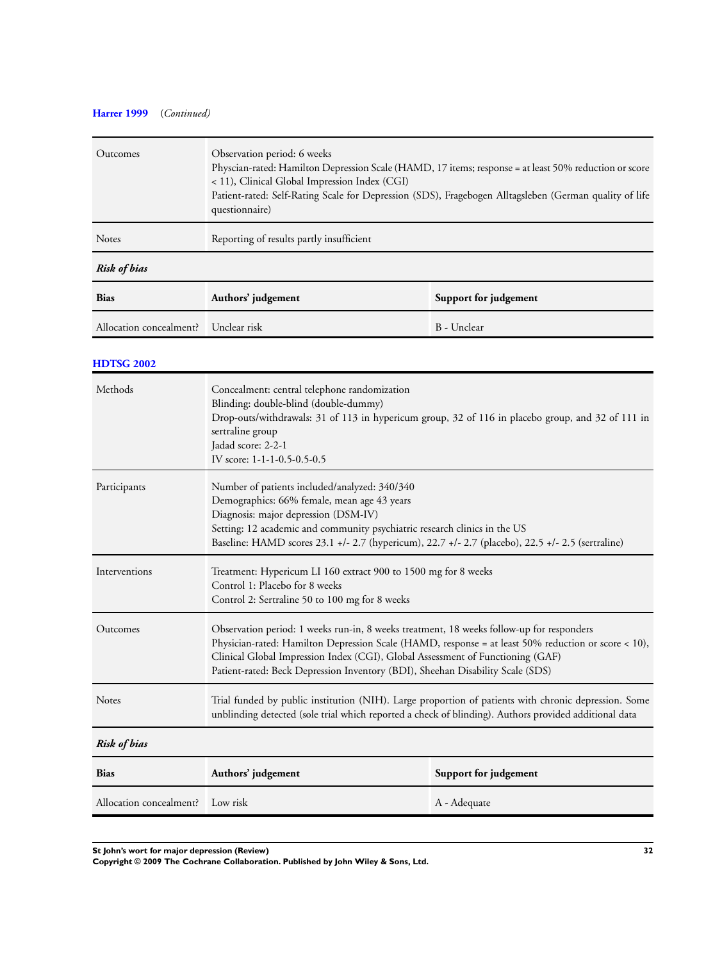## **[Harrer 1999](#page-19-0)** (*Continued)*

| Outcomes                | Observation period: 6 weeks<br>Physcian-rated: Hamilton Depression Scale (HAMD, 17 items; response = at least 50% reduction or score<br>< 11), Clinical Global Impression Index (CGI)<br>Patient-rated: Self-Rating Scale for Depression (SDS), Fragebogen Alltagsleben (German quality of life<br>questionnaire)                                                   |                       |
|-------------------------|---------------------------------------------------------------------------------------------------------------------------------------------------------------------------------------------------------------------------------------------------------------------------------------------------------------------------------------------------------------------|-----------------------|
| Notes                   | Reporting of results partly insufficient                                                                                                                                                                                                                                                                                                                            |                       |
| <b>Risk of bias</b>     |                                                                                                                                                                                                                                                                                                                                                                     |                       |
| <b>Bias</b>             | Authors' judgement                                                                                                                                                                                                                                                                                                                                                  | Support for judgement |
| Allocation concealment? | Unclear risk                                                                                                                                                                                                                                                                                                                                                        | B - Unclear           |
| <b>HDTSG 2002</b>       |                                                                                                                                                                                                                                                                                                                                                                     |                       |
| Methods                 | Concealment: central telephone randomization<br>Blinding: double-blind (double-dummy)<br>Drop-outs/withdrawals: 31 of 113 in hypericum group, 32 of 116 in placebo group, and 32 of 111 in<br>sertraline group<br>Jadad score: 2-2-1<br>IV score: 1-1-1-0.5-0.5-0.5                                                                                                 |                       |
| Participants            | Number of patients included/analyzed: 340/340<br>Demographics: 66% female, mean age 43 years<br>Diagnosis: major depression (DSM-IV)<br>Setting: 12 academic and community psychiatric research clinics in the US<br>Baseline: HAMD scores 23.1 +/- 2.7 (hypericum), 22.7 +/- 2.7 (placebo), 22.5 +/- 2.5 (sertraline)                                              |                       |
| Interventions           | Treatment: Hypericum LI 160 extract 900 to 1500 mg for 8 weeks<br>Control 1: Placebo for 8 weeks<br>Control 2: Sertraline 50 to 100 mg for 8 weeks                                                                                                                                                                                                                  |                       |
| Outcomes                | Observation period: 1 weeks run-in, 8 weeks treatment, 18 weeks follow-up for responders<br>Physician-rated: Hamilton Depression Scale (HAMD, response = at least 50% reduction or score < 10),<br>Clinical Global Impression Index (CGI), Global Assessment of Functioning (GAF)<br>Patient-rated: Beck Depression Inventory (BDI), Sheehan Disability Scale (SDS) |                       |
| Notes                   | Trial funded by public institution (NIH). Large proportion of patients with chronic depression. Some<br>unblinding detected (sole trial which reported a check of blinding). Authors provided additional data                                                                                                                                                       |                       |
| <b>Risk of bias</b>     |                                                                                                                                                                                                                                                                                                                                                                     |                       |
| Bias                    | Authors' judgement                                                                                                                                                                                                                                                                                                                                                  | Support for judgement |
| Allocation concealment? | Low risk                                                                                                                                                                                                                                                                                                                                                            | A - Adequate          |

**St John's wort for major depression (Review) 32**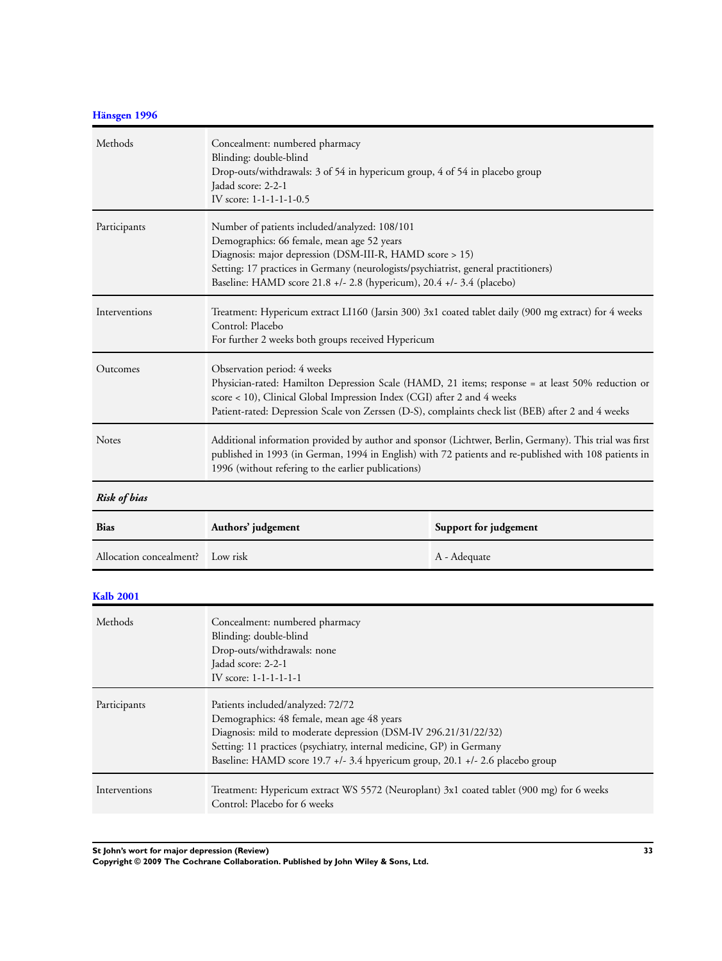## **[Hänsgen 1996](#page-19-0)**

| Methods       | Concealment: numbered pharmacy<br>Blinding: double-blind<br>Drop-outs/withdrawals: 3 of 54 in hypericum group, 4 of 54 in placebo group<br>Jadad score: 2-2-1<br>IV score: 1-1-1-1-1-0.5                                                                                                                                |
|---------------|-------------------------------------------------------------------------------------------------------------------------------------------------------------------------------------------------------------------------------------------------------------------------------------------------------------------------|
| Participants  | Number of patients included/analyzed: 108/101<br>Demographics: 66 female, mean age 52 years<br>Diagnosis: major depression (DSM-III-R, HAMD score > 15)<br>Setting: 17 practices in Germany (neurologists/psychiatrist, general practitioners)<br>Baseline: HAMD score 21.8 +/- 2.8 (hypericum), 20.4 +/- 3.4 (placebo) |
| Interventions | Treatment: Hypericum extract L1160 (Jarsin 300) 3x1 coated tablet daily (900 mg extract) for 4 weeks<br>Control: Placebo<br>For further 2 weeks both groups received Hypericum                                                                                                                                          |
| Outcomes      | Observation period: 4 weeks<br>Physician-rated: Hamilton Depression Scale (HAMD, 21 items; response = at least 50% reduction or<br>score < 10), Clinical Global Impression Index (CGI) after 2 and 4 weeks<br>Patient-rated: Depression Scale von Zerssen (D-S), complaints check list (BEB) after 2 and 4 weeks        |
| <b>Notes</b>  | Additional information provided by author and sponsor (Lichtwer, Berlin, Germany). This trial was first<br>published in 1993 (in German, 1994 in English) with 72 patients and re-published with 108 patients in<br>1996 (without refering to the earlier publications)                                                 |

*Risk of bias*

| <b>Bias</b>                      | Authors' judgement | Support for judgement |
|----------------------------------|--------------------|-----------------------|
| Allocation concealment? Low risk |                    | A - Adequate          |

## **[Kalb 2001](#page-19-0)**

| Methods       | Concealment: numbered pharmacy<br>Blinding: double-blind<br>Drop-outs/withdrawals: none<br>Jadad score: 2-2-1<br>IV score: $1-1-1-1-1-1$                                                                                                                                                                    |
|---------------|-------------------------------------------------------------------------------------------------------------------------------------------------------------------------------------------------------------------------------------------------------------------------------------------------------------|
| Participants  | Patients included/analyzed: 72/72<br>Demographics: 48 female, mean age 48 years<br>Diagnosis: mild to moderate depression (DSM-IV 296.21/31/22/32)<br>Setting: 11 practices (psychiatry, internal medicine, GP) in Germany<br>Baseline: HAMD score 19.7 +/- 3.4 hpyericum group, 20.1 +/- 2.6 placebo group |
| Interventions | Treatment: Hypericum extract WS 5572 (Neuroplant) 3x1 coated tablet (900 mg) for 6 weeks<br>Control: Placebo for 6 weeks                                                                                                                                                                                    |

**St John's wort for major depression (Review) 33**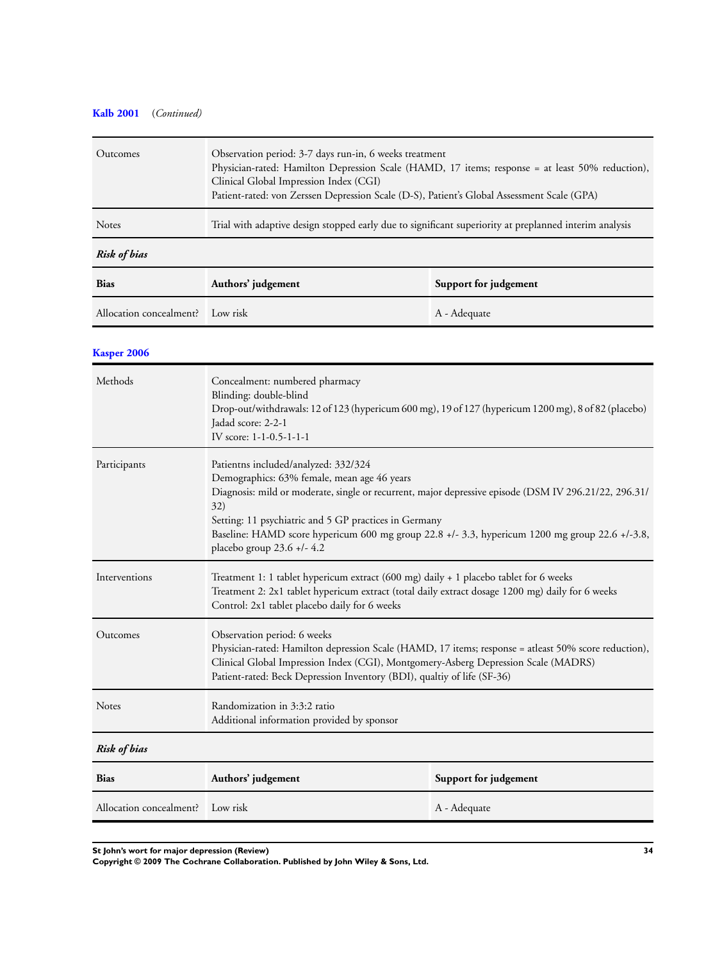## **[Kalb 2001](#page-19-0)** (*Continued)*

| Outcomes                         | Observation period: 3-7 days run-in, 6 weeks treatment<br>Physician-rated: Hamilton Depression Scale (HAMD, 17 items; response = at least 50% reduction),<br>Clinical Global Impression Index (CGI)<br>Patient-rated: von Zerssen Depression Scale (D-S), Patient's Global Assessment Scale (GPA) |                       |
|----------------------------------|---------------------------------------------------------------------------------------------------------------------------------------------------------------------------------------------------------------------------------------------------------------------------------------------------|-----------------------|
| <b>Notes</b>                     | Trial with adaptive design stopped early due to significant superiority at preplanned interim analysis                                                                                                                                                                                            |                       |
| Risk of bias                     |                                                                                                                                                                                                                                                                                                   |                       |
| <b>Bias</b>                      | Authors' judgement                                                                                                                                                                                                                                                                                | Support for judgement |
| Allocation concealment? Low risk |                                                                                                                                                                                                                                                                                                   | A - Adequate          |

## **[Kasper 2006](#page-19-0)**

| Methods                          | Concealment: numbered pharmacy<br>Blinding: double-blind<br>Drop-out/withdrawals: 12 of 123 (hypericum 600 mg), 19 of 127 (hypericum 1200 mg), 8 of 82 (placebo)<br>Jadad score: 2-2-1<br>IV score: 1-1-0.5-1-1-1                                                                                                                                                                              |                       |
|----------------------------------|------------------------------------------------------------------------------------------------------------------------------------------------------------------------------------------------------------------------------------------------------------------------------------------------------------------------------------------------------------------------------------------------|-----------------------|
| Participants                     | Patientns included/analyzed: 332/324<br>Demographics: 63% female, mean age 46 years<br>Diagnosis: mild or moderate, single or recurrent, major depressive episode (DSM IV 296.21/22, 296.31/<br>32)<br>Setting: 11 psychiatric and 5 GP practices in Germany<br>Baseline: HAMD score hypericum 600 mg group 22.8 +/- 3.3, hypericum 1200 mg group 22.6 +/-3.8,<br>placebo group $23.6 +/- 4.2$ |                       |
| Interventions                    | Treatment 1: 1 tablet hypericum extract (600 mg) daily + 1 placebo tablet for 6 weeks<br>Treatment 2: 2x1 tablet hypericum extract (total daily extract dosage 1200 mg) daily for 6 weeks<br>Control: 2x1 tablet placebo daily for 6 weeks                                                                                                                                                     |                       |
| Outcomes                         | Observation period: 6 weeks<br>Physician-rated: Hamilton depression Scale (HAMD, 17 items; response = atleast 50% score reduction),<br>Clinical Global Impression Index (CGI), Montgomery-Asberg Depression Scale (MADRS)<br>Patient-rated: Beck Depression Inventory (BDI), qualtiy of life (SF-36)                                                                                           |                       |
| <b>Notes</b>                     | Randomization in 3:3:2 ratio<br>Additional information provided by sponsor                                                                                                                                                                                                                                                                                                                     |                       |
| <b>Risk of bias</b>              |                                                                                                                                                                                                                                                                                                                                                                                                |                       |
| <b>Bias</b>                      | Authors' judgement                                                                                                                                                                                                                                                                                                                                                                             | Support for judgement |
| Allocation concealment? Low risk |                                                                                                                                                                                                                                                                                                                                                                                                | A - Adequate          |

**St John's wort for major depression (Review) 34**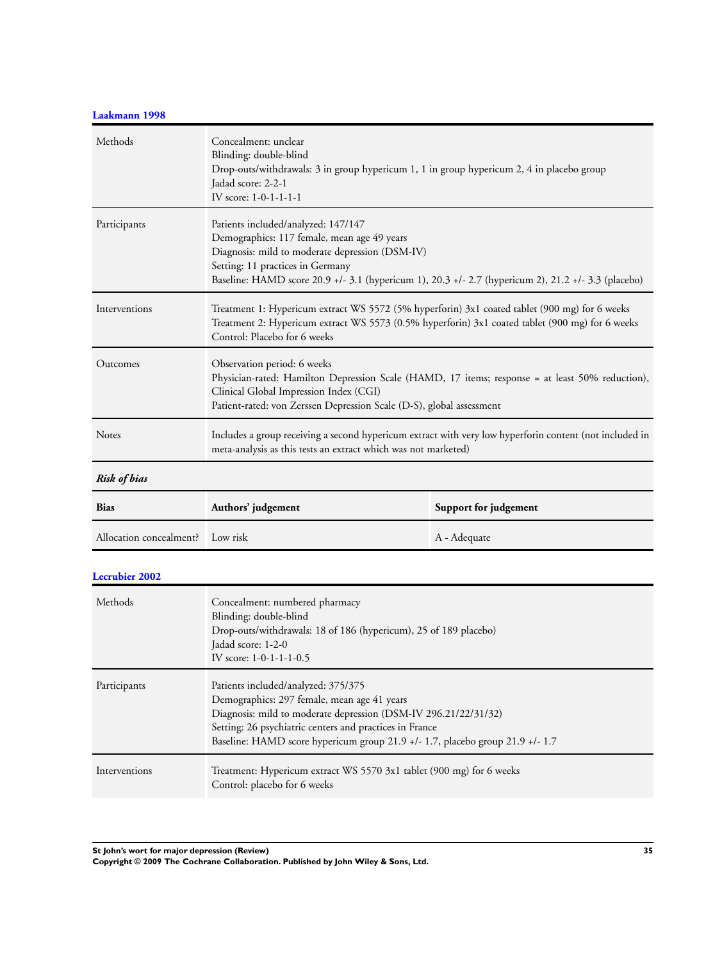## **[Laakmann 1998](#page-19-0)**

| Methods       | Concealment: unclear<br>Blinding: double-blind<br>Drop-outs/withdrawals: 3 in group hypericum 1, 1 in group hypericum 2, 4 in placebo group<br>Jadad score: 2-2-1<br>IV score: 1-0-1-1-1-1                                                                                       |
|---------------|----------------------------------------------------------------------------------------------------------------------------------------------------------------------------------------------------------------------------------------------------------------------------------|
| Participants  | Patients included/analyzed: 147/147<br>Demographics: 117 female, mean age 49 years<br>Diagnosis: mild to moderate depression (DSM-IV)<br>Setting: 11 practices in Germany<br>Baseline: HAMD score 20.9 +/- 3.1 (hypericum 1), 20.3 +/- 2.7 (hypericum 2), 21.2 +/- 3.3 (placebo) |
| Interventions | Treatment 1: Hypericum extract WS 5572 (5% hyperforin) 3x1 coated tablet (900 mg) for 6 weeks<br>Treatment 2: Hypericum extract WS 5573 (0.5% hyperforin) 3x1 coated tablet (900 mg) for 6 weeks<br>Control: Placebo for 6 weeks                                                 |
| Outcomes      | Observation period: 6 weeks<br>Physician-rated: Hamilton Depression Scale (HAMD, 17 items; response = at least 50% reduction),<br>Clinical Global Impression Index (CGI)<br>Patient-rated: von Zerssen Depression Scale (D-S), global assessment                                 |
| <b>Notes</b>  | Includes a group receiving a second hypericum extract with very low hyperforin content (not included in<br>meta-analysis as this tests an extract which was not marketed)                                                                                                        |
|               |                                                                                                                                                                                                                                                                                  |

| <b>Risk of bias</b> |  |
|---------------------|--|
|---------------------|--|

| <b>Bias</b>                      | Authors' judgement | Support for judgement |
|----------------------------------|--------------------|-----------------------|
| Allocation concealment? Low risk |                    | A - Adequate          |

# **[Lecrubier 2002](#page-19-0)**

| Methods       | Concealment: numbered pharmacy<br>Blinding: double-blind<br>Drop-outs/withdrawals: 18 of 186 (hypericum), 25 of 189 placebo)<br>Jadad score: 1-2-0<br>IV score: $1-0-1-1-1-0.5$                                                                                                                   |
|---------------|---------------------------------------------------------------------------------------------------------------------------------------------------------------------------------------------------------------------------------------------------------------------------------------------------|
| Participants  | Patients included/analyzed: 375/375<br>Demographics: 297 female, mean age 41 years<br>Diagnosis: mild to moderate depression (DSM-IV 296.21/22/31/32)<br>Setting: 26 psychiatric centers and practices in France<br>Baseline: HAMD score hypericum group 21.9 +/- 1.7, placebo group 21.9 +/- 1.7 |
| Interventions | Treatment: Hypericum extract WS 5570 3x1 tablet (900 mg) for 6 weeks<br>Control: placebo for 6 weeks                                                                                                                                                                                              |

**St John's wort for major depression (Review) 35**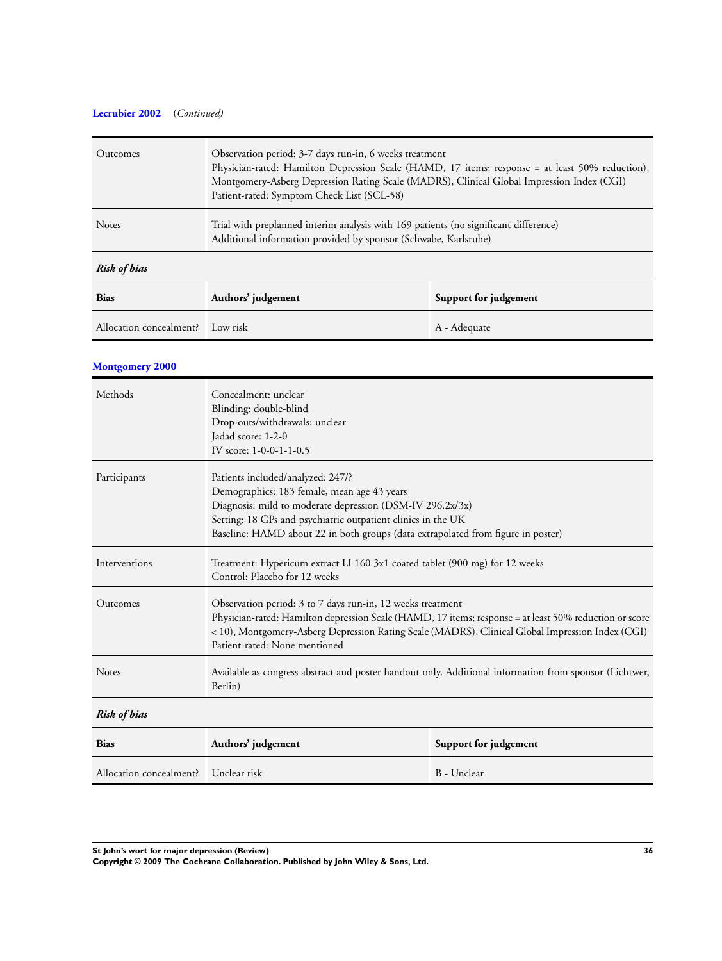## **[Lecrubier 2002](#page-19-0)** (*Continued)*

| Outcomes                         | Observation period: 3-7 days run-in, 6 weeks treatment<br>Physician-rated: Hamilton Depression Scale (HAMD, 17 items; response = at least 50% reduction),<br>Montgomery-Asberg Depression Rating Scale (MADRS), Clinical Global Impression Index (CGI)<br>Patient-rated: Symptom Check List (SCL-58) |                       |
|----------------------------------|------------------------------------------------------------------------------------------------------------------------------------------------------------------------------------------------------------------------------------------------------------------------------------------------------|-----------------------|
| <b>Notes</b>                     | Trial with preplanned interim analysis with 169 patients (no significant difference)<br>Additional information provided by sponsor (Schwabe, Karlsruhe)                                                                                                                                              |                       |
| <b>Risk of bias</b>              |                                                                                                                                                                                                                                                                                                      |                       |
| <b>Bias</b>                      | Authors' judgement                                                                                                                                                                                                                                                                                   | Support for judgement |
| Allocation concealment? Low risk |                                                                                                                                                                                                                                                                                                      | A - Adequate          |

## **[Montgomery 2000](#page-19-0)**

| Methods                 | Concealment: unclear<br>Blinding: double-blind<br>Drop-outs/withdrawals: unclear<br>Jadad score: 1-2-0<br>IV score: 1-0-0-1-1-0.5                                                                                                                                                                         |                       |
|-------------------------|-----------------------------------------------------------------------------------------------------------------------------------------------------------------------------------------------------------------------------------------------------------------------------------------------------------|-----------------------|
| Participants            | Patients included/analyzed: 247/?<br>Demographics: 183 female, mean age 43 years<br>Diagnosis: mild to moderate depression (DSM-IV 296.2x/3x)<br>Setting: 18 GPs and psychiatric outpatient clinics in the UK<br>Baseline: HAMD about 22 in both groups (data extrapolated from figure in poster)         |                       |
| Interventions           | Treatment: Hypericum extract LI 160 3x1 coated tablet (900 mg) for 12 weeks<br>Control: Placebo for 12 weeks                                                                                                                                                                                              |                       |
| Outcomes                | Observation period: 3 to 7 days run-in, 12 weeks treatment<br>Physician-rated: Hamilton depression Scale (HAMD, 17 items; response = at least 50% reduction or score<br>< 10), Montgomery-Asberg Depression Rating Scale (MADRS), Clinical Global Impression Index (CGI)<br>Patient-rated: None mentioned |                       |
| Notes                   | Available as congress abstract and poster handout only. Additional information from sponsor (Lichtwer,<br>Berlin)                                                                                                                                                                                         |                       |
| <b>Risk of bias</b>     |                                                                                                                                                                                                                                                                                                           |                       |
| <b>Bias</b>             | Authors' judgement                                                                                                                                                                                                                                                                                        | Support for judgement |
| Allocation concealment? | Unclear risk                                                                                                                                                                                                                                                                                              | B - Unclear           |

**St John's wort for major depression (Review) 36**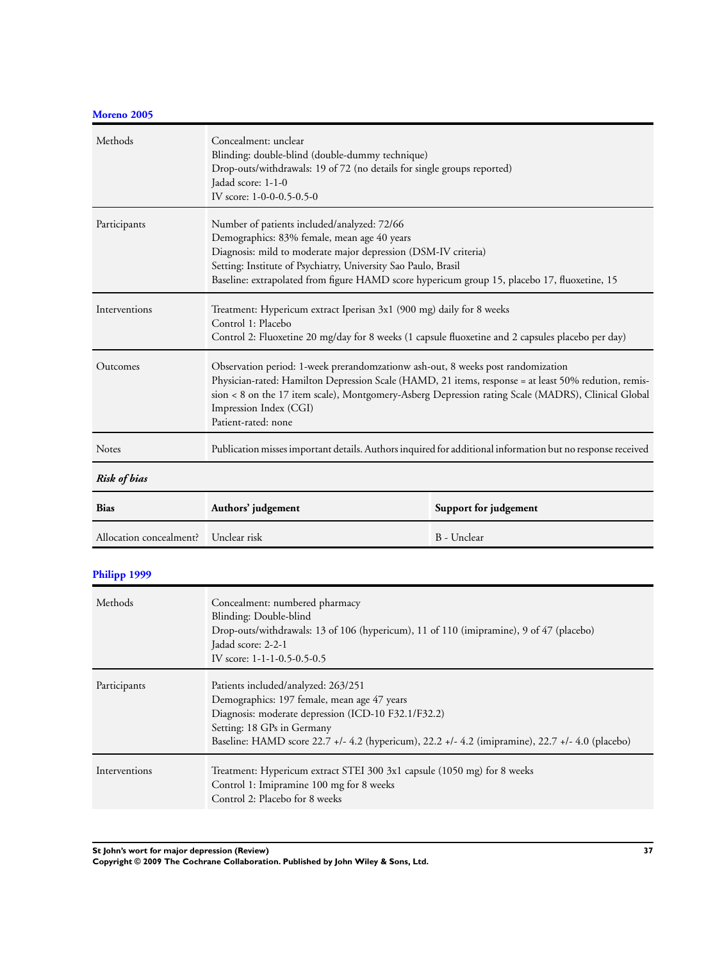| Moreno 2005         |                                                                                                                                                                                                                                                                                                                                                |
|---------------------|------------------------------------------------------------------------------------------------------------------------------------------------------------------------------------------------------------------------------------------------------------------------------------------------------------------------------------------------|
| Methods             | Concealment: unclear<br>Blinding: double-blind (double-dummy technique)<br>Drop-outs/withdrawals: 19 of 72 (no details for single groups reported)<br>Jadad score: 1-1-0<br>IV score: 1-0-0-0.5-0.5-0                                                                                                                                          |
| Participants        | Number of patients included/analyzed: 72/66<br>Demographics: 83% female, mean age 40 years<br>Diagnosis: mild to moderate major depression (DSM-IV criteria)<br>Setting: Institute of Psychiatry, University Sao Paulo, Brasil<br>Baseline: extrapolated from figure HAMD score hypericum group 15, placebo 17, fluoxetine, 15                 |
| Interventions       | Treatment: Hypericum extract Iperisan 3x1 (900 mg) daily for 8 weeks<br>Control 1: Placebo<br>Control 2: Fluoxetine 20 mg/day for 8 weeks (1 capsule fluoxetine and 2 capsules placebo per day)                                                                                                                                                |
| Outcomes            | Observation period: 1-week prerandomzationw ash-out, 8 weeks post randomization<br>Physician-rated: Hamilton Depression Scale (HAMD, 21 items, response = at least 50% redution, remis-<br>sion < 8 on the 17 item scale), Montgomery-Asberg Depression rating Scale (MADRS), Clinical Global<br>Impression Index (CGI)<br>Patient-rated: none |
| <b>Notes</b>        | Publication misses important details. Authors inquired for additional information but no response received                                                                                                                                                                                                                                     |
| <b>Risk of bias</b> |                                                                                                                                                                                                                                                                                                                                                |

| <b>Bias</b>                          | Authors' judgement | Support for judgement |
|--------------------------------------|--------------------|-----------------------|
| Allocation concealment? Unclear risk |                    | B - Unclear           |

## **[Philipp 1999](#page-19-0)**

| Methods       | Concealment: numbered pharmacy<br>Blinding: Double-blind<br>Drop-outs/withdrawals: 13 of 106 (hypericum), 11 of 110 (imipramine), 9 of 47 (placebo)<br>Jadad score: 2-2-1<br>IV score: 1-1-1-0.5-0.5-0.5                                                                    |
|---------------|-----------------------------------------------------------------------------------------------------------------------------------------------------------------------------------------------------------------------------------------------------------------------------|
| Participants  | Patients included/analyzed: 263/251<br>Demographics: 197 female, mean age 47 years<br>Diagnosis: moderate depression (ICD-10 F32.1/F32.2)<br>Setting: 18 GPs in Germany<br>Baseline: HAMD score 22.7 +/- 4.2 (hypericum), 22.2 +/- 4.2 (imipramine), 22.7 +/- 4.0 (placebo) |
| Interventions | Treatment: Hypericum extract STEI 300 3x1 capsule (1050 mg) for 8 weeks<br>Control 1: Imipramine 100 mg for 8 weeks<br>Control 2: Placebo for 8 weeks                                                                                                                       |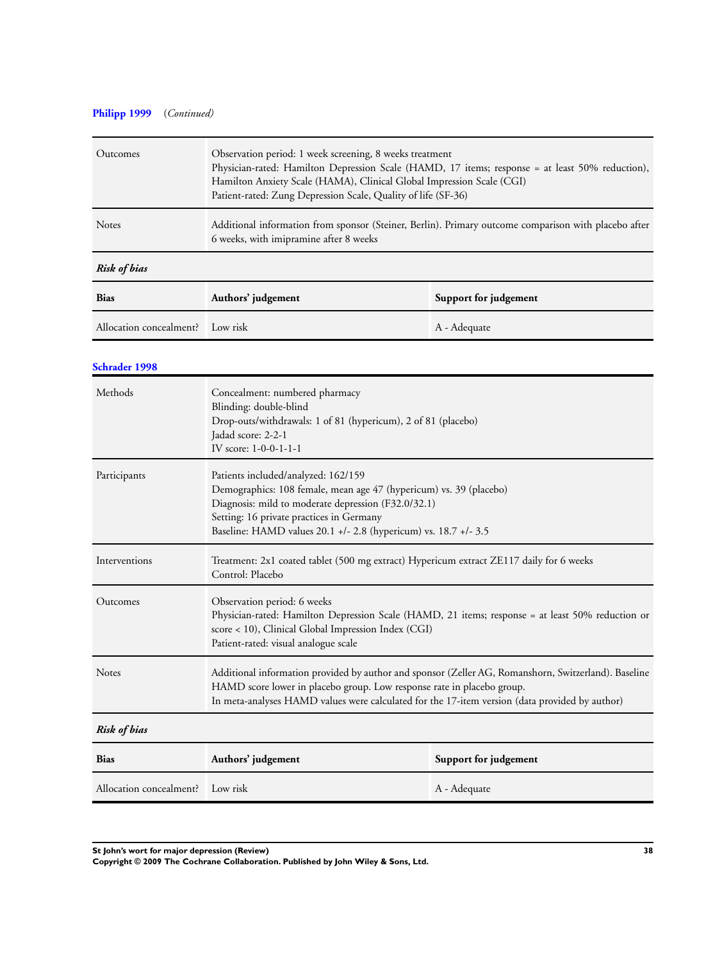## **[Philipp 1999](#page-19-0)** (*Continued)*

| Outcomes                | Observation period: 1 week screening, 8 weeks treatment<br>Physician-rated: Hamilton Depression Scale (HAMD, 17 items; response = at least 50% reduction),<br>Hamilton Anxiety Scale (HAMA), Clinical Global Impression Scale (CGI)<br>Patient-rated: Zung Depression Scale, Quality of life (SF-36) |                       |
|-------------------------|------------------------------------------------------------------------------------------------------------------------------------------------------------------------------------------------------------------------------------------------------------------------------------------------------|-----------------------|
| Notes                   | Additional information from sponsor (Steiner, Berlin). Primary outcome comparison with placebo after<br>6 weeks, with imipramine after 8 weeks                                                                                                                                                       |                       |
| Risk of bias            |                                                                                                                                                                                                                                                                                                      |                       |
| <b>Bias</b>             | Authors' judgement                                                                                                                                                                                                                                                                                   | Support for judgement |
| Allocation concealment? | Low risk                                                                                                                                                                                                                                                                                             | A - Adequate          |
| <b>Schrader 1998</b>    |                                                                                                                                                                                                                                                                                                      |                       |
| Methods                 | Concealment: numbered pharmacy<br>Blinding: double-blind<br>Drop-outs/withdrawals: 1 of 81 (hypericum), 2 of 81 (placebo)<br>Jadad score: 2-2-1<br>IV score: 1-0-0-1-1-1                                                                                                                             |                       |
| Participants            | Patients included/analyzed: 162/159<br>Demographics: 108 female, mean age 47 (hypericum) vs. 39 (placebo)<br>Diagnosis: mild to moderate depression (F32.0/32.1)<br>Setting: 16 private practices in Germany<br>Baseline: HAMD values 20.1 +/- 2.8 (hypericum) vs. 18.7 +/- 3.5                      |                       |
| Interventions           | Treatment: 2x1 coated tablet (500 mg extract) Hypericum extract ZE117 daily for 6 weeks<br>Control: Placebo                                                                                                                                                                                          |                       |
| Outcomes                | Observation period: 6 weeks<br>Physician-rated: Hamilton Depression Scale (HAMD, 21 items; response = at least 50% reduction or<br>score < 10), Clinical Global Impression Index (CGI)<br>Patient-rated: visual analogue scale                                                                       |                       |
| Notes                   | Additional information provided by author and sponsor (Zeller AG, Romanshorn, Switzerland). Baseline<br>HAMD score lower in placebo group. Low response rate in placebo group.<br>In meta-analyses HAMD values were calculated for the 17-item version (data provided by author)                     |                       |
| Risk of bias            |                                                                                                                                                                                                                                                                                                      |                       |
| Bias                    | Authors' judgement                                                                                                                                                                                                                                                                                   | Support for judgement |
| Allocation concealment? | Low risk                                                                                                                                                                                                                                                                                             | A - Adequate          |

**St John's wort for major depression (Review) 38**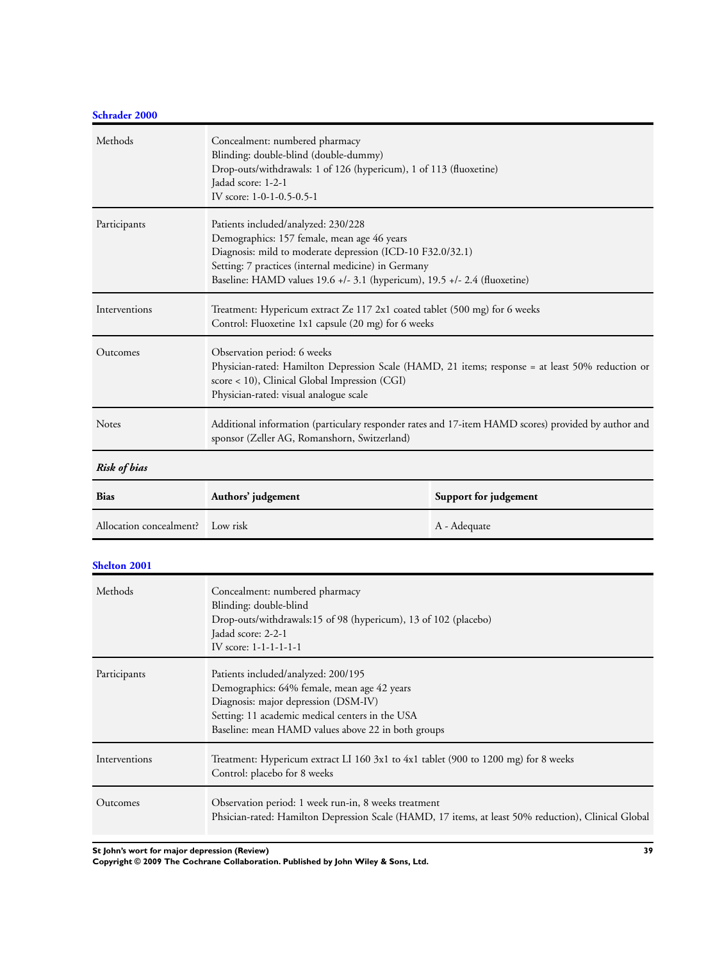| <b>Schrader 2000</b> |                                                                                                                                                                                                                                                                                      |
|----------------------|--------------------------------------------------------------------------------------------------------------------------------------------------------------------------------------------------------------------------------------------------------------------------------------|
| Methods              | Concealment: numbered pharmacy<br>Blinding: double-blind (double-dummy)<br>Drop-outs/withdrawals: 1 of 126 (hypericum), 1 of 113 (fluoxetine)<br>Jadad score: 1-2-1<br>IV score: 1-0-1-0.5-0.5-1                                                                                     |
| Participants         | Patients included/analyzed: 230/228<br>Demographics: 157 female, mean age 46 years<br>Diagnosis: mild to moderate depression (ICD-10 F32.0/32.1)<br>Setting: 7 practices (internal medicine) in Germany<br>Baseline: HAMD values 19.6 +/- 3.1 (hypericum), 19.5 +/- 2.4 (fluoxetine) |
| Interventions        | Treatment: Hypericum extract Ze 117 2x1 coated tablet (500 mg) for 6 weeks<br>Control: Fluoxetine 1x1 capsule (20 mg) for 6 weeks                                                                                                                                                    |
| Outcomes             | Observation period: 6 weeks<br>Physician-rated: Hamilton Depression Scale (HAMD, 21 items; response = at least 50% reduction or<br>score < 10), Clinical Global Impression (CGI)<br>Physician-rated: visual analogue scale                                                           |
| <b>Notes</b>         | Additional information (particulary responder rates and 17-item HAMD scores) provided by author and<br>sponsor (Zeller AG, Romanshorn, Switzerland)                                                                                                                                  |
| <b>Risk of bias</b>  |                                                                                                                                                                                                                                                                                      |

| <b>Bias</b>                      | Authors' judgement | Support for judgement |
|----------------------------------|--------------------|-----------------------|
| Allocation concealment? Low risk |                    | A - Adequate          |

## **[Shelton 2001](#page-19-0)**

| Methods       | Concealment: numbered pharmacy<br>Blinding: double-blind<br>Drop-outs/withdrawals:15 of 98 (hypericum), 13 of 102 (placebo)<br>Jadad score: 2-2-1<br>IV score: $1-1-1-1-1-1$                                                        |
|---------------|-------------------------------------------------------------------------------------------------------------------------------------------------------------------------------------------------------------------------------------|
| Participants  | Patients included/analyzed: 200/195<br>Demographics: 64% female, mean age 42 years<br>Diagnosis: major depression (DSM-IV)<br>Setting: 11 academic medical centers in the USA<br>Baseline: mean HAMD values above 22 in both groups |
| Interventions | Treatment: Hypericum extract LI 160 3x1 to 4x1 tablet (900 to 1200 mg) for 8 weeks<br>Control: placebo for 8 weeks                                                                                                                  |
| Outcomes      | Observation period: 1 week run-in, 8 weeks treatment<br>Phsician-rated: Hamilton Depression Scale (HAMD, 17 items, at least 50% reduction), Clinical Global                                                                         |

**St John's wort for major depression (Review) 39**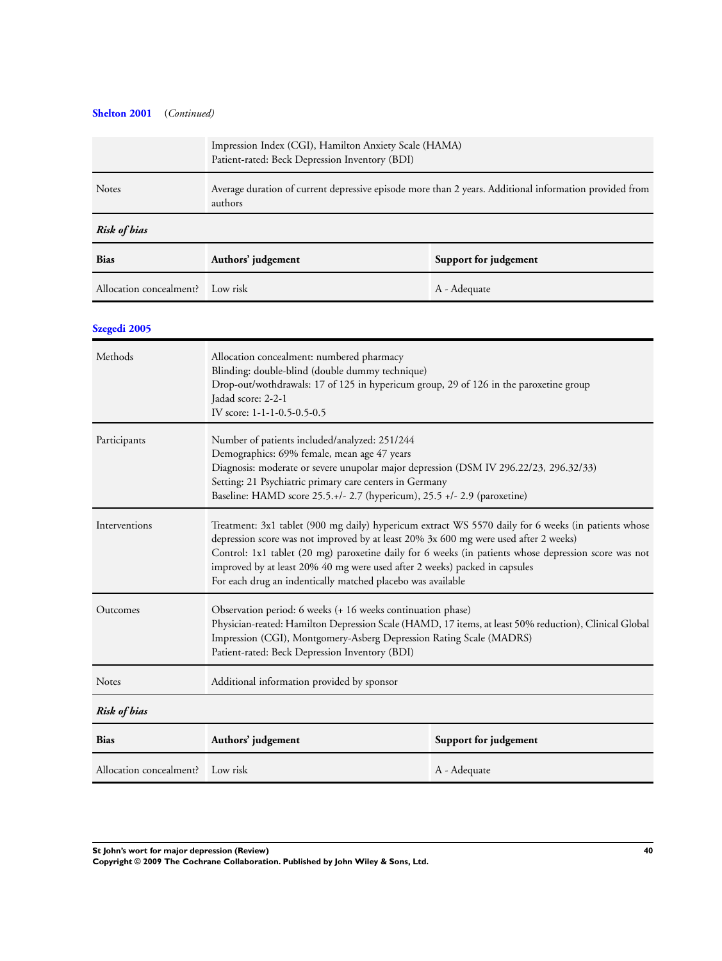## **[Shelton 2001](#page-19-0)** (*Continued)*

|                                  | Impression Index (CGI), Hamilton Anxiety Scale (HAMA)<br>Patient-rated: Beck Depression Inventory (BDI)           |                       |
|----------------------------------|-------------------------------------------------------------------------------------------------------------------|-----------------------|
| <b>Notes</b>                     | Average duration of current depressive episode more than 2 years. Additional information provided from<br>authors |                       |
| Risk of bias                     |                                                                                                                   |                       |
| <b>Bias</b>                      | Authors' judgement                                                                                                | Support for judgement |
| Allocation concealment? Low risk |                                                                                                                   | A - Adequate          |

# **[Szegedi 2005](#page-19-0)**

| Methods                 | Allocation concealment: numbered pharmacy<br>Blinding: double-blind (double dummy technique)<br>Drop-out/wothdrawals: 17 of 125 in hypericum group, 29 of 126 in the paroxetine group<br>Jadad score: 2-2-1<br>IV score: 1-1-1-0.5-0.5-0.5                                                                                                                                                                                                       |                       |
|-------------------------|--------------------------------------------------------------------------------------------------------------------------------------------------------------------------------------------------------------------------------------------------------------------------------------------------------------------------------------------------------------------------------------------------------------------------------------------------|-----------------------|
| Participants            | Number of patients included/analyzed: 251/244<br>Demographics: 69% female, mean age 47 years<br>Diagnosis: moderate or severe unupolar major depression (DSM IV 296.22/23, 296.32/33)<br>Setting: 21 Psychiatric primary care centers in Germany<br>Baseline: HAMD score 25.5.+/- 2.7 (hypericum), 25.5 +/- 2.9 (paroxetine)                                                                                                                     |                       |
| Interventions           | Treatment: 3x1 tablet (900 mg daily) hypericum extract WS 5570 daily for 6 weeks (in patients whose<br>depression score was not improved by at least 20% 3x 600 mg were used after 2 weeks)<br>Control: 1x1 tablet (20 mg) paroxetine daily for 6 weeks (in patients whose depression score was not<br>improved by at least 20% 40 mg were used after 2 weeks) packed in capsules<br>For each drug an indentically matched placebo was available |                       |
| Outcomes                | Observation period: 6 weeks (+ 16 weeks continuation phase)<br>Physician-reated: Hamilton Depression Scale (HAMD, 17 items, at least 50% reduction), Clinical Global<br>Impression (CGI), Montgomery-Asberg Depression Rating Scale (MADRS)<br>Patient-rated: Beck Depression Inventory (BDI)                                                                                                                                                    |                       |
| Notes                   | Additional information provided by sponsor                                                                                                                                                                                                                                                                                                                                                                                                       |                       |
| <b>Risk of bias</b>     |                                                                                                                                                                                                                                                                                                                                                                                                                                                  |                       |
| <b>Bias</b>             | Authors' judgement                                                                                                                                                                                                                                                                                                                                                                                                                               | Support for judgement |
| Allocation concealment? | Low risk                                                                                                                                                                                                                                                                                                                                                                                                                                         | A - Adequate          |

**St John's wort for major depression (Review) 40**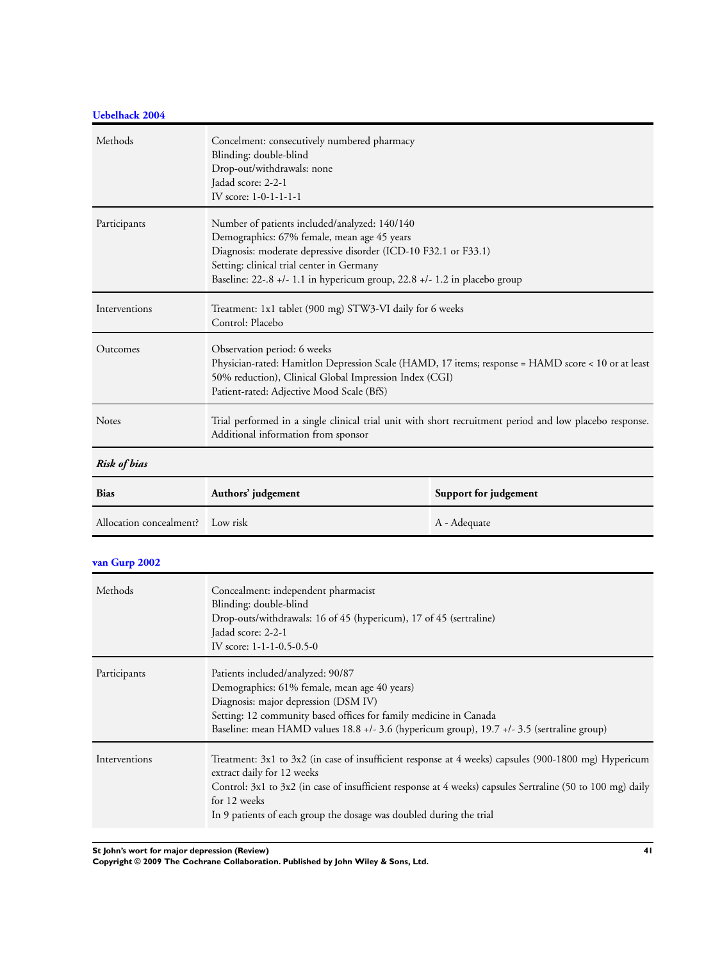## **[Uebelhack 2004](#page-19-0)**

| Methods                          | Concelment: consecutively numbered pharmacy<br>Blinding: double-blind<br>Drop-out/withdrawals: none<br>Jadad score: 2-2-1<br>IV score: 1-0-1-1-1-1                                                                                                                                        |                       |
|----------------------------------|-------------------------------------------------------------------------------------------------------------------------------------------------------------------------------------------------------------------------------------------------------------------------------------------|-----------------------|
| Participants                     | Number of patients included/analyzed: 140/140<br>Demographics: 67% female, mean age 45 years<br>Diagnosis: moderate depressive disorder (ICD-10 F32.1 or F33.1)<br>Setting: clinical trial center in Germany<br>Baseline: 22-.8 +/- 1.1 in hypericum group, 22.8 +/- 1.2 in placebo group |                       |
| Interventions                    | Treatment: 1x1 tablet (900 mg) STW3-VI daily for 6 weeks<br>Control: Placebo                                                                                                                                                                                                              |                       |
| Outcomes                         | Observation period: 6 weeks<br>Physician-rated: Hamitlon Depression Scale (HAMD, 17 items; response = HAMD score < 10 or at least<br>50% reduction), Clinical Global Impression Index (CGI)<br>Patient-rated: Adjective Mood Scale (BfS)                                                  |                       |
| <b>Notes</b>                     | Trial performed in a single clinical trial unit with short recruitment period and low placebo response.<br>Additional information from sponsor                                                                                                                                            |                       |
| <b>Risk of bias</b>              |                                                                                                                                                                                                                                                                                           |                       |
| <b>Bias</b>                      | Authors' judgement                                                                                                                                                                                                                                                                        | Support for judgement |
| Allocation concealment? Low risk |                                                                                                                                                                                                                                                                                           | A - Adequate          |

## **[van Gurp 2002](#page-19-0)**

| Methods       | Concealment: independent pharmacist<br>Blinding: double-blind<br>Drop-outs/withdrawals: 16 of 45 (hypericum), 17 of 45 (sertraline)<br>Jadad score: 2-2-1<br>IV score: 1-1-1-0.5-0.5-0                                                                                                                                                  |
|---------------|-----------------------------------------------------------------------------------------------------------------------------------------------------------------------------------------------------------------------------------------------------------------------------------------------------------------------------------------|
| Participants  | Patients included/analyzed: 90/87<br>Demographics: 61% female, mean age 40 years)<br>Diagnosis: major depression (DSM IV)<br>Setting: 12 community based offices for family medicine in Canada<br>Baseline: mean HAMD values 18.8 +/- 3.6 (hypericum group), 19.7 +/- 3.5 (sertraline group)                                            |
| Interventions | Treatment: 3x1 to 3x2 (in case of insufficient response at 4 weeks) capsules (900-1800 mg) Hypericum<br>extract daily for 12 weeks<br>Control: 3x1 to 3x2 (in case of insufficient response at 4 weeks) capsules Sertraline (50 to 100 mg) daily<br>for 12 weeks<br>In 9 patients of each group the dosage was doubled during the trial |

**St John's wort for major depression (Review) 41**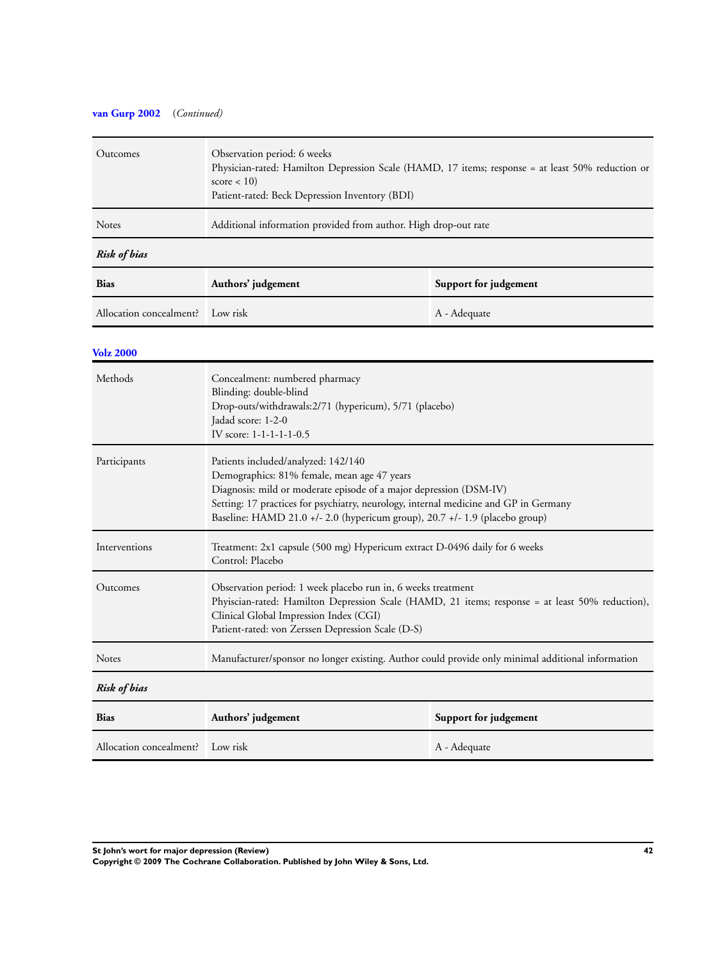## **[van Gurp 2002](#page-19-0)** (*Continued)*

| Observation period: 6 weeks<br>Physician-rated: Hamilton Depression Scale (HAMD, 17 items; response = at least 50% reduction or<br>score $< 10$ )<br>Patient-rated: Beck Depression Inventory (BDI) |                       |
|-----------------------------------------------------------------------------------------------------------------------------------------------------------------------------------------------------|-----------------------|
| Additional information provided from author. High drop-out rate                                                                                                                                     |                       |
| Risk of bias                                                                                                                                                                                        |                       |
| Authors' judgement                                                                                                                                                                                  | Support for judgement |
| Allocation concealment? Low risk                                                                                                                                                                    | A - Adequate          |
|                                                                                                                                                                                                     |                       |

## **[Volz 2000](#page-19-0)**

| Methods                          | Concealment: numbered pharmacy<br>Blinding: double-blind<br>Drop-outs/withdrawals:2/71 (hypericum), 5/71 (placebo)<br>Jadad score: 1-2-0<br>IV score: 1-1-1-1-1-0.5                                                                                                                                                             |                       |
|----------------------------------|---------------------------------------------------------------------------------------------------------------------------------------------------------------------------------------------------------------------------------------------------------------------------------------------------------------------------------|-----------------------|
| Participants                     | Patients included/analyzed: 142/140<br>Demographics: 81% female, mean age 47 years<br>Diagnosis: mild or moderate episode of a major depression (DSM-IV)<br>Setting: 17 practices for psychiatry, neurology, internal medicine and GP in Germany<br>Baseline: HAMD 21.0 +/- 2.0 (hypericum group), 20.7 +/- 1.9 (placebo group) |                       |
| Interventions                    | Treatment: 2x1 capsule (500 mg) Hypericum extract D-0496 daily for 6 weeks<br>Control: Placebo                                                                                                                                                                                                                                  |                       |
| Outcomes                         | Observation period: 1 week placebo run in, 6 weeks treatment<br>Phyiscian-rated: Hamilton Depression Scale (HAMD, 21 items; response = at least 50% reduction),<br>Clinical Global Impression Index (CGI)<br>Patient-rated: von Zerssen Depression Scale (D-S)                                                                  |                       |
| Notes                            | Manufacturer/sponsor no longer existing. Author could provide only minimal additional information                                                                                                                                                                                                                               |                       |
| <b>Risk of bias</b>              |                                                                                                                                                                                                                                                                                                                                 |                       |
| <b>Bias</b>                      | Authors' judgement                                                                                                                                                                                                                                                                                                              | Support for judgement |
| Allocation concealment? Low risk |                                                                                                                                                                                                                                                                                                                                 | A - Adequate          |

**St John's wort for major depression (Review) 42**

**Copyright © 2009 The Cochrane Collaboration. Published by John Wiley & Sons, Ltd.**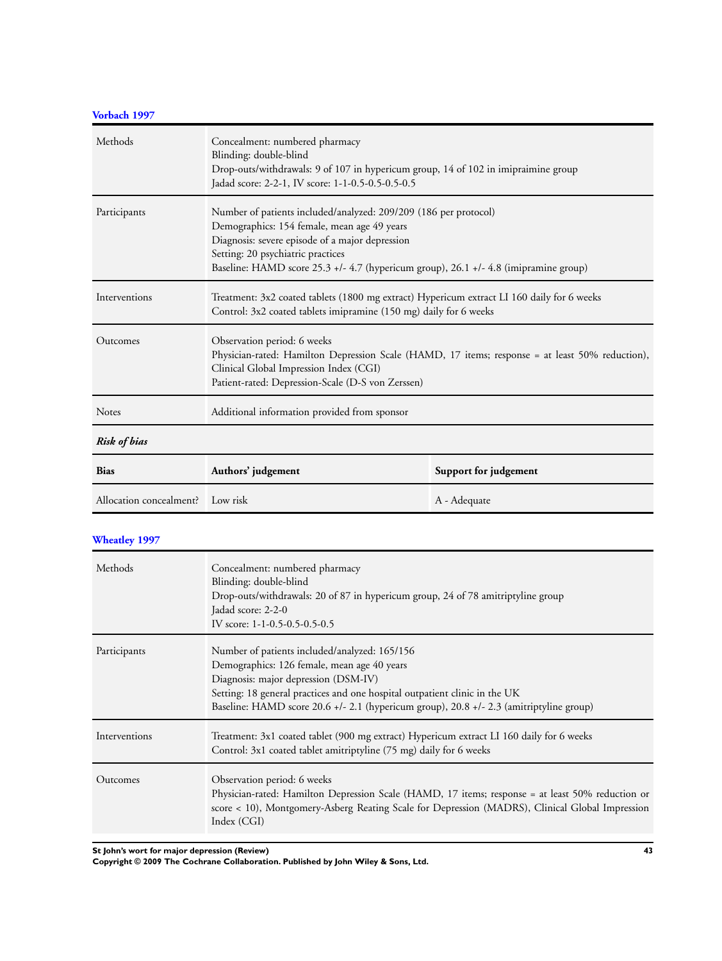## **[Vorbach 1997](#page-19-0)**

| Methods                          | Concealment: numbered pharmacy<br>Blinding: double-blind<br>Drop-outs/withdrawals: 9 of 107 in hypericum group, 14 of 102 in imipraimine group<br>Jadad score: 2-2-1, IV score: 1-1-0.5-0.5-0.5-0.5                                                                                                 |                       |
|----------------------------------|-----------------------------------------------------------------------------------------------------------------------------------------------------------------------------------------------------------------------------------------------------------------------------------------------------|-----------------------|
| Participants                     | Number of patients included/analyzed: 209/209 (186 per protocol)<br>Demographics: 154 female, mean age 49 years<br>Diagnosis: severe episode of a major depression<br>Setting: 20 psychiatric practices<br>Baseline: HAMD score $25.3 +/- 4.7$ (hypericum group), $26.1 +/- 4.8$ (imipramine group) |                       |
| Interventions                    | Treatment: 3x2 coated tablets (1800 mg extract) Hypericum extract LI 160 daily for 6 weeks<br>Control: 3x2 coated tablets imipramine (150 mg) daily for 6 weeks                                                                                                                                     |                       |
| Outcomes                         | Observation period: 6 weeks<br>Physician-rated: Hamilton Depression Scale (HAMD, 17 items; response = at least 50% reduction),<br>Clinical Global Impression Index (CGI)<br>Patient-rated: Depression-Scale (D-S von Zerssen)                                                                       |                       |
| <b>Notes</b>                     | Additional information provided from sponsor                                                                                                                                                                                                                                                        |                       |
| <b>Risk of bias</b>              |                                                                                                                                                                                                                                                                                                     |                       |
| <b>Bias</b>                      | Authors' judgement                                                                                                                                                                                                                                                                                  | Support for judgement |
| Allocation concealment? Low risk |                                                                                                                                                                                                                                                                                                     | A - Adequate          |

## **[Wheatley 1997](#page-19-0)**

| Methods       | Concealment: numbered pharmacy<br>Blinding: double-blind<br>Drop-outs/withdrawals: 20 of 87 in hypericum group, 24 of 78 amitriptyline group<br>Jadad score: 2-2-0<br>IV score: 1-1-0.5-0.5-0.5-0.5                                                                                                             |
|---------------|-----------------------------------------------------------------------------------------------------------------------------------------------------------------------------------------------------------------------------------------------------------------------------------------------------------------|
| Participants  | Number of patients included/analyzed: 165/156<br>Demographics: 126 female, mean age 40 years<br>Diagnosis: major depression (DSM-IV)<br>Setting: 18 general practices and one hospital outpatient clinic in the UK<br>Baseline: HAMD score 20.6 +/- 2.1 (hypericum group), $20.8$ +/- 2.3 (amitriptyline group) |
| Interventions | Treatment: 3x1 coated tablet (900 mg extract) Hypericum extract LI 160 daily for 6 weeks<br>Control: 3x1 coated tablet amitriptyline (75 mg) daily for 6 weeks                                                                                                                                                  |
| Outcomes      | Observation period: 6 weeks<br>Physician-rated: Hamilton Depression Scale (HAMD, 17 items; response = at least 50% reduction or<br>score < 10), Montgomery-Asberg Reating Scale for Depression (MADRS), Clinical Global Impression<br>Index (CGI)                                                               |

**St John's wort for major depression (Review) 43**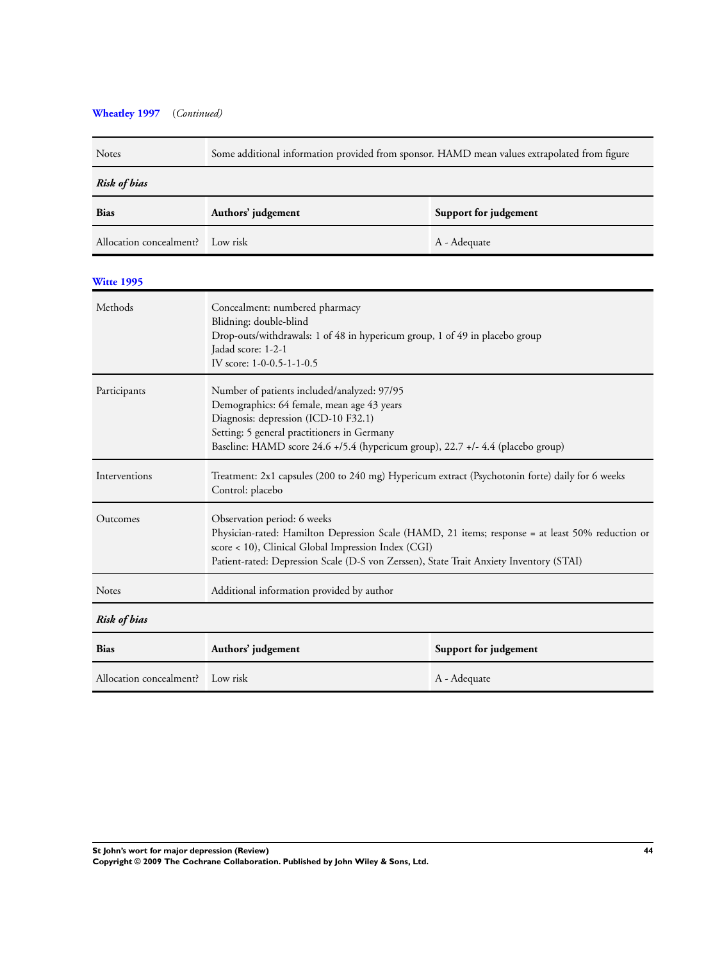## **[Wheatley 1997](#page-19-0)** (*Continued)*

| Notes                   | Some additional information provided from sponsor. HAMD mean values extrapolated from figure                                                                                                                                                                                      |                       |  |  |  |  |  |  |
|-------------------------|-----------------------------------------------------------------------------------------------------------------------------------------------------------------------------------------------------------------------------------------------------------------------------------|-----------------------|--|--|--|--|--|--|
| <b>Risk of bias</b>     |                                                                                                                                                                                                                                                                                   |                       |  |  |  |  |  |  |
| <b>Bias</b>             | Authors' judgement<br>Support for judgement                                                                                                                                                                                                                                       |                       |  |  |  |  |  |  |
| Allocation concealment? | Low risk<br>A - Adequate                                                                                                                                                                                                                                                          |                       |  |  |  |  |  |  |
| Witte 1995              |                                                                                                                                                                                                                                                                                   |                       |  |  |  |  |  |  |
| Methods                 | Concealment: numbered pharmacy<br>Blidning: double-blind<br>Drop-outs/withdrawals: 1 of 48 in hypericum group, 1 of 49 in placebo group<br>Jadad score: 1-2-1<br>IV score: 1-0-0.5-1-1-0.5                                                                                        |                       |  |  |  |  |  |  |
| Participants            | Number of patients included/analyzed: 97/95<br>Demographics: 64 female, mean age 43 years<br>Diagnosis: depression (ICD-10 F32.1)<br>Setting: 5 general practitioners in Germany<br>Baseline: HAMD score 24.6 +/5.4 (hypericum group), 22.7 +/- 4.4 (placebo group)               |                       |  |  |  |  |  |  |
| Interventions           | Treatment: 2x1 capsules (200 to 240 mg) Hypericum extract (Psychotonin forte) daily for 6 weeks<br>Control: placebo                                                                                                                                                               |                       |  |  |  |  |  |  |
| Outcomes                | Observation period: 6 weeks<br>Physician-rated: Hamilton Depression Scale (HAMD, 21 items; response = at least 50% reduction or<br>score < 10), Clinical Global Impression Index (CGI)<br>Patient-rated: Depression Scale (D-S von Zerssen), State Trait Anxiety Inventory (STAI) |                       |  |  |  |  |  |  |
| <b>Notes</b>            | Additional information provided by author                                                                                                                                                                                                                                         |                       |  |  |  |  |  |  |
| <b>Risk of bias</b>     |                                                                                                                                                                                                                                                                                   |                       |  |  |  |  |  |  |
| <b>Bias</b>             | Authors' judgement                                                                                                                                                                                                                                                                | Support for judgement |  |  |  |  |  |  |
| Allocation concealment? | Low risk                                                                                                                                                                                                                                                                          | A - Adequate          |  |  |  |  |  |  |

**St John's wort for major depression (Review) 44**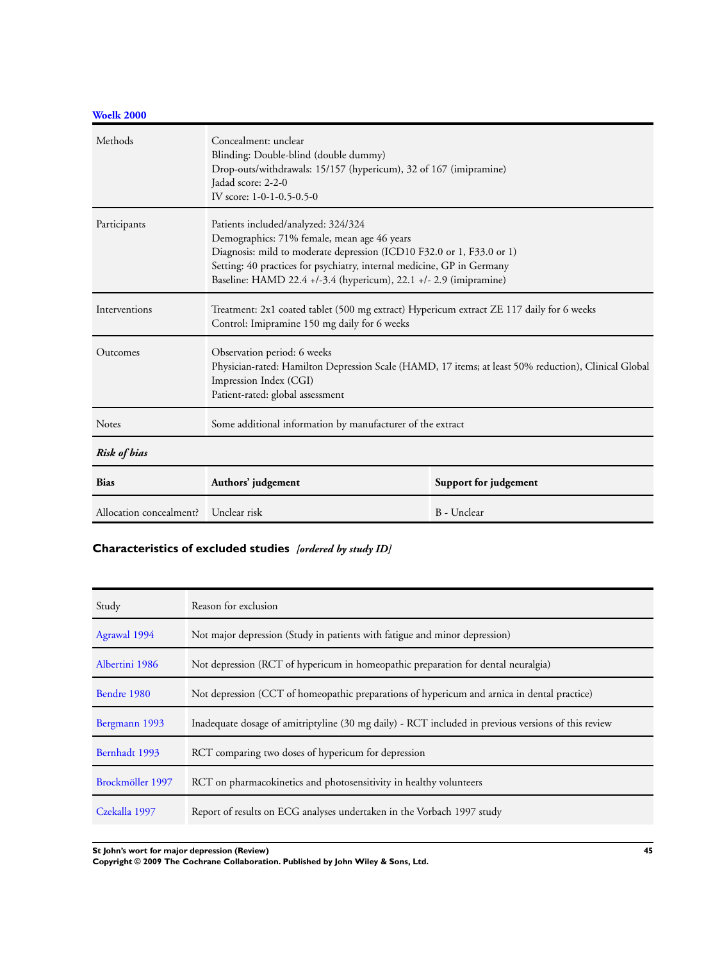<span id="page-46-0"></span>

| <b>Woelk 2000</b>       |                                                                                                                                                                                                                                                                                                            |                       |  |  |  |  |  |  |
|-------------------------|------------------------------------------------------------------------------------------------------------------------------------------------------------------------------------------------------------------------------------------------------------------------------------------------------------|-----------------------|--|--|--|--|--|--|
| Methods                 | Concealment: unclear<br>Blinding: Double-blind (double dummy)<br>Drop-outs/withdrawals: 15/157 (hypericum), 32 of 167 (imipramine)<br>Jadad score: 2-2-0<br>IV score: 1-0-1-0.5-0.5-0                                                                                                                      |                       |  |  |  |  |  |  |
| Participants            | Patients included/analyzed: 324/324<br>Demographics: 71% female, mean age 46 years<br>Diagnosis: mild to moderate depression (ICD10 F32.0 or 1, F33.0 or 1)<br>Setting: 40 practices for psychiatry, internal medicine, GP in Germany<br>Baseline: HAMD 22.4 +/-3.4 (hypericum), 22.1 +/- 2.9 (imipramine) |                       |  |  |  |  |  |  |
| Interventions           | Treatment: 2x1 coated tablet (500 mg extract) Hypericum extract ZE 117 daily for 6 weeks<br>Control: Imipramine 150 mg daily for 6 weeks                                                                                                                                                                   |                       |  |  |  |  |  |  |
| Outcomes                | Observation period: 6 weeks<br>Physician-rated: Hamilton Depression Scale (HAMD, 17 items; at least 50% reduction), Clinical Global<br>Impression Index (CGI)<br>Patient-rated: global assessment                                                                                                          |                       |  |  |  |  |  |  |
| <b>Notes</b>            | Some additional information by manufacturer of the extract                                                                                                                                                                                                                                                 |                       |  |  |  |  |  |  |
| Risk of bias            |                                                                                                                                                                                                                                                                                                            |                       |  |  |  |  |  |  |
| <b>Bias</b>             | Authors' judgement                                                                                                                                                                                                                                                                                         | Support for judgement |  |  |  |  |  |  |
| Allocation concealment? | Unclear risk                                                                                                                                                                                                                                                                                               | B - Unclear           |  |  |  |  |  |  |

## **Characteristics of excluded studies** *[ordered by study ID]*

| Study            | Reason for exclusion                                                                                |
|------------------|-----------------------------------------------------------------------------------------------------|
| Agrawal 1994     | Not major depression (Study in patients with fatigue and minor depression)                          |
| Albertini 1986   | Not depression (RCT of hypericum in homeopathic preparation for dental neuralgia)                   |
| Bendre 1980      | Not depression (CCT of homeopathic preparations of hypericum and arnica in dental practice)         |
| Bergmann 1993    | Inadequate dosage of amitriptyline (30 mg daily) - RCT included in previous versions of this review |
| Bernhadt 1993    | RCT comparing two doses of hypericum for depression                                                 |
| Brockmöller 1997 | RCT on pharmacokinetics and photosensitivity in healthy volunteers                                  |
| Czekalla 1997    | Report of results on ECG analyses undertaken in the Vorbach 1997 study                              |

**St John's wort for major depression (Review) 45**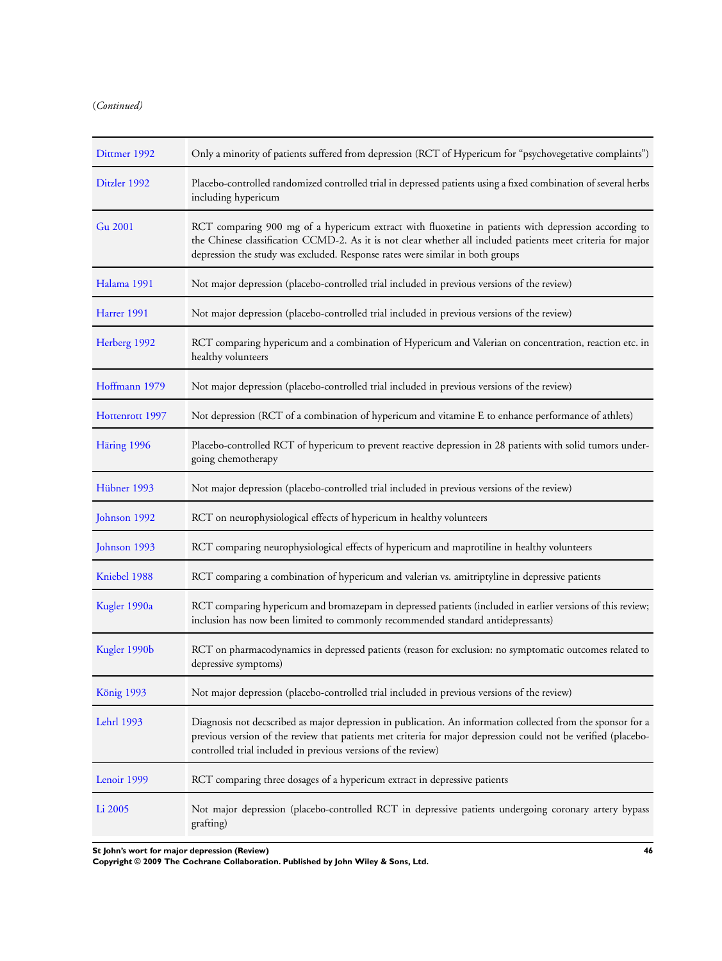(*Continued)*

| Dittmer 1992    | Only a minority of patients suffered from depression (RCT of Hypericum for "psychovegetative complaints")                                                                                                                                                                                            |
|-----------------|------------------------------------------------------------------------------------------------------------------------------------------------------------------------------------------------------------------------------------------------------------------------------------------------------|
| Ditzler 1992    | Placebo-controlled randomized controlled trial in depressed patients using a fixed combination of several herbs<br>including hypericum                                                                                                                                                               |
| <b>Gu 2001</b>  | RCT comparing 900 mg of a hypericum extract with fluoxetine in patients with depression according to<br>the Chinese classification CCMD-2. As it is not clear whether all included patients meet criteria for major<br>depression the study was excluded. Response rates were similar in both groups |
| Halama 1991     | Not major depression (placebo-controlled trial included in previous versions of the review)                                                                                                                                                                                                          |
| Harrer 1991     | Not major depression (placebo-controlled trial included in previous versions of the review)                                                                                                                                                                                                          |
| Herberg 1992    | RCT comparing hypericum and a combination of Hypericum and Valerian on concentration, reaction etc. in<br>healthy volunteers                                                                                                                                                                         |
| Hoffmann 1979   | Not major depression (placebo-controlled trial included in previous versions of the review)                                                                                                                                                                                                          |
| Hottenrott 1997 | Not depression (RCT of a combination of hypericum and vitamine E to enhance performance of athlets)                                                                                                                                                                                                  |
| Häring 1996     | Placebo-controlled RCT of hypericum to prevent reactive depression in 28 patients with solid tumors under-<br>going chemotherapy                                                                                                                                                                     |
| Hübner 1993     | Not major depression (placebo-controlled trial included in previous versions of the review)                                                                                                                                                                                                          |
| Johnson 1992    | RCT on neurophysiological effects of hypericum in healthy volunteers                                                                                                                                                                                                                                 |
| Johnson 1993    | RCT comparing neurophysiological effects of hypericum and maprotiline in healthy volunteers                                                                                                                                                                                                          |
| Kniebel 1988    | RCT comparing a combination of hypericum and valerian vs. amitriptyline in depressive patients                                                                                                                                                                                                       |
| Kugler 1990a    | RCT comparing hypericum and bromazepam in depressed patients (included in earlier versions of this review;<br>inclusion has now been limited to commonly recommended standard antidepressants)                                                                                                       |
| Kugler 1990b    | RCT on pharmacodynamics in depressed patients (reason for exclusion: no symptomatic outcomes related to<br>depressive symptoms)                                                                                                                                                                      |
| König 1993      | Not major depression (placebo-controlled trial included in previous versions of the review)                                                                                                                                                                                                          |
| Lehrl 1993      | Diagnosis not decscribed as major depression in publication. An information collected from the sponsor for a<br>previous version of the review that patients met criteria for major depression could not be verified (placebo-<br>controlled trial included in previous versions of the review)      |
| Lenoir 1999     | RCT comparing three dosages of a hypericum extract in depressive patients                                                                                                                                                                                                                            |
| Li 2005         | Not major depression (placebo-controlled RCT in depressive patients undergoing coronary artery bypass<br>grafting)                                                                                                                                                                                   |

**St John's wort for major depression (Review) 46**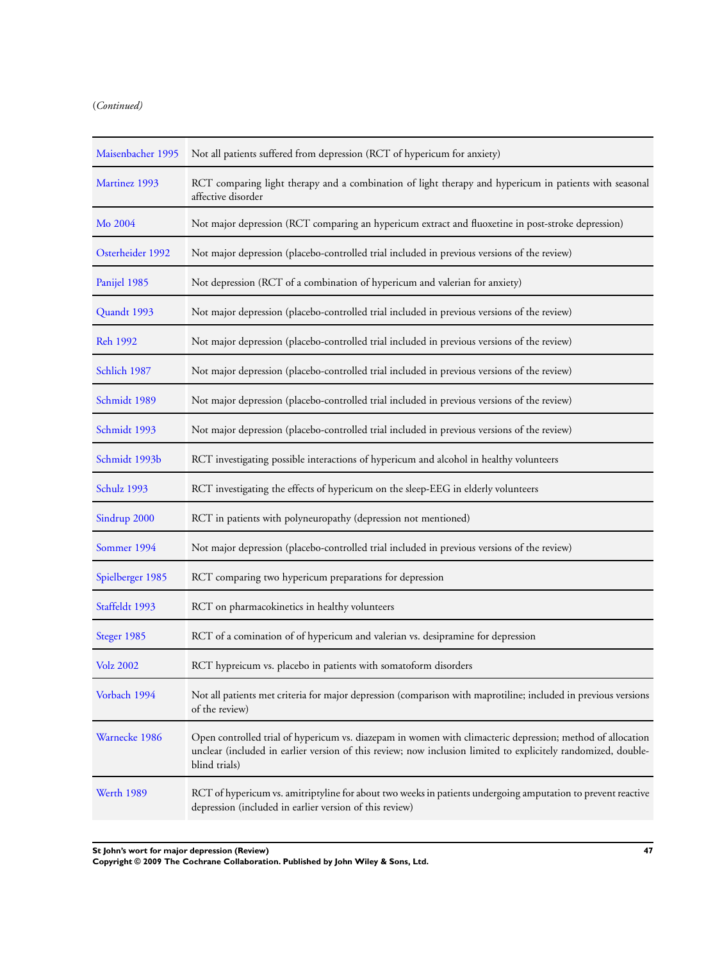## (*Continued)*

| Maisenbacher 1995 | Not all patients suffered from depression (RCT of hypericum for anxiety)                                                                                                                                                                     |
|-------------------|----------------------------------------------------------------------------------------------------------------------------------------------------------------------------------------------------------------------------------------------|
| Martinez 1993     | RCT comparing light therapy and a combination of light therapy and hypericum in patients with seasonal<br>affective disorder                                                                                                                 |
| Mo 2004           | Not major depression (RCT comparing an hypericum extract and fluoxetine in post-stroke depression)                                                                                                                                           |
| Osterheider 1992  | Not major depression (placebo-controlled trial included in previous versions of the review)                                                                                                                                                  |
| Panijel 1985      | Not depression (RCT of a combination of hypericum and valerian for anxiety)                                                                                                                                                                  |
| Quandt 1993       | Not major depression (placebo-controlled trial included in previous versions of the review)                                                                                                                                                  |
| <b>Reh 1992</b>   | Not major depression (placebo-controlled trial included in previous versions of the review)                                                                                                                                                  |
| Schlich 1987      | Not major depression (placebo-controlled trial included in previous versions of the review)                                                                                                                                                  |
| Schmidt 1989      | Not major depression (placebo-controlled trial included in previous versions of the review)                                                                                                                                                  |
| Schmidt 1993      | Not major depression (placebo-controlled trial included in previous versions of the review)                                                                                                                                                  |
| Schmidt 1993b     | RCT investigating possible interactions of hypericum and alcohol in healthy volunteers                                                                                                                                                       |
| Schulz 1993       | RCT investigating the effects of hypericum on the sleep-EEG in elderly volunteers                                                                                                                                                            |
| Sindrup 2000      | RCT in patients with polyneuropathy (depression not mentioned)                                                                                                                                                                               |
| Sommer 1994       | Not major depression (placebo-controlled trial included in previous versions of the review)                                                                                                                                                  |
| Spielberger 1985  | RCT comparing two hypericum preparations for depression                                                                                                                                                                                      |
| Staffeldt 1993    | RCT on pharmacokinetics in healthy volunteers                                                                                                                                                                                                |
| Steger 1985       | RCT of a comination of of hypericum and valerian vs. desipramine for depression                                                                                                                                                              |
| <b>Volz 2002</b>  | RCT hypreicum vs. placebo in patients with somatoform disorders                                                                                                                                                                              |
| Vorbach 1994      | Not all patients met criteria for major depression (comparison with maprotiline; included in previous versions<br>of the review)                                                                                                             |
| Warnecke 1986     | Open controlled trial of hypericum vs. diazepam in women with climacteric depression; method of allocation<br>unclear (included in earlier version of this review; now inclusion limited to explicitely randomized, double-<br>blind trials) |
| Werth 1989        | RCT of hypericum vs. amitriptyline for about two weeks in patients undergoing amputation to prevent reactive<br>depression (included in earlier version of this review)                                                                      |

**St John's wort for major depression (Review) 47**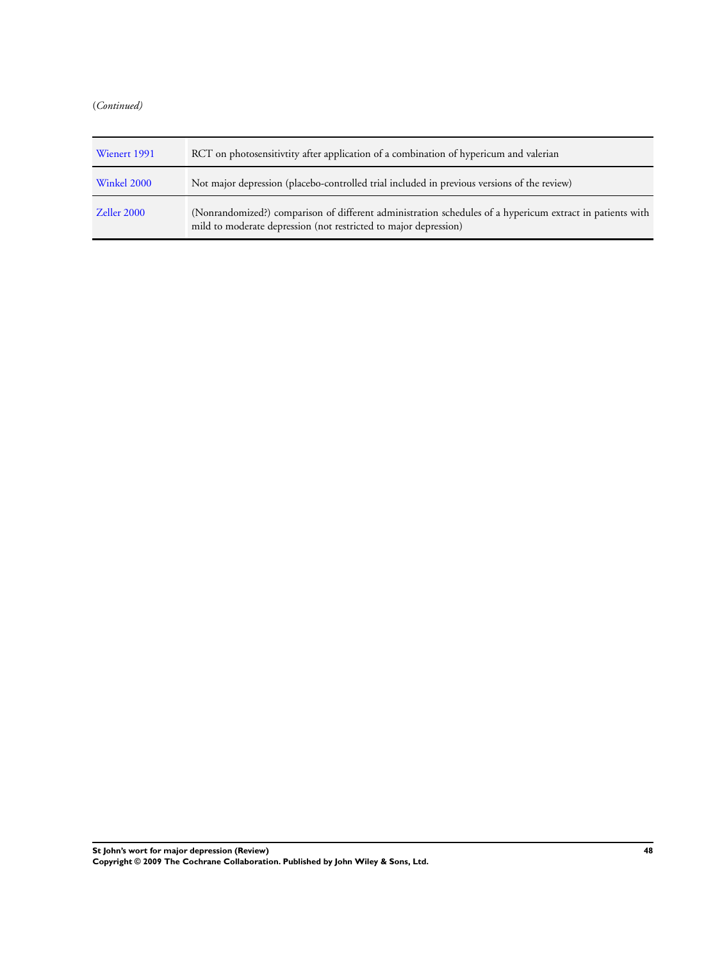(*Continued)*

| Wienert 1991 | RCT on photosensitivtity after application of a combination of hypericum and valerian                                                                                         |
|--------------|-------------------------------------------------------------------------------------------------------------------------------------------------------------------------------|
| Winkel 2000  | Not major depression (placebo-controlled trial included in previous versions of the review)                                                                                   |
| Zeller 2000  | (Nonrandomized?) comparison of different administration schedules of a hypericum extract in patients with<br>mild to moderate depression (not restricted to major depression) |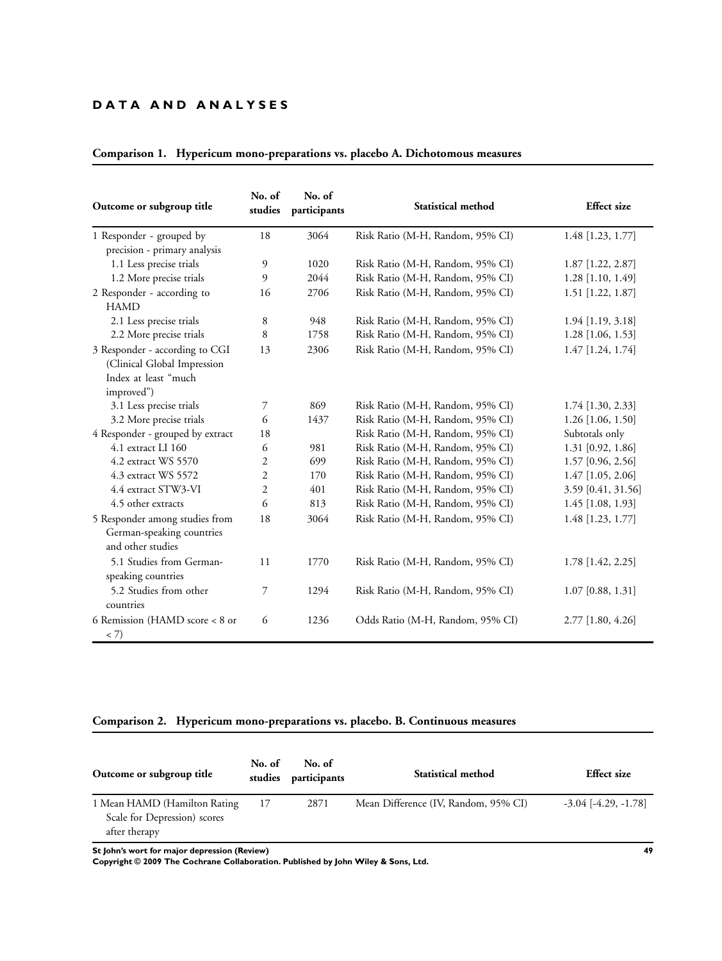## **D A T A A N D A N A L Y S E S**

| Outcome or subgroup title                                                        | No. of<br>studies | No. of<br>participants | Statistical method               | <b>Effect</b> size  |
|----------------------------------------------------------------------------------|-------------------|------------------------|----------------------------------|---------------------|
| 1 Responder - grouped by                                                         | 18                | 3064                   | Risk Ratio (M-H, Random, 95% CI) | 1.48 [1.23, 1.77]   |
| precision - primary analysis                                                     |                   |                        |                                  |                     |
| 1.1 Less precise trials                                                          | 9                 | 1020                   | Risk Ratio (M-H, Random, 95% CI) | 1.87 [1.22, 2.87]   |
| 1.2 More precise trials                                                          | 9                 | 2044                   | Risk Ratio (M-H, Random, 95% CI) | 1.28 [1.10, 1.49]   |
| 2 Responder - according to<br><b>HAMD</b>                                        | 16                | 2706                   | Risk Ratio (M-H, Random, 95% CI) | 1.51 [1.22, 1.87]   |
| 2.1 Less precise trials                                                          | 8                 | 948                    | Risk Ratio (M-H, Random, 95% CI) | 1.94 [1.19, 3.18]   |
| 2.2 More precise trials                                                          | 8                 | 1758                   | Risk Ratio (M-H, Random, 95% CI) | 1.28 [1.06, 1.53]   |
| 3 Responder - according to CGI<br>(Clinical Global Impression                    | 13                | 2306                   | Risk Ratio (M-H, Random, 95% CI) | 1.47 [1.24, 1.74]   |
| Index at least "much<br>improved")                                               |                   |                        |                                  |                     |
| 3.1 Less precise trials                                                          | 7                 | 869                    | Risk Ratio (M-H, Random, 95% CI) | 1.74 [1.30, 2.33]   |
| 3.2 More precise trials                                                          | 6                 | 1437                   | Risk Ratio (M-H, Random, 95% CI) | 1.26 [1.06, 1.50]   |
| 4 Responder - grouped by extract                                                 | 18                |                        | Risk Ratio (M-H, Random, 95% CI) | Subtotals only      |
| 4.1 extract LI 160                                                               | 6                 | 981                    | Risk Ratio (M-H, Random, 95% CI) | 1.31 [0.92, 1.86]   |
| 4.2 extract WS 5570                                                              | 2                 | 699                    | Risk Ratio (M-H, Random, 95% CI) | 1.57 [0.96, 2.56]   |
| 4.3 extract WS 5572                                                              | 2                 | 170                    | Risk Ratio (M-H, Random, 95% CI) | $1.47$ [1.05, 2.06] |
| 4.4 extract STW3-VI                                                              | $\mathfrak{2}$    | 401                    | Risk Ratio (M-H, Random, 95% CI) | 3.59 [0.41, 31.56]  |
| 4.5 other extracts                                                               | 6                 | 813                    | Risk Ratio (M-H, Random, 95% CI) | $1.45$ [1.08, 1.93] |
| 5 Responder among studies from<br>German-speaking countries<br>and other studies | 18                | 3064                   | Risk Ratio (M-H, Random, 95% CI) | 1.48 [1.23, 1.77]   |
| 5.1 Studies from German-<br>speaking countries                                   | 11                | 1770                   | Risk Ratio (M-H, Random, 95% CI) | 1.78 [1.42, 2.25]   |
| 5.2 Studies from other<br>countries                                              | 7                 | 1294                   | Risk Ratio (M-H, Random, 95% CI) | $1.07$ [0.88, 1.31] |
| 6 Remission (HAMD score < 8 or<br>(7)                                            | 6                 | 1236                   | Odds Ratio (M-H, Random, 95% CI) | $2.77$ [1.80, 4.26] |

## **Comparison 1. Hypericum mono-preparations vs. placebo A. Dichotomous measures**

## **Comparison 2. Hypericum mono-preparations vs. placebo. B. Continuous measures**

| Outcome or subgroup title                                                     | No. of<br>studies | No. of<br>participants | <b>Statistical method</b>            | <b>Effect</b> size       |
|-------------------------------------------------------------------------------|-------------------|------------------------|--------------------------------------|--------------------------|
| 1 Mean HAMD (Hamilton Rating<br>Scale for Depression) scores<br>after therapy | 17                | 2871                   | Mean Difference (IV, Random, 95% CI) | $-3.04$ $[-4.29, -1.78]$ |

**St John's wort for major depression (Review) 49**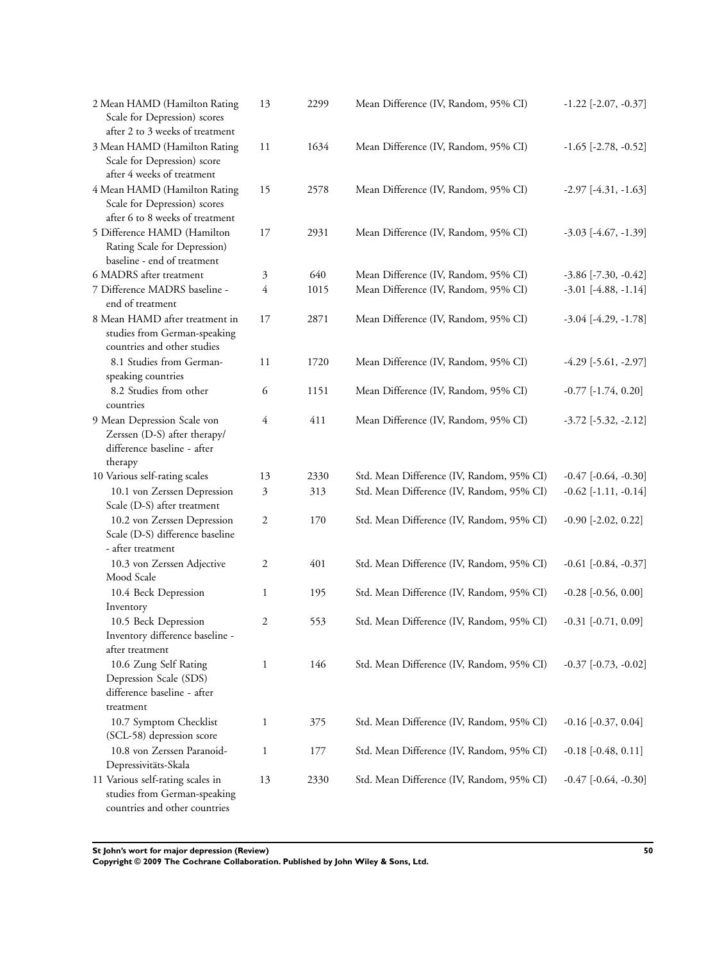| 2 Mean HAMD (Hamilton Rating<br>Scale for Depression) scores<br>after 2 to 3 weeks of treatment       | 13             | 2299 | Mean Difference (IV, Random, 95% CI)      | $-1.22$ $[-2.07, -0.37]$      |
|-------------------------------------------------------------------------------------------------------|----------------|------|-------------------------------------------|-------------------------------|
| 3 Mean HAMD (Hamilton Rating<br>Scale for Depression) score<br>after 4 weeks of treatment             | 11             | 1634 | Mean Difference (IV, Random, 95% CI)      | $-1.65$ [ $-2.78$ , $-0.52$ ] |
| 4 Mean HAMD (Hamilton Rating<br>Scale for Depression) scores<br>after 6 to 8 weeks of treatment       | 15             | 2578 | Mean Difference (IV, Random, 95% CI)      | $-2.97$ $[-4.31, -1.63]$      |
| 5 Difference HAMD (Hamilton<br>Rating Scale for Depression)<br>baseline - end of treatment            | 17             | 2931 | Mean Difference (IV, Random, 95% CI)      | $-3.03$ $[-4.67, -1.39]$      |
| 6 MADRS after treatment                                                                               | 3              | 640  | Mean Difference (IV, Random, 95% CI)      | $-3.86$ [ $-7.30$ , $-0.42$ ] |
| 7 Difference MADRS baseline -<br>end of treatment                                                     | 4              | 1015 | Mean Difference (IV, Random, 95% CI)      | $-3.01$ $[-4.88, -1.14]$      |
| 8 Mean HAMD after treatment in<br>studies from German-speaking<br>countries and other studies         | 17             | 2871 | Mean Difference (IV, Random, 95% CI)      | $-3.04$ [ $-4.29$ , $-1.78$ ] |
| 8.1 Studies from German-<br>speaking countries                                                        | 11             | 1720 | Mean Difference (IV, Random, 95% CI)      | $-4.29$ [ $-5.61, -2.97$ ]    |
| 8.2 Studies from other<br>countries                                                                   | 6              | 1151 | Mean Difference (IV, Random, 95% CI)      | $-0.77$ $[-1.74, 0.20]$       |
| 9 Mean Depression Scale von<br>Zerssen (D-S) after therapy/<br>difference baseline - after<br>therapy | 4              | 411  | Mean Difference (IV, Random, 95% CI)      | $-3.72$ $[-5.32, -2.12]$      |
| 10 Various self-rating scales                                                                         | 13             | 2330 | Std. Mean Difference (IV, Random, 95% CI) | $-0.47$ $[-0.64, -0.30]$      |
| 10.1 von Zerssen Depression<br>Scale (D-S) after treatment                                            | 3              | 313  | Std. Mean Difference (IV, Random, 95% CI) | $-0.62$ [ $-1.11, -0.14$ ]    |
| 10.2 von Zerssen Depression<br>Scale (D-S) difference baseline<br>- after treatment                   | $\mathfrak{2}$ | 170  | Std. Mean Difference (IV, Random, 95% CI) | $-0.90$ $[-2.02, 0.22]$       |
| 10.3 von Zerssen Adjective<br>Mood Scale                                                              | $\mathfrak{2}$ | 401  | Std. Mean Difference (IV, Random, 95% CI) | $-0.61$ $[-0.84, -0.37]$      |
| 10.4 Beck Depression<br>Inventory                                                                     | $\mathbf{1}$   | 195  | Std. Mean Difference (IV, Random, 95% CI) | $-0.28$ [ $-0.56$ , $0.00$ ]  |
| 10.5 Beck Depression<br>Inventory difference baseline -<br>after treatment                            | $\mathfrak{2}$ | 553  | Std. Mean Difference (IV, Random, 95% CI) | $-0.31$ $[-0.71, 0.09]$       |
| 10.6 Zung Self Rating<br>Depression Scale (SDS)<br>difference baseline - after<br>treatment           | $\mathbf{1}$   | 146  | Std. Mean Difference (IV, Random, 95% CI) | $-0.37$ $[-0.73, -0.02]$      |
| 10.7 Symptom Checklist<br>(SCL-58) depression score                                                   | $\mathbf{1}$   | 375  | Std. Mean Difference (IV, Random, 95% CI) | $-0.16$ [ $-0.37, 0.04$ ]     |
| 10.8 von Zerssen Paranoid-<br>Depressivitäts-Skala                                                    | $\mathbf{1}$   | 177  | Std. Mean Difference (IV, Random, 95% CI) | $-0.18$ $[-0.48, 0.11]$       |
| 11 Various self-rating scales in<br>studies from German-speaking<br>countries and other countries     | 13             | 2330 | Std. Mean Difference (IV, Random, 95% CI) | $-0.47$ $[-0.64, -0.30]$      |

**St John's wort for major depression (Review) 50**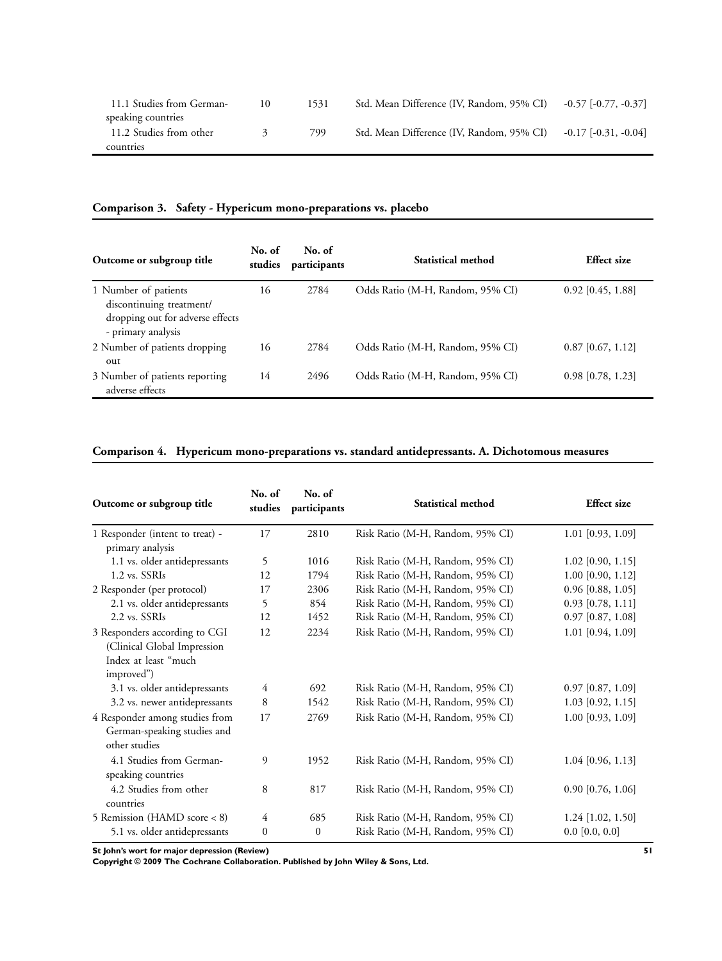| 11.1 Studies from German- | 10           | 1531 | Std. Mean Difference (IV, Random, 95% CI) | $-0.57$ [ $-0.77, -0.37$ ] |
|---------------------------|--------------|------|-------------------------------------------|----------------------------|
| speaking countries        |              |      |                                           |                            |
| 11.2 Studies from other   | $\mathbf{z}$ | 799  | Std. Mean Difference (IV, Random, 95% CI) | $-0.17$ $[-0.31, -0.04]$   |
| countries                 |              |      |                                           |                            |

## **Comparison 3. Safety - Hypericum mono-preparations vs. placebo**

| Outcome or subgroup title                                                                                  | No. of<br>studies | No. of<br>participants | <b>Statistical method</b>        | <b>Effect</b> size  |
|------------------------------------------------------------------------------------------------------------|-------------------|------------------------|----------------------------------|---------------------|
| 1 Number of patients<br>discontinuing treatment/<br>dropping out for adverse effects<br>- primary analysis | 16                | 2784                   | Odds Ratio (M-H, Random, 95% CI) | $0.92$ [0.45, 1.88] |
| 2 Number of patients dropping<br>out                                                                       | 16                | 2784                   | Odds Ratio (M-H, Random, 95% CI) | $0.87$ [0.67, 1.12] |
| 3 Number of patients reporting<br>adverse effects                                                          | 14                | 2496                   | Odds Ratio (M-H, Random, 95% CI) | $0.98$ [0.78, 1.23] |

## **Comparison 4. Hypericum mono-preparations vs. standard antidepressants. A. Dichotomous measures**

| Outcome or subgroup title                                                                           | No. of<br>studies | No. of<br>participants | <b>Statistical method</b>        | <b>Effect</b> size  |
|-----------------------------------------------------------------------------------------------------|-------------------|------------------------|----------------------------------|---------------------|
| 1 Responder (intent to treat) -<br>primary analysis                                                 | 17                | 2810                   | Risk Ratio (M-H, Random, 95% CI) | $1.01$ [0.93, 1.09] |
| 1.1 vs. older antidepressants                                                                       | 5                 | 1016                   | Risk Ratio (M-H, Random, 95% CI) | $1.02$ [0.90, 1.15] |
| 1.2 vs. SSRIs                                                                                       | 12                | 1794                   | Risk Ratio (M-H, Random, 95% CI) | $1.00$ [0.90, 1.12] |
| 2 Responder (per protocol)                                                                          | 17                | 2306                   | Risk Ratio (M-H, Random, 95% CI) | $0.96$ [0.88, 1.05] |
| 2.1 vs. older antidepressants                                                                       | 5                 | 854                    | Risk Ratio (M-H, Random, 95% CI) | $0.93$ [0.78, 1.11] |
| 2.2 vs. SSRIs                                                                                       | 12                | 1452                   | Risk Ratio (M-H, Random, 95% CI) | $0.97$ [0.87, 1.08] |
| 3 Responders according to CGI<br>(Clinical Global Impression<br>Index at least "much"<br>improved") | 12                | 2234                   | Risk Ratio (M-H, Random, 95% CI) | $1.01$ [0.94, 1.09] |
| 3.1 vs. older antidepressants                                                                       | 4                 | 692                    | Risk Ratio (M-H, Random, 95% CI) | $0.97$ [0.87, 1.09] |
| 3.2 vs. newer antidepressants                                                                       | 8                 | 1542                   | Risk Ratio (M-H, Random, 95% CI) | $1.03$ [0.92, 1.15] |
| 4 Responder among studies from<br>German-speaking studies and<br>other studies                      | 17                | 2769                   | Risk Ratio (M-H, Random, 95% CI) | $1.00$ [0.93, 1.09] |
| 4.1 Studies from German-<br>speaking countries                                                      | 9                 | 1952                   | Risk Ratio (M-H, Random, 95% CI) | $1.04$ [0.96, 1.13] |
| 4.2 Studies from other<br>countries                                                                 | 8                 | 817                    | Risk Ratio (M-H, Random, 95% CI) | $0.90$ [0.76, 1.06] |
| 5 Remission (HAMD score < 8)                                                                        | 4                 | 685                    | Risk Ratio (M-H, Random, 95% CI) | $1.24$ [1.02, 1.50] |
| 5.1 vs. older antidepressants                                                                       | $\boldsymbol{0}$  | $\boldsymbol{0}$       | Risk Ratio (M-H, Random, 95% CI) | 0.0 [0.0, 0.0]      |

**St John's wort for major depression (Review) 51**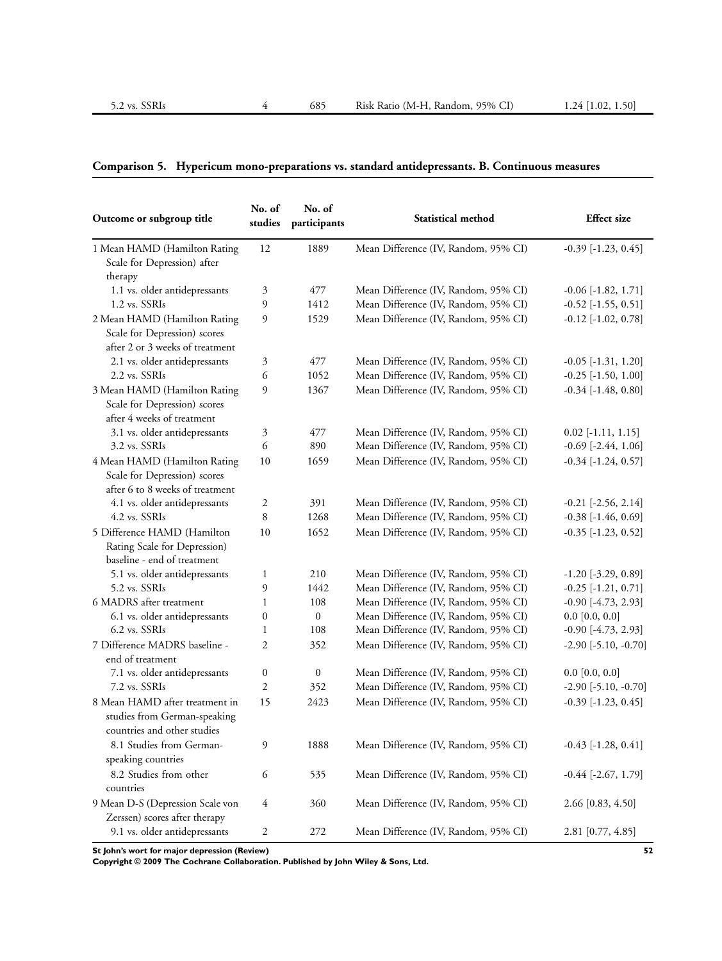## **Comparison 5. Hypericum mono-preparations vs. standard antidepressants. B. Continuous measures**

| Outcome or subgroup title                                                                       | No. of<br>studies | No. of<br>participants | <b>Statistical method</b>            | <b>Effect</b> size            |
|-------------------------------------------------------------------------------------------------|-------------------|------------------------|--------------------------------------|-------------------------------|
| 1 Mean HAMD (Hamilton Rating<br>Scale for Depression) after<br>therapy                          | 12                | 1889                   | Mean Difference (IV, Random, 95% CI) | $-0.39$ [ $-1.23$ , $0.45$ ]  |
| 1.1 vs. older antidepressants                                                                   | 3                 | 477                    | Mean Difference (IV, Random, 95% CI) | $-0.06$ [ $-1.82$ , 1.71]     |
| 1.2 vs. SSRIs                                                                                   | 9                 | 1412                   | Mean Difference (IV, Random, 95% CI) | $-0.52$ [ $-1.55$ , $0.51$ ]  |
| 2 Mean HAMD (Hamilton Rating                                                                    | 9                 | 1529                   | Mean Difference (IV, Random, 95% CI) | $-0.12$ [ $-1.02$ , $0.78$ ]  |
| Scale for Depression) scores<br>after 2 or 3 weeks of treatment                                 |                   |                        |                                      |                               |
| 2.1 vs. older antidepressants                                                                   | 3                 | 477                    | Mean Difference (IV, Random, 95% CI) | $-0.05$ [ $-1.31$ , 1.20]     |
| 2.2 vs. SSRIs                                                                                   | 6                 | 1052                   | Mean Difference (IV, Random, 95% CI) | $-0.25$ [ $-1.50$ , $1.00$ ]  |
| 3 Mean HAMD (Hamilton Rating<br>Scale for Depression) scores<br>after 4 weeks of treatment      | 9                 | 1367                   | Mean Difference (IV, Random, 95% CI) | $-0.34$ [ $-1.48$ , 0.80]     |
| 3.1 vs. older antidepressants                                                                   | 3                 | 477                    | Mean Difference (IV, Random, 95% CI) | $0.02$ [-1.11, 1.15]          |
| 3.2 vs. SSRIs                                                                                   | 6                 | 890                    | Mean Difference (IV, Random, 95% CI) | $-0.69$ [ $-2.44$ , 1.06]     |
| 4 Mean HAMD (Hamilton Rating<br>Scale for Depression) scores<br>after 6 to 8 weeks of treatment | 10                | 1659                   | Mean Difference (IV, Random, 95% CI) | $-0.34$ [ $-1.24$ , $0.57$ ]  |
| 4.1 vs. older antidepressants                                                                   | 2                 | 391                    | Mean Difference (IV, Random, 95% CI) | $-0.21$ $[-2.56, 2.14]$       |
| 4.2 vs. SSRIs                                                                                   | 8                 | 1268                   | Mean Difference (IV, Random, 95% CI) | $-0.38$ [ $-1.46$ , $0.69$ ]  |
| 5 Difference HAMD (Hamilton<br>Rating Scale for Depression)<br>baseline - end of treatment      | 10                | 1652                   | Mean Difference (IV, Random, 95% CI) | $-0.35$ [ $-1.23$ , $0.52$ ]  |
| 5.1 vs. older antidepressants                                                                   | $\mathbf{1}$      | 210                    | Mean Difference (IV, Random, 95% CI) | $-1.20$ [ $-3.29$ , 0.89]     |
| 5.2 vs. SSRIs                                                                                   | 9                 | 1442                   | Mean Difference (IV, Random, 95% CI) | $-0.25$ [ $-1.21$ , $0.71$ ]  |
| 6 MADRS after treatment                                                                         | $\mathbf{1}$      | 108                    | Mean Difference (IV, Random, 95% CI) | $-0.90$ [ $-4.73$ , 2.93]     |
| 6.1 vs. older antidepressants                                                                   | $\boldsymbol{0}$  | $\boldsymbol{0}$       | Mean Difference (IV, Random, 95% CI) | 0.0 [0.0, 0.0]                |
| 6.2 vs. SSRIs                                                                                   | 1                 | 108                    | Mean Difference (IV, Random, 95% CI) | $-0.90$ [ $-4.73$ , 2.93]     |
| 7 Difference MADRS baseline -<br>end of treatment                                               | $\mathfrak{2}$    | 352                    | Mean Difference (IV, Random, 95% CI) | $-2.90$ [ $-5.10$ , $-0.70$ ] |
| 7.1 vs. older antidepressants                                                                   | $\boldsymbol{0}$  | $\boldsymbol{0}$       | Mean Difference (IV, Random, 95% CI) | 0.0 [0.0, 0.0]                |
| 7.2 vs. SSRIs                                                                                   | $\mathfrak{2}$    | 352                    | Mean Difference (IV, Random, 95% CI) | $-2.90$ [ $-5.10$ , $-0.70$ ] |
| 8 Mean HAMD after treatment in<br>studies from German-speaking<br>countries and other studies   | 15                | 2423                   | Mean Difference (IV, Random, 95% CI) | $-0.39$ [ $-1.23$ , $0.45$ ]  |
| 8.1 Studies from German-<br>speaking countries                                                  | 9                 | 1888                   | Mean Difference (IV, Random, 95% CI) | $-0.43$ [ $-1.28$ , $0.41$ ]  |
| 8.2 Studies from other<br>countries                                                             | 6                 | 535                    | Mean Difference (IV, Random, 95% CI) | $-0.44$ $[-2.67, 1.79]$       |
| 9 Mean D-S (Depression Scale von<br>Zerssen) scores after therapy                               | 4                 | 360                    | Mean Difference (IV, Random, 95% CI) | 2.66 [0.83, 4.50]             |
| 9.1 vs. older antidepressants                                                                   | $\sqrt{2}$        | 272                    | Mean Difference (IV, Random, 95% CI) | 2.81 [0.77, 4.85]             |

**St John's wort for major depression (Review) 52**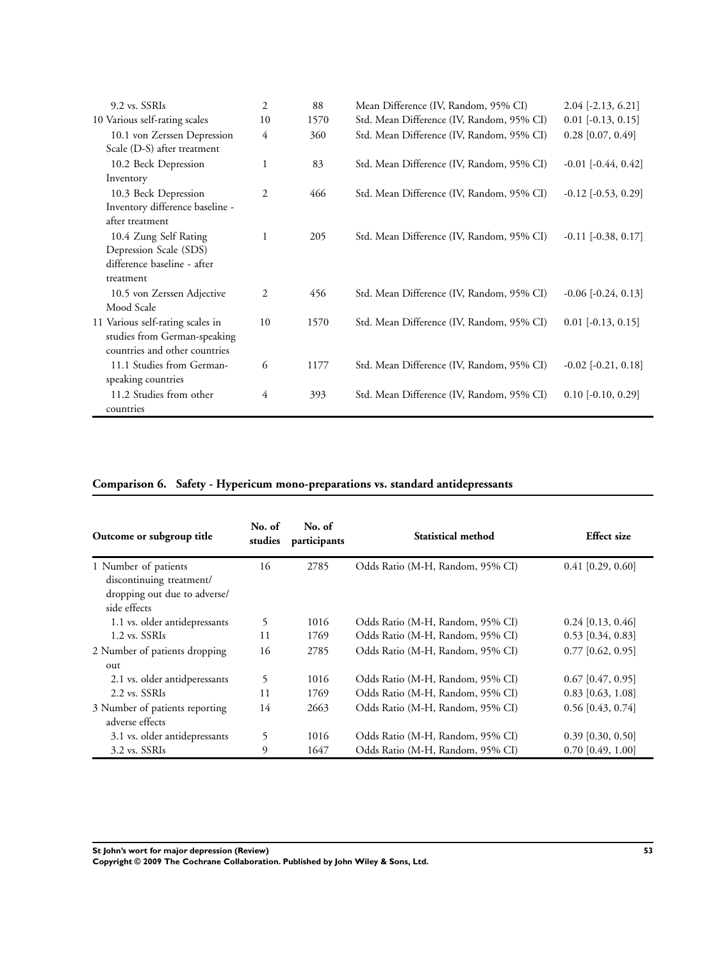| 9.2 vs. SSRIs                                                                                     | 2            | 88   | Mean Difference (IV, Random, 95% CI)      | $2.04$ [-2.13, 6.21]    |
|---------------------------------------------------------------------------------------------------|--------------|------|-------------------------------------------|-------------------------|
| 10 Various self-rating scales                                                                     | 10           | 1570 | Std. Mean Difference (IV, Random, 95% CI) | $0.01$ [-0.13, 0.15]    |
| 10.1 von Zerssen Depression<br>Scale (D-S) after treatment                                        | 4            | 360  | Std. Mean Difference (IV, Random, 95% CI) | $0.28$ [0.07, 0.49]     |
| 10.2 Beck Depression<br>Inventory                                                                 | 1            | 83   | Std. Mean Difference (IV, Random, 95% CI) | $-0.01$ $[-0.44, 0.42]$ |
| 10.3 Beck Depression<br>Inventory difference baseline -<br>after treatment                        | 2            | 466  | Std. Mean Difference (IV, Random, 95% CI) | $-0.12$ $[-0.53, 0.29]$ |
| 10.4 Zung Self Rating<br>Depression Scale (SDS)<br>difference baseline - after<br>treatment       | $\mathbf{1}$ | 205  | Std. Mean Difference (IV, Random, 95% CI) | $-0.11$ $[-0.38, 0.17]$ |
| 10.5 von Zerssen Adjective<br>Mood Scale                                                          | 2            | 456  | Std. Mean Difference (IV, Random, 95% CI) | $-0.06$ $[-0.24, 0.13]$ |
| 11 Various self-rating scales in<br>studies from German-speaking<br>countries and other countries | 10           | 1570 | Std. Mean Difference (IV, Random, 95% CI) | $0.01$ [-0.13, 0.15]    |
| 11.1 Studies from German-<br>speaking countries                                                   | 6            | 1177 | Std. Mean Difference (IV, Random, 95% CI) | $-0.02$ $[-0.21, 0.18]$ |
| 11.2 Studies from other<br>countries                                                              | 4            | 393  | Std. Mean Difference (IV, Random, 95% CI) | $0.10$ [-0.10, 0.29]    |

## **Comparison 6. Safety - Hypericum mono-preparations vs. standard antidepressants**

| Outcome or subgroup title                        | No. of<br>studies | No. of<br>participants | Statistical method               | <b>Effect</b> size  |
|--------------------------------------------------|-------------------|------------------------|----------------------------------|---------------------|
| 1 Number of patients<br>discontinuing treatment/ | 16                | 2785                   | Odds Ratio (M-H, Random, 95% CI) | $0.41$ [0.29, 0.60] |
| dropping out due to adverse/<br>side effects     |                   |                        |                                  |                     |
| 1.1 vs. older antidepressants                    | 5                 | 1016                   | Odds Ratio (M-H, Random, 95% CI) | $0.24$ [0.13, 0.46] |
| $1.2$ vs. SSRIs                                  | 11                | 1769                   | Odds Ratio (M-H, Random, 95% CI) | $0.53$ [0.34, 0.83] |
| 2 Number of patients dropping                    | 16                | 2785                   | Odds Ratio (M-H, Random, 95% CI) | $0.77$ [0.62, 0.95] |
| out                                              |                   |                        |                                  |                     |
| 2.1 vs. older antidperessants                    | 5                 | 1016                   | Odds Ratio (M-H, Random, 95% CI) | $0.67$ [0.47, 0.95] |
| 2.2 vs. SSRIs                                    | 11                | 1769                   | Odds Ratio (M-H, Random, 95% CI) | $0.83$ [0.63, 1.08] |
| 3 Number of patients reporting                   | 14                | 2663                   | Odds Ratio (M-H, Random, 95% CI) | $0.56$ [0.43, 0.74] |
| adverse effects                                  |                   |                        |                                  |                     |
| 3.1 vs. older antidepressants                    | 5                 | 1016                   | Odds Ratio (M-H, Random, 95% CI) | $0.39$ [0.30, 0.50] |
| 3.2 vs. SSRIs                                    | 9                 | 1647                   | Odds Ratio (M-H, Random, 95% CI) | $0.70$ [0.49, 1.00] |

**St John's wort for major depression (Review) 53**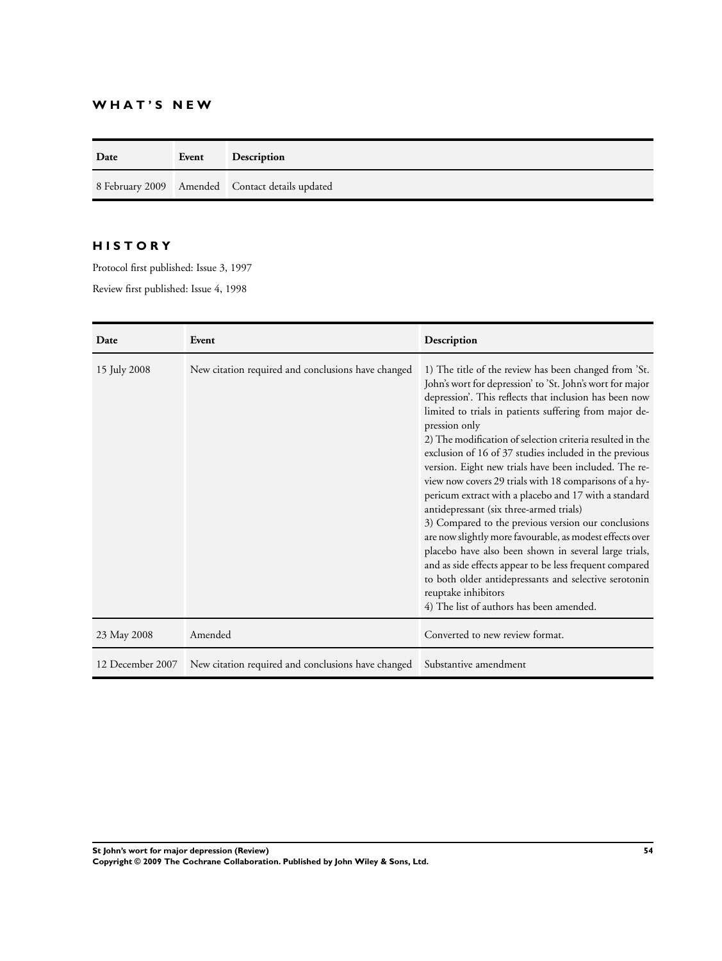| Date | Event | <b>Description</b>                              |
|------|-------|-------------------------------------------------|
|      |       | 8 February 2009 Amended Contact details updated |

## **H I S T O R Y**

Protocol first published: Issue 3, 1997

Review first published: Issue 4, 1998

| Date             | Event                                              | Description                                                                                                                                                                                                                                                                                                                                                                                                                                                                                                                                                                                                                                                                                                                                                                                                                                                                                                                                                              |
|------------------|----------------------------------------------------|--------------------------------------------------------------------------------------------------------------------------------------------------------------------------------------------------------------------------------------------------------------------------------------------------------------------------------------------------------------------------------------------------------------------------------------------------------------------------------------------------------------------------------------------------------------------------------------------------------------------------------------------------------------------------------------------------------------------------------------------------------------------------------------------------------------------------------------------------------------------------------------------------------------------------------------------------------------------------|
| 15 July 2008     | New citation required and conclusions have changed | 1) The title of the review has been changed from 'St.<br>John's wort for depression' to 'St. John's wort for major<br>depression'. This reflects that inclusion has been now<br>limited to trials in patients suffering from major de-<br>pression only<br>2) The modification of selection criteria resulted in the<br>exclusion of 16 of 37 studies included in the previous<br>version. Eight new trials have been included. The re-<br>view now covers 29 trials with 18 comparisons of a hy-<br>pericum extract with a placebo and 17 with a standard<br>antidepressant (six three-armed trials)<br>3) Compared to the previous version our conclusions<br>are now slightly more favourable, as modest effects over<br>placebo have also been shown in several large trials,<br>and as side effects appear to be less frequent compared<br>to both older antidepressants and selective serotonin<br>reuptake inhibitors<br>4) The list of authors has been amended. |
| 23 May 2008      | Amended                                            | Converted to new review format.                                                                                                                                                                                                                                                                                                                                                                                                                                                                                                                                                                                                                                                                                                                                                                                                                                                                                                                                          |
| 12 December 2007 | New citation required and conclusions have changed | Substantive amendment                                                                                                                                                                                                                                                                                                                                                                                                                                                                                                                                                                                                                                                                                                                                                                                                                                                                                                                                                    |

**St John's wort for major depression (Review) 54**